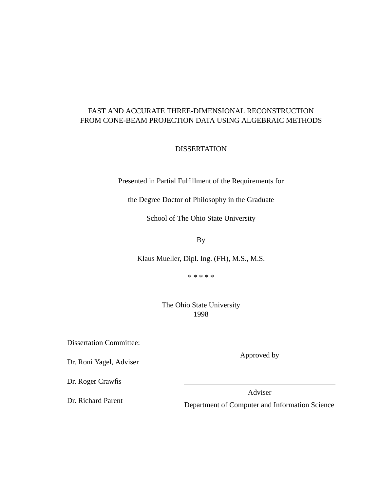#### FAST AND ACCURATE THREE-DIMENSIONAL RECONSTRUCTION FROM CONE-BEAM PROJECTION DATA USING ALGEBRAIC METHODS

**DISSERTATION** 

Presented in Partial Fulfillment of the Requirements for

the Degree Doctor of Philosophy in the Graduate

School of The Ohio State University

By

Klaus Mueller, Dipl. Ing. (FH), M.S., M.S.

\* \* \* \* \*

The Ohio State University 1998

Dissertation Committee:

Dr. Roni Yagel, Adviser

Dr. Roger Crawfis

Dr. Richard Parent

Approved by

Adviser

Department of Computer and Information Science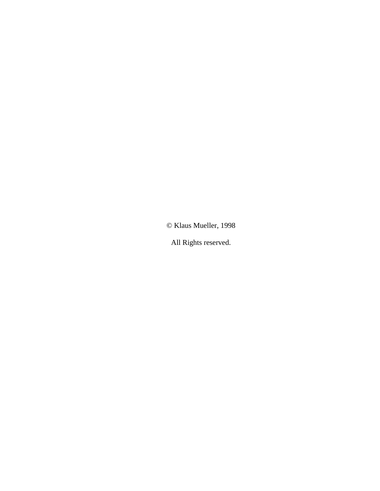© Klaus Mueller, 1998

All Rights reserved.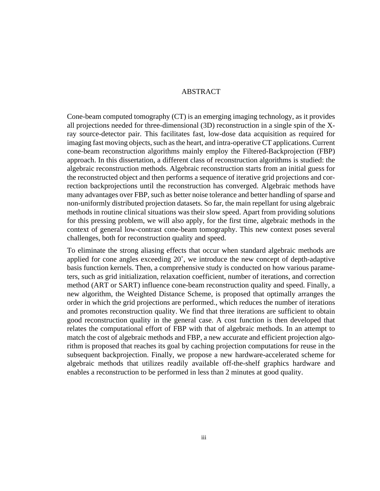#### ABSTRACT

Cone-beam computed tomography (CT) is an emerging imaging technology, as it provides all projections needed for three-dimensional (3D) reconstruction in a single spin of the Xray source-detector pair. This facilitates fast, low-dose data acquisition as required for imaging fast moving objects, such as the heart, and intra-operative CT applications. Current cone-beam reconstruction algorithms mainly employ the Filtered-Backprojection (FBP) approach. In this dissertation, a different class of reconstruction algorithms is studied: the algebraic reconstruction methods. Algebraic reconstruction starts from an initial guess for the reconstructed object and then performs a sequence of iterative grid projections and correction backprojections until the reconstruction has converged. Algebraic methods have many advantages over FBP, such as better noise tolerance and better handling of sparse and non-uniformly distributed projection datasets. So far, the main repellant for using algebraic methods in routine clinical situations was their slow speed. Apart from providing solutions for this pressing problem, we will also apply, for the first time, algebraic methods in the context of general low-contrast cone-beam tomography. This new context poses several challenges, both for reconstruction quality and speed.

To eliminate the strong aliasing effects that occur when standard algebraic methods are applied for cone angles exceeding 20˚, we introduce the new concept of depth-adaptive basis function kernels. Then, a comprehensive study is conducted on how various parameters, such as grid initialization, relaxation coefficient, number of iterations, and correction method (ART or SART) influence cone-beam reconstruction quality and speed. Finally, a new algorithm, the Weighted Distance Scheme, is proposed that optimally arranges the order in which the grid projections are performed., which reduces the number of iterations and promotes reconstruction quality. We find that three iterations are sufficient to obtain good reconstruction quality in the general case. A cost function is then developed that relates the computational effort of FBP with that of algebraic methods. In an attempt to match the cost of algebraic methods and FBP, a new accurate and efficient projection algorithm is proposed that reaches its goal by caching projection computations for reuse in the subsequent backprojection. Finally, we propose a new hardware-accelerated scheme for algebraic methods that utilizes readily available off-the-shelf graphics hardware and enables a reconstruction to be performed in less than 2 minutes at good quality.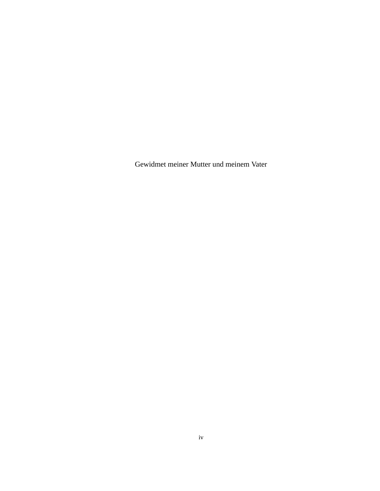Gewidmet meiner Mutter und meinem Vater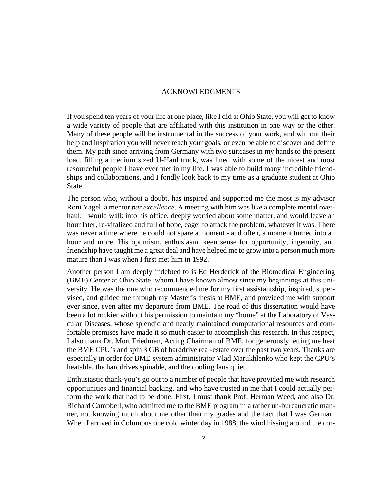#### ACKNOWLEDGMENTS

If you spend ten years of your life at one place, like I did at Ohio State, you will get to know a wide variety of people that are affiliated with this institution in one way or the other. Many of these people will be instrumental in the success of your work, and without their help and inspiration you will never reach your goals, or even be able to discover and define them. My path since arriving from Germany with two suitcases in my hands to the present load, filling a medium sized U-Haul truck, was lined with some of the nicest and most resourceful people I have ever met in my life. I was able to build many incredible friendships and collaborations, and I fondly look back to my time as a graduate student at Ohio State.

The person who, without a doubt, has inspired and supported me the most is my advisor Roni Yagel, a mentor *par excellence*. A meeting with him was like a complete mental overhaul: I would walk into his office, deeply worried about some matter, and would leave an hour later, re-vitalized and full of hope, eager to attack the problem, whatever it was. There was never a time where he could not spare a moment - and often, a moment turned into an hour and more. His optimism, enthusiasm, keen sense for opportunity, ingenuity, and friendship have taught me a great deal and have helped me to grow into a person much more mature than I was when I first met him in 1992.

Another person I am deeply indebted to is Ed Herderick of the Biomedical Engineering (BME) Center at Ohio State, whom I have known almost since my beginnings at this university. He was the one who recommended me for my first assistantship, inspired, supervised, and guided me through my Master's thesis at BME, and provided me with support ever since, even after my departure from BME. The road of this dissertation would have been a lot rockier without his permission to maintain my "home" at the Laboratory of Vascular Diseases, whose splendid and neatly maintained computational resources and comfortable premises have made it so much easier to accomplish this research. In this respect, I also thank Dr. Mort Friedman, Acting Chairman of BME, for generously letting me heat the BME CPU's and spin 3 GB of harddrive real-estate over the past two years. Thanks are especially in order for BME system administrator Vlad Marukhlenko who kept the CPU's heatable, the harddrives spinable, and the cooling fans quiet.

Enthusiastic thank-you's go out to a number of people that have provided me with research opportunities and financial backing, and who have trusted in me that I could actually perform the work that had to be done. First, I must thank Prof. Herman Weed, and also Dr. Richard Campbell, who admitted me to the BME program in a rather un-bureaucratic manner, not knowing much about me other than my grades and the fact that I was German. When I arrived in Columbus one cold winter day in 1988, the wind hissing around the cor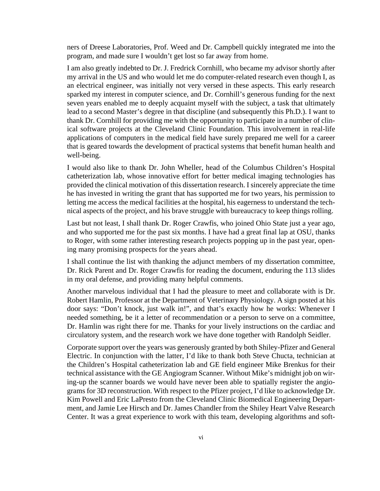ners of Dreese Laboratories, Prof. Weed and Dr. Campbell quickly integrated me into the program, and made sure I wouldn't get lost so far away from home.

I am also greatly indebted to Dr. J. Fredrick Cornhill, who became my advisor shortly after my arrival in the US and who would let me do computer-related research even though I, as an electrical engineer, was initially not very versed in these aspects. This early research sparked my interest in computer science, and Dr. Cornhill's generous funding for the next seven years enabled me to deeply acquaint myself with the subject, a task that ultimately lead to a second Master's degree in that discipline (and subsequently this Ph.D.). I want to thank Dr. Cornhill for providing me with the opportunity to participate in a number of clinical software projects at the Cleveland Clinic Foundation. This involvement in real-life applications of computers in the medical field have surely prepared me well for a career that is geared towards the development of practical systems that benefit human health and well-being.

I would also like to thank Dr. John Wheller, head of the Columbus Children's Hospital catheterization lab, whose innovative effort for better medical imaging technologies has provided the clinical motivation of this dissertation research. I sincerely appreciate the time he has invested in writing the grant that has supported me for two years, his permission to letting me access the medical facilities at the hospital, his eagerness to understand the technical aspects of the project, and his brave struggle with bureaucracy to keep things rolling.

Last but not least, I shall thank Dr. Roger Crawfis, who joined Ohio State just a year ago, and who supported me for the past six months. I have had a great final lap at OSU, thanks to Roger, with some rather interesting research projects popping up in the past year, opening many promising prospects for the years ahead.

I shall continue the list with thanking the adjunct members of my dissertation committee, Dr. Rick Parent and Dr. Roger Crawfis for reading the document, enduring the 113 slides in my oral defense, and providing many helpful comments.

Another marvelous individual that I had the pleasure to meet and collaborate with is Dr. Robert Hamlin, Professor at the Department of Veterinary Physiology. A sign posted at his door says: "Don't knock, just walk in!", and that's exactly how he works: Whenever I needed something, be it a letter of recommendation or a person to serve on a committee, Dr. Hamlin was right there for me. Thanks for your lively instructions on the cardiac and circulatory system, and the research work we have done together with Randolph Seidler.

Corporate support over the years was generously granted by both Shiley-Pfizer and General Electric. In conjunction with the latter, I'd like to thank both Steve Chucta, technician at the Children's Hospital catheterization lab and GE field engineer Mike Brenkus for their technical assistance with the GE Angiogram Scanner. Without Mike's midnight job on wiring-up the scanner boards we would have never been able to spatially register the angiograms for 3D reconstruction. With respect to the Pfizer project, I'd like to acknowledge Dr. Kim Powell and Eric LaPresto from the Cleveland Clinic Biomedical Engineering Department, and Jamie Lee Hirsch and Dr. James Chandler from the Shiley Heart Valve Research Center. It was a great experience to work with this team, developing algorithms and soft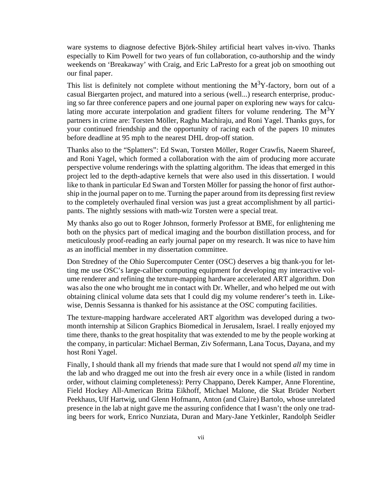ware systems to diagnose defective Björk-Shiley artificial heart valves in-vivo. Thanks especially to Kim Powell for two years of fun collaboration, co-authorship and the windy weekends on 'Breakaway' with Craig, and Eric LaPresto for a great job on smoothing out our final paper.

This list is definitely not complete without mentioning the  $M<sup>3</sup>Y$ -factory, born out of a casual Biergarten project, and matured into a serious (well...) research enterprise, producing so far three conference papers and one journal paper on exploring new ways for calculating more accurate interpolation and gradient filters for volume rendering. The  $M<sup>3</sup>Y$ partners in crime are: Torsten Möller, Raghu Machiraju, and Roni Yagel. Thanks guys, for your continued friendship and the opportunity of racing each of the papers 10 minutes before deadline at 95 mph to the nearest DHL drop-off station.

Thanks also to the "Splatters": Ed Swan, Torsten Möller, Roger Crawfis, Naeem Shareef, and Roni Yagel, which formed a collaboration with the aim of producing more accurate perspective volume renderings with the splatting algorithm. The ideas that emerged in this project led to the depth-adaptive kernels that were also used in this dissertation. I would like to thank in particular Ed Swan and Torsten Möller for passing the honor of first authorship in the journal paper on to me. Turning the paper around from its depressing first review to the completely overhauled final version was just a great accomplishment by all participants. The nightly sessions with math-wiz Torsten were a special treat.

My thanks also go out to Roger Johnson, formerly Professor at BME, for enlightening me both on the physics part of medical imaging and the bourbon distillation process, and for meticulously proof-reading an early journal paper on my research. It was nice to have him as an inofficial member in my dissertation committee.

Don Stredney of the Ohio Supercomputer Center (OSC) deserves a big thank-you for letting me use OSC's large-caliber computing equipment for developing my interactive volume renderer and refining the texture-mapping hardware accelerated ART algorithm. Don was also the one who brought me in contact with Dr. Wheller, and who helped me out with obtaining clinical volume data sets that I could dig my volume renderer's teeth in. Likewise, Dennis Sessanna is thanked for his assistance at the OSC computing facilities.

The texture-mapping hardware accelerated ART algorithm was developed during a twomonth internship at Silicon Graphics Biomedical in Jerusalem, Israel. I really enjoyed my time there, thanks to the great hospitality that was extended to me by the people working at the company, in particular: Michael Berman, Ziv Sofermann, Lana Tocus, Dayana, and my host Roni Yagel.

Finally, I should thank all my friends that made sure that I would not spend *all* my time in the lab and who dragged me out into the fresh air every once in a while (listed in random order, without claiming completeness): Perry Chappano, Derek Kamper, Anne Florentine, Field Hockey All-American Britta Eikhoff, Michael Malone, die Skat Brüder Norbert Peekhaus, Ulf Hartwig, und Glenn Hofmann, Anton (and Claire) Bartolo, whose unrelated presence in the lab at night gave me the assuring confidence that I wasn't the only one trading beers for work, Enrico Nunziata, Duran and Mary-Jane Yetkinler, Randolph Seidler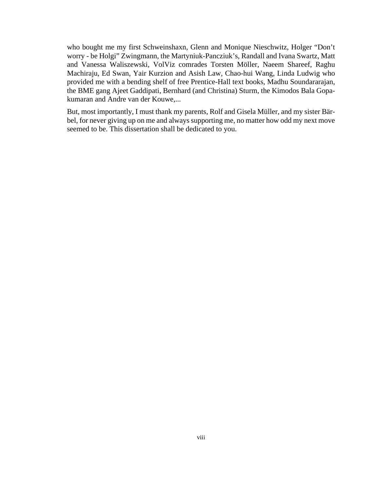who bought me my first Schweinshaxn, Glenn and Monique Nieschwitz, Holger "Don't worry - be Holgi" Zwingmann, the Martyniuk-Pancziuk's, Randall and Ivana Swartz, Matt and Vanessa Waliszewski, VolViz comrades Torsten Möller, Naeem Shareef, Raghu Machiraju, Ed Swan, Yair Kurzion and Asish Law, Chao-hui Wang, Linda Ludwig who provided me with a bending shelf of free Prentice-Hall text books, Madhu Soundararajan, the BME gang Ajeet Gaddipati, Bernhard (and Christina) Sturm, the Kimodos Bala Gopakumaran and Andre van der Kouwe,...

But, most importantly, I must thank my parents, Rolf and Gisela Müller, and my sister Bärbel, for never giving up on me and always supporting me, no matter how odd my next move seemed to be. This dissertation shall be dedicated to you.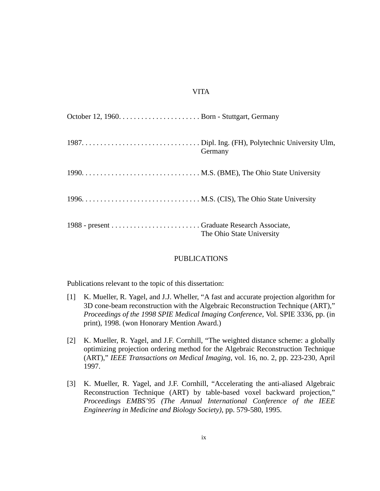#### VITA

| Germany                   |
|---------------------------|
|                           |
|                           |
| The Ohio State University |

#### PUBLICATIONS

Publications relevant to the topic of this dissertation:

- [1] K. Mueller, R. Yagel, and J.J. Wheller, "A fast and accurate projection algorithm for 3D cone-beam reconstruction with the Algebraic Reconstruction Technique (ART)," *Proceedings of the 1998 SPIE Medical Imaging Conference*, Vol. SPIE 3336, pp. (in print), 1998. (won Honorary Mention Award.)
- [2] K. Mueller, R. Yagel, and J.F. Cornhill, "The weighted distance scheme: a globally optimizing projection ordering method for the Algebraic Reconstruction Technique (ART)," *IEEE Transactions on Medical Imaging*, vol. 16, no. 2, pp. 223-230, April 1997.
- [3] K. Mueller, R. Yagel, and J.F. Cornhill, "Accelerating the anti-aliased Algebraic Reconstruction Technique (ART) by table-based voxel backward projection," *Proceedings EMBS'95 (The Annual International Conference of the IEEE Engineering in Medicine and Biology Society)*, pp. 579-580, 1995.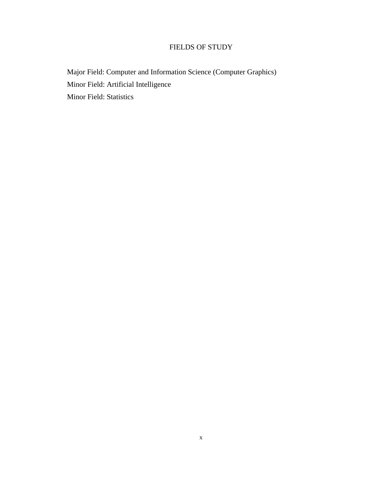### FIELDS OF STUDY

Major Field: Computer and Information Science (Computer Graphics) Minor Field: Artificial Intelligence Minor Field: Statistics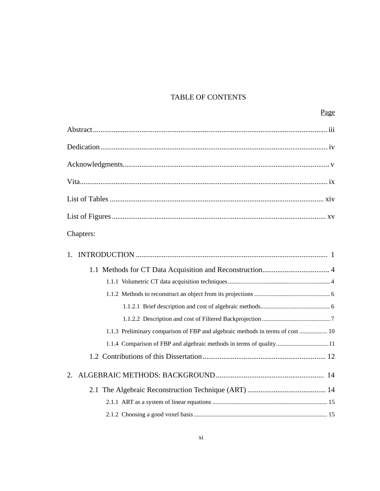### TABLE OF CONTENTS

| Page                                                                           |
|--------------------------------------------------------------------------------|
|                                                                                |
|                                                                                |
|                                                                                |
|                                                                                |
|                                                                                |
|                                                                                |
| Chapters:                                                                      |
| $1_{-}$                                                                        |
|                                                                                |
|                                                                                |
|                                                                                |
|                                                                                |
|                                                                                |
| 1.1.3 Preliminary comparison of FBP and algebraic methods in terms of cost  10 |
|                                                                                |
|                                                                                |
|                                                                                |
|                                                                                |
|                                                                                |
|                                                                                |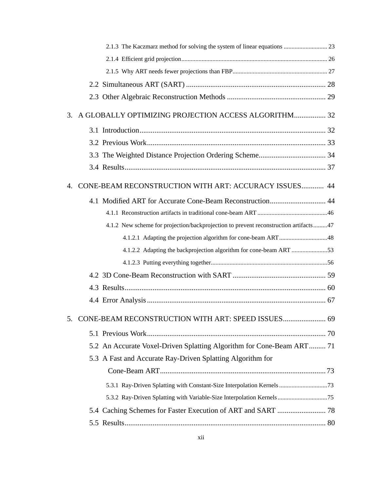| 2.1.3 The Kaczmarz method for solving the system of linear equations  23             |  |
|--------------------------------------------------------------------------------------|--|
|                                                                                      |  |
|                                                                                      |  |
|                                                                                      |  |
|                                                                                      |  |
| A GLOBALLY OPTIMIZING PROJECTION ACCESS ALGORITHM 32<br>3.                           |  |
|                                                                                      |  |
|                                                                                      |  |
|                                                                                      |  |
|                                                                                      |  |
| CONE-BEAM RECONSTRUCTION WITH ART: ACCURACY ISSUES 44<br>4.                          |  |
|                                                                                      |  |
|                                                                                      |  |
| 4.1.2 New scheme for projection/backprojection to prevent reconstruction artifacts47 |  |
|                                                                                      |  |
| 4.1.2.2 Adapting the backprojection algorithm for cone-beam ART 53                   |  |
|                                                                                      |  |
|                                                                                      |  |
|                                                                                      |  |
|                                                                                      |  |
| 5. CONE-BEAM RECONSTRUCTION WITH ART: SPEED ISSUES 69                                |  |
|                                                                                      |  |
| 5.2 An Accurate Voxel-Driven Splatting Algorithm for Cone-Beam ART 71                |  |
| 5.3 A Fast and Accurate Ray-Driven Splatting Algorithm for                           |  |
|                                                                                      |  |
|                                                                                      |  |
| 5.3.2 Ray-Driven Splatting with Variable-Size Interpolation Kernels75                |  |
|                                                                                      |  |
|                                                                                      |  |
|                                                                                      |  |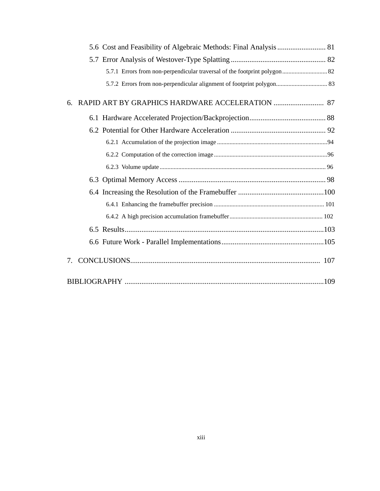| 5.7.2 Errors from non-perpendicular alignment of footprint polygon 83 |  |
|-----------------------------------------------------------------------|--|
| 6.                                                                    |  |
|                                                                       |  |
|                                                                       |  |
|                                                                       |  |
|                                                                       |  |
|                                                                       |  |
|                                                                       |  |
|                                                                       |  |
|                                                                       |  |
|                                                                       |  |
|                                                                       |  |
|                                                                       |  |
| 7.                                                                    |  |
|                                                                       |  |
|                                                                       |  |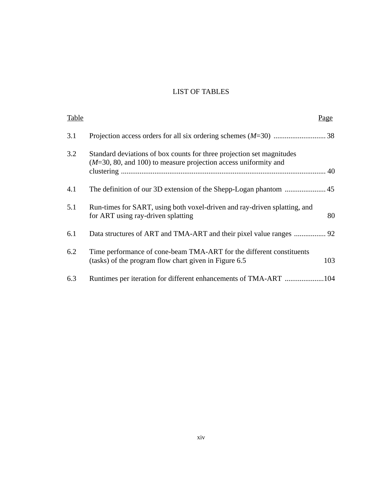## LIST OF TABLES

| Table | Page                                                                                                                                    |
|-------|-----------------------------------------------------------------------------------------------------------------------------------------|
| 3.1   |                                                                                                                                         |
| 3.2   | Standard deviations of box counts for three projection set magnitudes<br>$(M=30, 80, 4100)$ to measure projection access uniformity and |
| 4.1   |                                                                                                                                         |
| 5.1   | Run-times for SART, using both voxel-driven and ray-driven splatting, and<br>80<br>for ART using ray-driven splatting                   |
| 6.1   |                                                                                                                                         |
| 6.2   | Time performance of cone-beam TMA-ART for the different constituents<br>103<br>(tasks) of the program flow chart given in Figure 6.5    |
| 6.3   |                                                                                                                                         |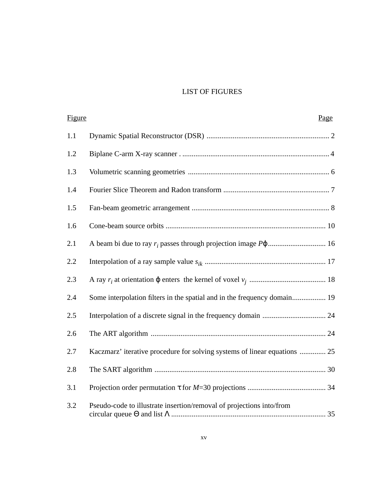## LIST OF FIGURES

| Figure | Page                                                                      |  |
|--------|---------------------------------------------------------------------------|--|
| 1.1    |                                                                           |  |
| 1.2    |                                                                           |  |
| 1.3    |                                                                           |  |
| 1.4    |                                                                           |  |
| 1.5    |                                                                           |  |
| 1.6    |                                                                           |  |
| 2.1    |                                                                           |  |
| 2.2    |                                                                           |  |
| 2.3    |                                                                           |  |
| 2.4    | Some interpolation filters in the spatial and in the frequency domain 19  |  |
| 2.5    |                                                                           |  |
| 2.6    |                                                                           |  |
| 2.7    | Kaczmarz' iterative procedure for solving systems of linear equations  25 |  |
| 2.8    |                                                                           |  |
| 3.1    |                                                                           |  |
| 3.2    | Pseudo-code to illustrate insertion/removal of projections into/from      |  |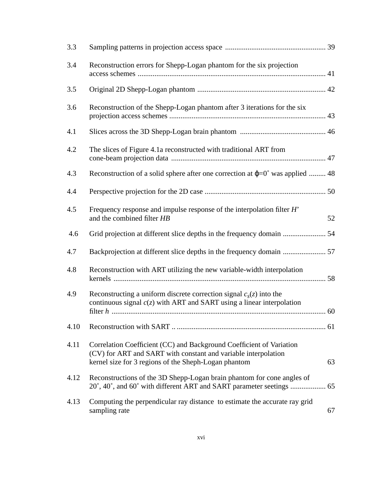| 3.3  |                                                                                                                                                                                                |    |
|------|------------------------------------------------------------------------------------------------------------------------------------------------------------------------------------------------|----|
| 3.4  | Reconstruction errors for Shepp-Logan phantom for the six projection                                                                                                                           |    |
| 3.5  |                                                                                                                                                                                                |    |
| 3.6  | Reconstruction of the Shepp-Logan phantom after 3 iterations for the six                                                                                                                       |    |
| 4.1  |                                                                                                                                                                                                |    |
| 4.2  | The slices of Figure 4.1a reconstructed with traditional ART from                                                                                                                              |    |
| 4.3  | Reconstruction of a solid sphere after one correction at $\varphi$ =0° was applied  48                                                                                                         |    |
| 4.4  |                                                                                                                                                                                                |    |
| 4.5  | Frequency response and impulse response of the interpolation filter H'<br>and the combined filter HB                                                                                           | 52 |
| 4.6  |                                                                                                                                                                                                |    |
| 4.7  |                                                                                                                                                                                                |    |
| 4.8  | Reconstruction with ART utilizing the new variable-width interpolation                                                                                                                         |    |
| 4.9  | Reconstructing a uniform discrete correction signal $c_s(z)$ into the<br>continuous signal $c(z)$ with ART and SART using a linear interpolation                                               |    |
| 4.10 |                                                                                                                                                                                                |    |
| 4.11 | Correlation Coefficient (CC) and Background Coefficient of Variation<br>(CV) for ART and SART with constant and variable interpolation<br>kernel size for 3 regions of the Sheph-Logan phantom | 63 |
| 4.12 | Reconstructions of the 3D Shepp-Logan brain phantom for cone angles of                                                                                                                         |    |
| 4.13 | Computing the perpendicular ray distance to estimate the accurate ray grid<br>sampling rate                                                                                                    | 67 |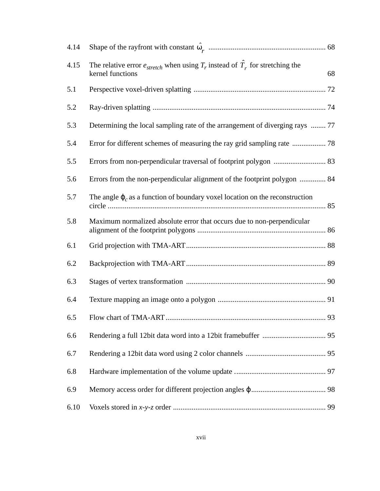| 4.14 |                                                                                                                 |    |
|------|-----------------------------------------------------------------------------------------------------------------|----|
| 4.15 | The relative error $e_{stretch}$ when using $T_r$ instead of $\hat{T}_r$ for stretching the<br>kernel functions | 68 |
| 5.1  |                                                                                                                 |    |
| 5.2  |                                                                                                                 |    |
| 5.3  | Determining the local sampling rate of the arrangement of diverging rays  77                                    |    |
| 5.4  |                                                                                                                 |    |
| 5.5  |                                                                                                                 |    |
| 5.6  | Errors from the non-perpendicular alignment of the footprint polygon  84                                        |    |
| 5.7  | The angle $\varphi_c$ as a function of boundary voxel location on the reconstruction                            |    |
| 5.8  | Maximum normalized absolute error that occurs due to non-perpendicular                                          |    |
| 6.1  |                                                                                                                 |    |
| 6.2  |                                                                                                                 |    |
| 6.3  |                                                                                                                 |    |
| 6.4  |                                                                                                                 |    |
| 6.5  |                                                                                                                 |    |
| 6.6  |                                                                                                                 |    |
| 6.7  |                                                                                                                 |    |
| 6.8  |                                                                                                                 |    |
| 6.9  |                                                                                                                 |    |
| 6.10 |                                                                                                                 | 99 |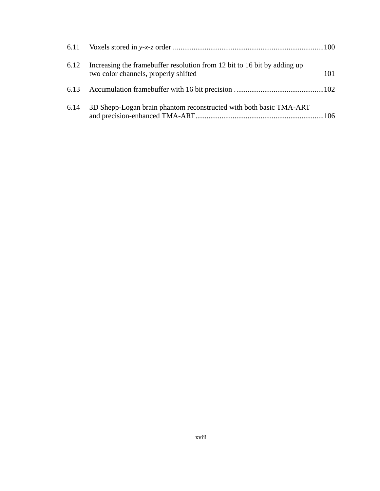| 6.12 | Increasing the framebuffer resolution from 12 bit to 16 bit by adding up<br>two color channels, properly shifted | 101 |
|------|------------------------------------------------------------------------------------------------------------------|-----|
|      |                                                                                                                  |     |
| 6.14 | 3D Shepp-Logan brain phantom reconstructed with both basic TMA-ART                                               |     |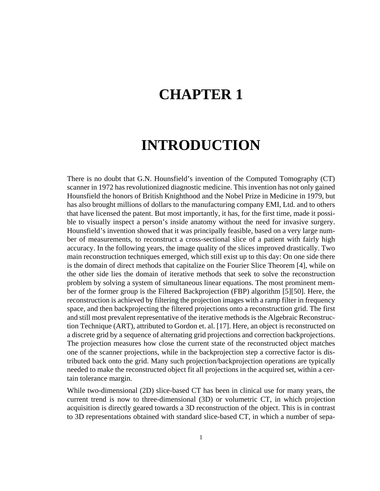# **CHAPTER 1**

## **INTRODUCTION**

There is no doubt that G.N. Hounsfield's invention of the Computed Tomography (CT) scanner in 1972 has revolutionized diagnostic medicine. This invention has not only gained Hounsfield the honors of British Knighthood and the Nobel Prize in Medicine in 1979, but has also brought millions of dollars to the manufacturing company EMI, Ltd. and to others that have licensed the patent. But most importantly, it has, for the first time, made it possible to visually inspect a person's inside anatomy without the need for invasive surgery. Hounsfield's invention showed that it was principally feasible, based on a very large number of measurements, to reconstruct a cross-sectional slice of a patient with fairly high accuracy. In the following years, the image quality of the slices improved drastically. Two main reconstruction techniques emerged, which still exist up to this day: On one side there is the domain of direct methods that capitalize on the Fourier Slice Theorem [4], while on the other side lies the domain of iterative methods that seek to solve the reconstruction problem by solving a system of simultaneous linear equations. The most prominent member of the former group is the Filtered Backprojection (FBP) algorithm [5][50]. Here, the reconstruction is achieved by filtering the projection images with a ramp filter in frequency space, and then backprojecting the filtered projections onto a reconstruction grid. The first and still most prevalent representative of the iterative methods is the Algebraic Reconstruction Technique (ART), attributed to Gordon et. al. [17]. Here, an object is reconstructed on a discrete grid by a sequence of alternating grid projections and correction backprojections. The projection measures how close the current state of the reconstructed object matches one of the scanner projections, while in the backprojection step a corrective factor is distributed back onto the grid. Many such projection/backprojection operations are typically needed to make the reconstructed object fit all projections in the acquired set, within a certain tolerance margin.

While two-dimensional (2D) slice-based CT has been in clinical use for many years, the current trend is now to three-dimensional (3D) or volumetric CT, in which projection acquisition is directly geared towards a 3D reconstruction of the object. This is in contrast to 3D representations obtained with standard slice-based CT, in which a number of sepa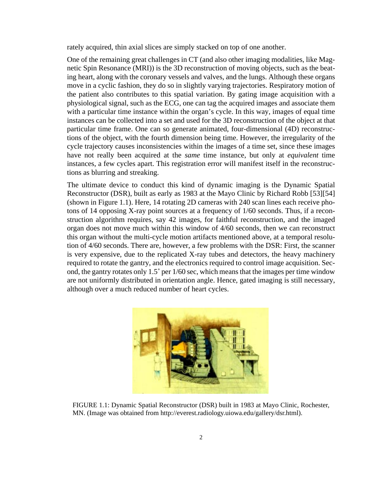rately acquired, thin axial slices are simply stacked on top of one another.

One of the remaining great challenges in CT (and also other imaging modalities, like Magnetic Spin Resonance (MRI)) is the 3D reconstruction of moving objects, such as the beating heart, along with the coronary vessels and valves, and the lungs. Although these organs move in a cyclic fashion, they do so in slightly varying trajectories. Respiratory motion of the patient also contributes to this spatial variation. By gating image acquisition with a physiological signal, such as the ECG, one can tag the acquired images and associate them with a particular time instance within the organ's cycle. In this way, images of equal time instances can be collected into a set and used for the 3D reconstruction of the object at that particular time frame. One can so generate animated, four-dimensional (4D) reconstructions of the object, with the fourth dimension being time. However, the irregularity of the cycle trajectory causes inconsistencies within the images of a time set, since these images have not really been acquired at the *same* time instance, but only at *equivalent* time instances, a few cycles apart. This registration error will manifest itself in the reconstructions as blurring and streaking.

The ultimate device to conduct this kind of dynamic imaging is the Dynamic Spatial Reconstructor (DSR), built as early as 1983 at the Mayo Clinic by Richard Robb [53][54] (shown in Figure 1.1). Here, 14 rotating 2D cameras with 240 scan lines each receive photons of 14 opposing X-ray point sources at a frequency of 1/60 seconds. Thus, if a reconstruction algorithm requires, say 42 images, for faithful reconstruction, and the imaged organ does not move much within this window of 4/60 seconds, then we can reconstruct this organ without the multi-cycle motion artifacts mentioned above, at a temporal resolution of 4/60 seconds. There are, however, a few problems with the DSR: First, the scanner is very expensive, due to the replicated X-ray tubes and detectors, the heavy machinery required to rotate the gantry, and the electronics required to control image acquisition. Second, the gantry rotates only 1.5˚ per 1/60 sec, which means that the images per time window are not uniformly distributed in orientation angle. Hence, gated imaging is still necessary, although over a much reduced number of heart cycles.



FIGURE 1.1: Dynamic Spatial Reconstructor (DSR) built in 1983 at Mayo Clinic, Rochester, MN. (Image was obtained from http://everest.radiology.uiowa.edu/gallery/dsr.html).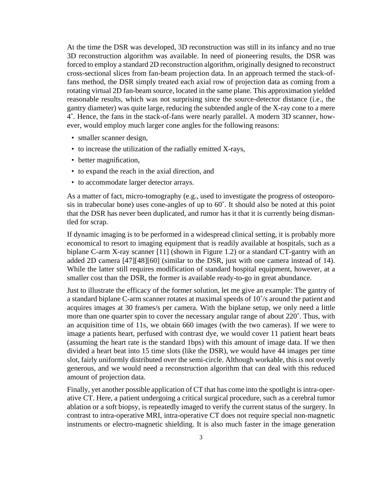At the time the DSR was developed, 3D reconstruction was still in its infancy and no true 3D reconstruction algorithm was available. In need of pioneering results, the DSR was forced to employ a standard 2D reconstruction algorithm, originally designed to reconstruct cross-sectional slices from fan-beam projection data. In an approach termed the stack-offans method, the DSR simply treated each axial row of projection data as coming from a rotating virtual 2D fan-beam source, located in the same plane. This approximation yielded reasonable results, which was not surprising since the source-detector distance (i.e., the gantry diameter) was quite large, reducing the subtended angle of the X-ray cone to a mere 4˚. Hence, the fans in the stack-of-fans were nearly parallel. A modern 3D scanner, however, would employ much larger cone angles for the following reasons:

- smaller scanner design,
- to increase the utilization of the radially emitted X-rays,
- better magnification,
- to expand the reach in the axial direction, and
- to accommodate larger detector arrays.

As a matter of fact, micro-tomography (e.g., used to investigate the progress of osteoporosis in trabecular bone) uses cone-angles of up to 60˚. It should also be noted at this point that the DSR has never been duplicated, and rumor has it that it is currently being dismantled for scrap.

If dynamic imaging is to be performed in a widespread clinical setting, it is probably more economical to resort to imaging equipment that is readily available at hospitals, such as a biplane C-arm X-ray scanner [11] (shown in Figure 1.2) or a standard CT-gantry with an added 2D camera [47][48][60] (similar to the DSR, just with one camera instead of 14). While the latter still requires modification of standard hospital equipment, however, at a smaller cost than the DSR, the former is available ready-to-go in great abundance.

Just to illustrate the efficacy of the former solution, let me give an example: The gantry of a standard biplane C-arm scanner rotates at maximal speeds of 10˚/s around the patient and acquires images at 30 frames/s per camera. With the biplane setup, we only need a little more than one quarter spin to cover the necessary angular range of about 220˚. Thus, with an acquisition time of 11s, we obtain 660 images (with the two cameras). If we were to image a patients heart, perfused with contrast dye, we would cover 11 patient heart beats (assuming the heart rate is the standard 1bps) with this amount of image data. If we then divided a heart beat into 15 time slots (like the DSR), we would have 44 images per time slot, fairly uniformly distributed over the semi-circle. Although workable, this is not overly generous, and we would need a reconstruction algorithm that can deal with this reduced amount of projection data.

Finally, yet another possible application of CT that has come into the spotlight is intra-operative CT. Here, a patient undergoing a critical surgical procedure, such as a cerebral tumor ablation or a soft biopsy, is repeatedly imaged to verify the current status of the surgery. In contrast to intra-operative MRI, intra-operative CT does not require special non-magnetic instruments or electro-magnetic shielding. It is also much faster in the image generation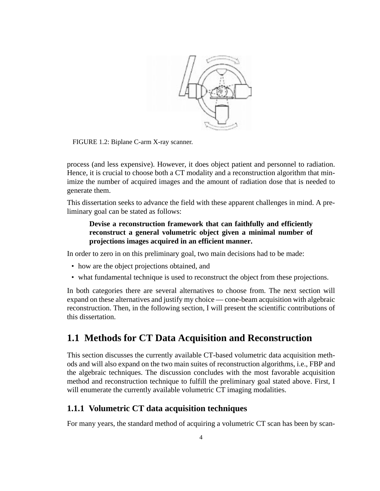

FIGURE 1.2: Biplane C-arm X-ray scanner.

process (and less expensive). However, it does object patient and personnel to radiation. Hence, it is crucial to choose both a CT modality and a reconstruction algorithm that minimize the number of acquired images and the amount of radiation dose that is needed to generate them.

This dissertation seeks to advance the field with these apparent challenges in mind. A preliminary goal can be stated as follows:

#### **Devise a reconstruction framework that can faithfully and efficiently reconstruct a general volumetric object given a minimal number of projections images acquired in an efficient manner.**

In order to zero in on this preliminary goal, two main decisions had to be made:

- how are the object projections obtained, and
- what fundamental technique is used to reconstruct the object from these projections.

In both categories there are several alternatives to choose from. The next section will expand on these alternatives and justify my choice — cone-beam acquisition with algebraic reconstruction. Then, in the following section, I will present the scientific contributions of this dissertation.

## **1.1 Methods for CT Data Acquisition and Reconstruction**

This section discusses the currently available CT-based volumetric data acquisition methods and will also expand on the two main suites of reconstruction algorithms, i.e., FBP and the algebraic techniques. The discussion concludes with the most favorable acquisition method and reconstruction technique to fulfill the preliminary goal stated above. First, I will enumerate the currently available volumetric CT imaging modalities.

## **1.1.1 Volumetric CT data acquisition techniques**

For many years, the standard method of acquiring a volumetric CT scan has been by scan-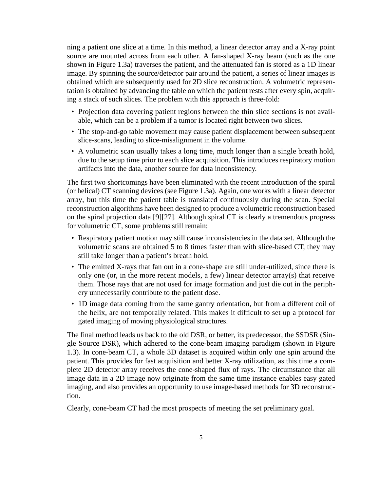ning a patient one slice at a time. In this method, a linear detector array and a X-ray point source are mounted across from each other. A fan-shaped X-ray beam (such as the one shown in Figure 1.3a) traverses the patient, and the attenuated fan is stored as a 1D linear image. By spinning the source/detector pair around the patient, a series of linear images is obtained which are subsequently used for 2D slice reconstruction. A volumetric representation is obtained by advancing the table on which the patient rests after every spin, acquiring a stack of such slices. The problem with this approach is three-fold:

- Projection data covering patient regions between the thin slice sections is not available, which can be a problem if a tumor is located right between two slices.
- The stop-and-go table movement may cause patient displacement between subsequent slice-scans, leading to slice-misalignment in the volume.
- A volumetric scan usually takes a long time, much longer than a single breath hold, due to the setup time prior to each slice acquisition. This introduces respiratory motion artifacts into the data, another source for data inconsistency.

The first two shortcomings have been eliminated with the recent introduction of the spiral (or helical) CT scanning devices (see Figure 1.3a). Again, one works with a linear detector array, but this time the patient table is translated continuously during the scan. Special reconstruction algorithms have been designed to produce a volumetric reconstruction based on the spiral projection data [9][27]. Although spiral CT is clearly a tremendous progress for volumetric CT, some problems still remain:

- Respiratory patient motion may still cause inconsistencies in the data set. Although the volumetric scans are obtained 5 to 8 times faster than with slice-based CT, they may still take longer than a patient's breath hold.
- The emitted X-rays that fan out in a cone-shape are still under-utilized, since there is only one (or, in the more recent models, a few) linear detector array(s) that receive them. Those rays that are not used for image formation and just die out in the periphery unnecessarily contribute to the patient dose.
- 1D image data coming from the same gantry orientation, but from a different coil of the helix, are not temporally related. This makes it difficult to set up a protocol for gated imaging of moving physiological structures.

The final method leads us back to the old DSR, or better, its predecessor, the SSDSR (Single Source DSR), which adhered to the cone-beam imaging paradigm (shown in Figure 1.3). In cone-beam CT, a whole 3D dataset is acquired within only one spin around the patient. This provides for fast acquisition and better X-ray utilization, as this time a complete 2D detector array receives the cone-shaped flux of rays. The circumstance that all image data in a 2D image now originate from the same time instance enables easy gated imaging, and also provides an opportunity to use image-based methods for 3D reconstruction.

Clearly, cone-beam CT had the most prospects of meeting the set preliminary goal.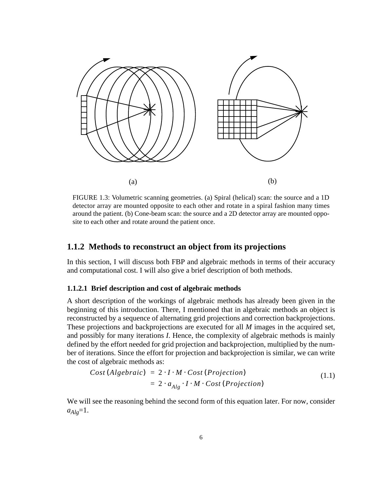

FIGURE 1.3: Volumetric scanning geometries. (a) Spiral (helical) scan: the source and a 1D detector array are mounted opposite to each other and rotate in a spiral fashion many times around the patient. (b) Cone-beam scan: the source and a 2D detector array are mounted opposite to each other and rotate around the patient once.

## **1.1.2 Methods to reconstruct an object from its projections**

In this section, I will discuss both FBP and algebraic methods in terms of their accuracy and computational cost. I will also give a brief description of both methods.

#### **1.1.2.1 Brief description and cost of algebraic methods**

A short description of the workings of algebraic methods has already been given in the beginning of this introduction. There, I mentioned that in algebraic methods an object is reconstructed by a sequence of alternating grid projections and correction backprojections. These projections and backprojections are executed for all *M* images in the acquired set, and possibly for many iterations *I*. Hence, the complexity of algebraic methods is mainly defined by the effort needed for grid projection and backprojection, multiplied by the number of iterations. Since the effort for projection and backprojection is similar, we can write the cost of algebraic methods as:

$$
Cost(Algebraic) = 2 \cdot I \cdot M \cdot Cost(Projection)
$$
  
= 2 \cdot a<sub>Alg</sub> \cdot I \cdot M \cdot Cost(Projection) (1.1)

We will see the reasoning behind the second form of this equation later. For now, consider  $a_{Alg} = 1.$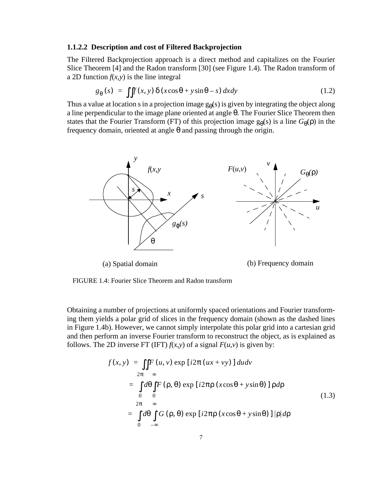#### **1.1.2.2 Description and cost of Filtered Backprojection**

The Filtered Backprojection approach is a direct method and capitalizes on the Fourier Slice Theorem [4] and the Radon transform [30] (see Figure 1.4). The Radon transform of a 2D function  $f(x, y)$  is the line integral

$$
g_{\theta}(s) = \iint f(x, y) \, \delta(x \cos \theta + y \sin \theta - s) \, dx dy \tag{1.2}
$$

Thus a value at location s in a projection image  $g_{\theta}(s)$  is given by integrating the object along a line perpendicular to the image plane oriented at angle θ. The Fourier Slice Theorem then states that the Fourier Transform (FT) of this projection image  $g_{\theta}(s)$  is a line  $G_{\theta}(\rho)$  in the frequency domain, oriented at angle θ and passing through the origin.



FIGURE 1.4: Fourier Slice Theorem and Radon transform

Obtaining a number of projections at uniformly spaced orientations and Fourier transforming them yields a polar grid of slices in the frequency domain (shown as the dashed lines in Figure 1.4b). However, we cannot simply interpolate this polar grid into a cartesian grid and then perform an inverse Fourier transform to reconstruct the object, as is explained as follows. The 2D inverse FT (IFT)  $f(x,y)$  of a signal  $F(u,y)$  is given by:

$$
f(x, y) = \iint_{2\pi} F(u, v) \exp [i2\pi (ux + vy)] du dv
$$
  
\n
$$
= \int_{0}^{2\pi} d\theta \int_{0}^{\infty} F(\rho, \theta) \exp [i2\pi \rho (x \cos \theta + y \sin \theta)] \rho d\rho
$$
  
\n
$$
= \int_{0}^{2\pi} d\theta \int_{0}^{\infty} G(\rho, \theta) \exp [i2\pi \rho (x \cos \theta + y \sin \theta)] |\rho| d\rho
$$
  
\n(1.3)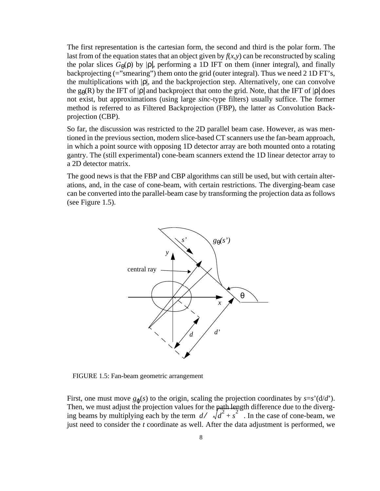The first representation is the cartesian form, the second and third is the polar form. The last from of the equation states that an object given by  $f(x,y)$  can be reconstructed by scaling the polar slices  $G_{\theta}(\rho)$  by  $|\rho|$ , performing a 1D IFT on them (inner integral), and finally backprojecting (="smearing") them onto the grid (outer integral). Thus we need 2 1D FT's, the multiplications with |ρ|, and the backprojection step. Alternatively, one can convolve the g $_{\theta}$ (R) by the IFT of |ρ| and backproject that onto the grid. Note, that the IFT of |ρ| does not exist, but approximations (using large *sinc*-type filters) usually suffice. The former method is referred to as Filtered Backprojection (FBP), the latter as Convolution Backprojection (CBP).

So far, the discussion was restricted to the 2D parallel beam case. However, as was mentioned in the previous section, modern slice-based CT scanners use the fan-beam approach, in which a point source with opposing 1D detector array are both mounted onto a rotating gantry. The (still experimental) cone-beam scanners extend the 1D linear detector array to a 2D detector matrix.

The good news is that the FBP and CBP algorithms can still be used, but with certain alterations, and, in the case of cone-beam, with certain restrictions. The diverging-beam case can be converted into the parallel-beam case by transforming the projection data as follows (see Figure 1.5).



FIGURE 1.5: Fan-beam geometric arrangement

First, one must move  $g_{\phi}(s)$  to the origin, scaling the projection coordinates by  $s=s'(d/d')$ . Then, we must adjust the projection values for the path length difference due to the diverg-Firent, we must adjust the projection values for the pain tength unterefice the to the diverg-<br>ing beams by multiplying each by the term  $d / \left(\sqrt{d^2 + s^2}\right)$ . In the case of cone-beam, we just need to consider the *t* coordinate as well. After the data adjustment is performed, we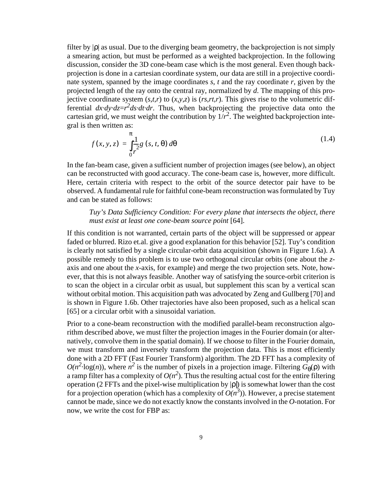filter by  $|\rho|$  as usual. Due to the diverging beam geometry, the backprojection is not simply a smearing action, but must be performed as a weighted backprojection. In the following discussion, consider the 3D cone-beam case which is the most general. Even though backprojection is done in a cartesian coordinate system, our data are still in a projective coordinate system, spanned by the image coordinates *s*, *t* and the ray coordinate *r*, given by the projected length of the ray onto the central ray, normalized by *d*. The mapping of this projective coordinate system  $(s,t,r)$  to  $(x,y,z)$  is  $(rs,rt,r)$ . This gives rise to the volumetric differential  $dx \cdot dy \cdot dz = r^2 ds \cdot dt \cdot dr$ . Thus, when backprojecting the projective data onto the cartesian grid, we must weight the contribution by  $1/r^2$ . The weighted backprojection integral is then written as:

$$
f(x, y, z) = \int_{0}^{\pi} \frac{1}{r^2} g(s, t, \theta) d\theta
$$
 (1.4)

In the fan-beam case, given a sufficient number of projection images (see below), an object can be reconstructed with good accuracy. The cone-beam case is, however, more difficult. Here, certain criteria with respect to the orbit of the source detector pair have to be observed. A fundamental rule for faithful cone-beam reconstruction was formulated by Tuy and can be stated as follows:

*Tuy's Data Sufficiency Condition: For every plane that intersects the object, there must exist at least one cone-beam source point* [64].

If this condition is not warranted, certain parts of the object will be suppressed or appear faded or blurred. Rizo et.al. give a good explanation for this behavior [52]. Tuy's condition is clearly not satisfied by a single circular-orbit data acquisition (shown in Figure 1.6a). A possible remedy to this problem is to use two orthogonal circular orbits (one about the *z*axis and one about the *x*-axis, for example) and merge the two projection sets. Note, however, that this is not always feasible. Another way of satisfying the source-orbit criterion is to scan the object in a circular orbit as usual, but supplement this scan by a vertical scan without orbital motion. This acquisition path was advocated by Zeng and Gullberg [70] and is shown in Figure 1.6b. Other trajectories have also been proposed, such as a helical scan [65] or a circular orbit with a sinusoidal variation.

Prior to a cone-beam reconstruction with the modified parallel-beam reconstruction algorithm described above, we must filter the projection images in the Fourier domain (or alternatively, convolve them in the spatial domain). If we choose to filter in the Fourier domain, we must transform and inversely transform the projection data. This is most efficiently done with a 2D FFT (Fast Fourier Transform) algorithm. The 2D FFT has a complexity of  $O(n^2 \cdot \log(n))$ , where  $n^2$  is the number of pixels in a projection image. Filtering  $G_{\theta}(\rho)$  with a ramp filter has a complexity of  $O(n^2)$ . Thus the resulting actual cost for the entire filtering operation (2 FFTs and the pixel-wise multiplication by |ρ|) is somewhat lower than the cost for a projection operation (which has a complexity of  $O(n^3)$ ). However, a precise statement cannot be made, since we do not exactly know the constants involved in the *O*-notation. For now, we write the cost for FBP as: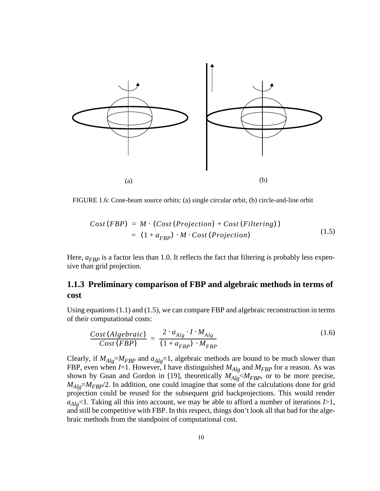

FIGURE 1.6: Cone-beam source orbits: (a) single circular orbit, (b) circle-and-line orbit

$$
Cost(FBP) = M \cdot (Cost(Projection) + Cost(Filtering))
$$
  
= (1 + a<sub>FBP</sub>) \cdot M \cdot Cost(Projection) (1.5)

Here,  $a_{FBP}$  is a factor less than 1.0. It reflects the fact that filtering is probably less expensive than grid projection.

## **1.1.3 Preliminary comparison of FBP and algebraic methods in terms of cost**

Using equations (1.1) and (1.5), we can compare FBP and algebraic reconstruction in terms of their computational costs:

$$
\frac{Cost(Algebraic)}{Cost(FBP)} = \frac{2 \cdot a_{Alg} \cdot I \cdot M_{Alg}}{(1 + a_{FBP}) \cdot M_{FBP}}
$$
(1.6)

Clearly, if  $M_{Alg} = M_{FBP}$  and  $a_{Alg} = 1$ , algebraic methods are bound to be much slower than FBP, even when  $I=1$ . However, I have distinguished  $M_{Alg}$  and  $M_{FBP}$  for a reason. As was shown by Guan and Gordon in [19], theoretically  $M_{Alg} < M_{FBP}$ , or to be more precise, *M<sub>Alg</sub>=M<sub>FBP</sub>*/2. In addition, one could imagine that some of the calculations done for grid projection could be reused for the subsequent grid backprojections. This would render *aAlg*<1. Taking all this into account, we may be able to afford a number of iterations *I*>1, and still be competitive with FBP. In this respect, things don't look all that bad for the algebraic methods from the standpoint of computational cost.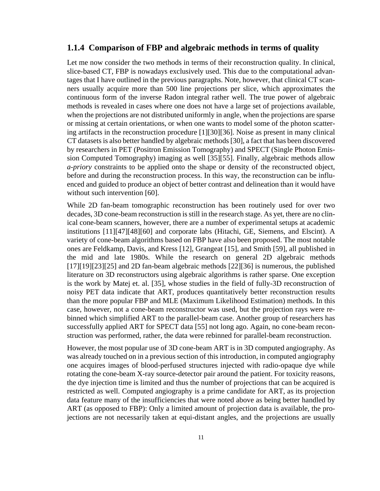#### **1.1.4 Comparison of FBP and algebraic methods in terms of quality**

Let me now consider the two methods in terms of their reconstruction quality. In clinical, slice-based CT, FBP is nowadays exclusively used. This due to the computational advantages that I have outlined in the previous paragraphs. Note, however, that clinical CT scanners usually acquire more than 500 line projections per slice, which approximates the continuous form of the inverse Radon integral rather well. The true power of algebraic methods is revealed in cases where one does not have a large set of projections available, when the projections are not distributed uniformly in angle, when the projections are sparse or missing at certain orientations, or when one wants to model some of the photon scattering artifacts in the reconstruction procedure [1][30][36]. Noise as present in many clinical CT datasets is also better handled by algebraic methods [30], a fact that has been discovered by researchers in PET (Positron Emission Tomography) and SPECT (Single Photon Emission Computed Tomography) imaging as well [35][55]. Finally, algebraic methods allow *a-priory* constraints to be applied onto the shape or density of the reconstructed object, before and during the reconstruction process. In this way, the reconstruction can be influenced and guided to produce an object of better contrast and delineation than it would have without such intervention [60].

While 2D fan-beam tomographic reconstruction has been routinely used for over two decades, 3D cone-beam reconstruction is still in the research stage. As yet, there are no clinical cone-beam scanners, however, there are a number of experimental setups at academic institutions [11][47][48][60] and corporate labs (Hitachi, GE, Siemens, and Elscint). A variety of cone-beam algorithms based on FBP have also been proposed. The most notable ones are Feldkamp, Davis, and Kress [12], Grangeat [15], and Smith [59], all published in the mid and late 1980s. While the research on general 2D algebraic methods [17][19][23][25] and 2D fan-beam algebraic methods [22][36] is numerous, the published literature on 3D reconstructors using algebraic algorithms is rather sparse. One exception is the work by Matej et. al. [35], whose studies in the field of fully-3D reconstruction of noisy PET data indicate that ART, produces quantitatively better reconstruction results than the more popular FBP and MLE (Maximum Likelihood Estimation) methods. In this case, however, not a cone-beam reconstructor was used, but the projection rays were rebinned which simplified ART to the parallel-beam case. Another group of researchers has successfully applied ART for SPECT data [55] not long ago. Again, no cone-beam reconstruction was performed, rather, the data were rebinned for parallel-beam reconstruction.

However, the most popular use of 3D cone-beam ART is in 3D computed angiography. As was already touched on in a previous section of this introduction, in computed angiography one acquires images of blood-perfused structures injected with radio-opaque dye while rotating the cone-beam X-ray source-detector pair around the patient. For toxicity reasons, the dye injection time is limited and thus the number of projections that can be acquired is restricted as well. Computed angiography is a prime candidate for ART, as its projection data feature many of the insufficiencies that were noted above as being better handled by ART (as opposed to FBP): Only a limited amount of projection data is available, the projections are not necessarily taken at equi-distant angles, and the projections are usually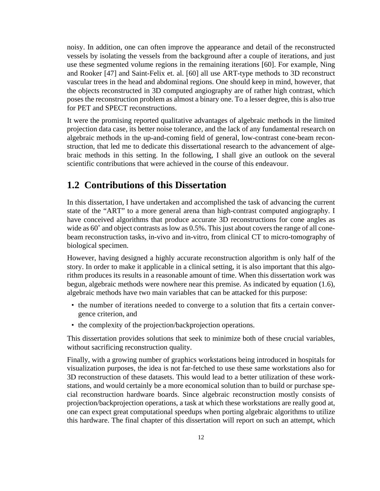noisy. In addition, one can often improve the appearance and detail of the reconstructed vessels by isolating the vessels from the background after a couple of iterations, and just use these segmented volume regions in the remaining iterations [60]. For example, Ning and Rooker [47] and Saint-Felix et. al. [60] all use ART-type methods to 3D reconstruct vascular trees in the head and abdominal regions. One should keep in mind, however, that the objects reconstructed in 3D computed angiography are of rather high contrast, which poses the reconstruction problem as almost a binary one. To a lesser degree, this is also true for PET and SPECT reconstructions.

It were the promising reported qualitative advantages of algebraic methods in the limited projection data case, its better noise tolerance, and the lack of any fundamental research on algebraic methods in the up-and-coming field of general, low-contrast cone-beam reconstruction, that led me to dedicate this dissertational research to the advancement of algebraic methods in this setting. In the following, I shall give an outlook on the several scientific contributions that were achieved in the course of this endeavour.

## **1.2 Contributions of this Dissertation**

In this dissertation, I have undertaken and accomplished the task of advancing the current state of the "ART" to a more general arena than high-contrast computed angiography. I have conceived algorithms that produce accurate 3D reconstructions for cone angles as wide as  $60^\circ$  and object contrasts as low as 0.5%. This just about covers the range of all conebeam reconstruction tasks, in-vivo and in-vitro, from clinical CT to micro-tomography of biological specimen.

However, having designed a highly accurate reconstruction algorithm is only half of the story. In order to make it applicable in a clinical setting, it is also important that this algorithm produces its results in a reasonable amount of time. When this dissertation work was begun, algebraic methods were nowhere near this premise. As indicated by equation (1.6), algebraic methods have two main variables that can be attacked for this purpose:

- the number of iterations needed to converge to a solution that fits a certain convergence criterion, and
- the complexity of the projection/backprojection operations.

This dissertation provides solutions that seek to minimize both of these crucial variables, without sacrificing reconstruction quality.

Finally, with a growing number of graphics workstations being introduced in hospitals for visualization purposes, the idea is not far-fetched to use these same workstations also for 3D reconstruction of these datasets. This would lead to a better utilization of these workstations, and would certainly be a more economical solution than to build or purchase special reconstruction hardware boards. Since algebraic reconstruction mostly consists of projection/backprojection operations, a task at which these workstations are really good at, one can expect great computational speedups when porting algebraic algorithms to utilize this hardware. The final chapter of this dissertation will report on such an attempt, which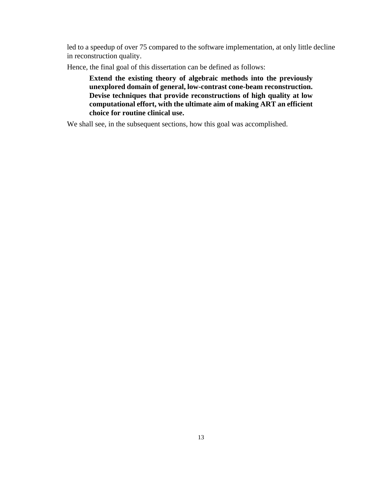led to a speedup of over 75 compared to the software implementation, at only little decline in reconstruction quality.

Hence, the final goal of this dissertation can be defined as follows:

**Extend the existing theory of algebraic methods into the previously unexplored domain of general, low-contrast cone-beam reconstruction. Devise techniques that provide reconstructions of high quality at low computational effort, with the ultimate aim of making ART an efficient choice for routine clinical use.**

We shall see, in the subsequent sections, how this goal was accomplished.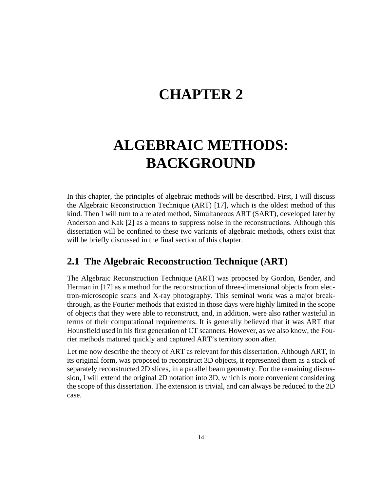## **CHAPTER 2**

# **ALGEBRAIC METHODS: BACKGROUND**

In this chapter, the principles of algebraic methods will be described. First, I will discuss the Algebraic Reconstruction Technique (ART) [17], which is the oldest method of this kind. Then I will turn to a related method, Simultaneous ART (SART), developed later by Anderson and Kak [2] as a means to suppress noise in the reconstructions. Although this dissertation will be confined to these two variants of algebraic methods, others exist that will be briefly discussed in the final section of this chapter.

## **2.1 The Algebraic Reconstruction Technique (ART)**

The Algebraic Reconstruction Technique (ART) was proposed by Gordon, Bender, and Herman in [17] as a method for the reconstruction of three-dimensional objects from electron-microscopic scans and X-ray photography. This seminal work was a major breakthrough, as the Fourier methods that existed in those days were highly limited in the scope of objects that they were able to reconstruct, and, in addition, were also rather wasteful in terms of their computational requirements. It is generally believed that it was ART that Hounsfield used in his first generation of CT scanners. However, as we also know, the Fourier methods matured quickly and captured ART's territory soon after.

Let me now describe the theory of ART as relevant for this dissertation. Although ART, in its original form, was proposed to reconstruct 3D objects, it represented them as a stack of separately reconstructed 2D slices, in a parallel beam geometry. For the remaining discussion, I will extend the original 2D notation into 3D, which is more convenient considering the scope of this dissertation. The extension is trivial, and can always be reduced to the 2D case.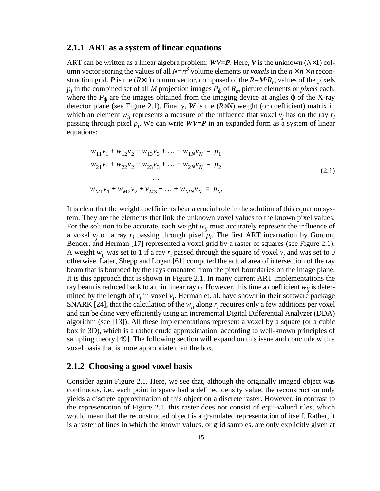#### **2.1.1 ART as a system of linear equations**

ART can be written as a linear algebra problem: *WV*=*P*. Here, *V* is the unknown (*N*×1) column vector storing the values of all  $N=n^3$  volume elements or *voxels* in the  $n \times n \times n$  reconstruction grid. **P** is the  $(R \times 1)$  column vector, composed of the  $R = M \cdot R_m$  values of the pixels  $p_i$  in the combined set of all *M* projection images  $P_{\varphi}$  of  $R_m$  picture elements or *pixels* each, where the  $P_{\varphi}$  are the images obtained from the imaging device at angles  $\varphi$  of the X-ray detector plane (see Figure 2.1). Finally, *W* is the (*R*×*N*) weight (or coefficient) matrix in which an element  $w_{ij}$  represents a measure of the influence that voxel  $v_j$  has on the ray  $r_i$ passing through pixel *pi* . We can write *WV***=***P* in an expanded form as a system of linear equations:

$$
w_{11}v_1 + w_{12}v_2 + w_{13}v_3 + \dots + w_{1N}v_N = p_1
$$
  
\n
$$
w_{21}v_1 + w_{22}v_2 + w_{23}v_3 + \dots + w_{2N}v_N = p_2
$$
  
\n...  
\n
$$
w_{M1}v_1 + w_{M2}v_2 + v_{M3} + \dots + w_{MN}v_N = p_M
$$
\n(2.1)

It is clear that the weight coefficients bear a crucial role in the solution of this equation system. They are the elements that link the unknown voxel values to the known pixel values. For the solution to be accurate, each weight  $w_{ij}$  must accurately represent the influence of a voxel  $v_j$  on a ray  $r_i$  passing through pixel  $p_i$ . The first ART incarnation by Gordon, Bender, and Herman [17] represented a voxel grid by a raster of squares (see Figure 2.1). A weight  $w_{ij}$  was set to 1 if a ray  $r_i$  passed through the square of voxel  $v_j$  and was set to 0 otherwise. Later, Shepp and Logan [61] computed the actual area of intersection of the ray beam that is bounded by the rays emanated from the pixel boundaries on the image plane. It is this approach that is shown in Figure 2.1. In many current ART implementations the ray beam is reduced back to a thin linear ray  $r_i$ . However, this time a coefficient  $w_{ij}$  is determined by the length of  $r_i$  in voxel  $v_j$ . Herman et. al. have shown in their software package SNARK [24], that the calculation of the  $w_{ij}$  along  $r_i$  requires only a few additions per voxel and can be done very efficiently using an incremental Digital Differential Analyzer (DDA) algorithm (see [13]). All these implementations represent a voxel by a square (or a cubic box in 3D), which is a rather crude approximation, according to well-known principles of sampling theory [49]. The following section will expand on this issue and conclude with a voxel basis that is more appropriate than the box.

#### **2.1.2 Choosing a good voxel basis**

Consider again Figure 2.1. Here, we see that, although the originally imaged object was continuous, i.e., each point in space had a defined density value, the reconstruction only yields a discrete approximation of this object on a discrete raster. However, in contrast to the representation of Figure 2.1, this raster does not consist of equi-valued tiles, which would mean that the reconstructed object is a granulated representation of itself. Rather, it is a raster of lines in which the known values, or grid samples, are only explicitly given at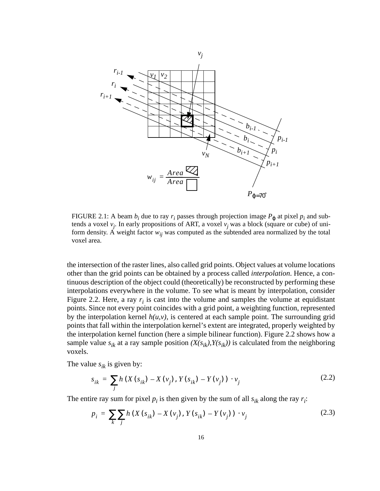

FIGURE 2.1: A beam  $b_i$  due to ray  $r_i$  passes through projection image  $P_{\varphi}$  at pixel  $p_i$  and subtends a voxel *vj* . In early propositions of ART, a voxel *vj* was a block (square or cube) of uniform density. A weight factor  $w_{ij}$  was computed as the subtended area normalized by the total voxel area.

the intersection of the raster lines, also called grid points. Object values at volume locations other than the grid points can be obtained by a process called *interpolation*. Hence, a continuous description of the object could (theoretically) be reconstructed by performing these interpolations everywhere in the volume. To see what is meant by interpolation, consider Figure 2.2. Here, a ray  $r_i$  is cast into the volume and samples the volume at equidistant points. Since not every point coincides with a grid point, a weighting function, represented by the interpolation kernel  $h(u, v)$ , is centered at each sample point. The surrounding grid points that fall within the interpolation kernel's extent are integrated, properly weighted by the interpolation kernel function (here a simple bilinear function). Figure 2.2 shows how a sample value  $s_{ik}$  at a ray sample position  $(X(s_{ik}), Y(s_{ik}))$  is calculated from the neighboring voxels.

The value  $s_{ik}$  is given by:

$$
s_{ik} = \sum_{j} h(X(s_{ik}) - X(v_j), Y(s_{ik}) - Y(v_j)) \cdot v_j
$$
 (2.2)

The entire ray sum for pixel  $p_i$  is then given by the sum of all  $s_{ik}$  along the ray  $r_i$ :

$$
p_i = \sum_{k} \sum_{j} h(X(s_{ik}) - X(v_j), Y(s_{ik}) - Y(v_j)) \cdot v_j
$$
 (2.3)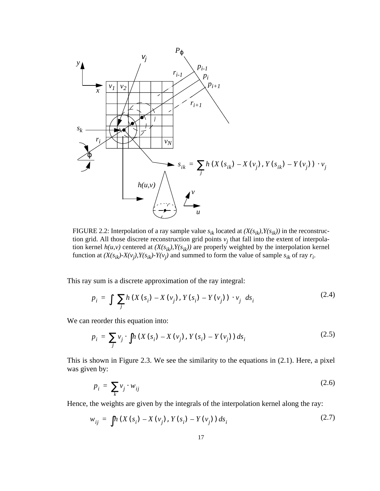

FIGURE 2.2: Interpolation of a ray sample value  $s_{ik}$  located at  $(X(s_{ik}), Y(s_{ik}))$  in the reconstruction grid. All those discrete reconstruction grid points  $v_j$  that fall into the extent of interpolation kernel  $h(u, v)$  centered at  $(X(s_{ik}), Y(s_{ik}))$  are properly weighted by the interpolation kernel function at  $(X(s_{ik})-X(v_j), Y(s_{ik})-Y(v_j)$  and summed to form the value of sample  $s_{ik}$  of ray  $r_i$ .

This ray sum is a discrete approximation of the ray integral:

$$
p_{i} = \iint_{j} \left( \sum_{j} h(X(s_{i}) - X(v_{j}), Y(s_{i}) - Y(v_{j})) \cdot v_{j} \right) ds_{i}
$$
 (2.4)

We can reorder this equation into:

$$
p_i = \sum_j v_j \cdot \int h(X(s_i) - X(v_j), Y(s_i) - Y(v_j)) ds_i
$$
 (2.5)

This is shown in Figure 2.3. We see the similarity to the equations in (2.1). Here, a pixel was given by:

$$
p_i = \sum_k v_j \cdot w_{ij} \tag{2.6}
$$

Hence, the weights are given by the integrals of the interpolation kernel along the ray:

$$
w_{ij} = \int h(X(s_i) - X(v_j), Y(s_i) - Y(v_j)) ds_i
$$
 (2.7)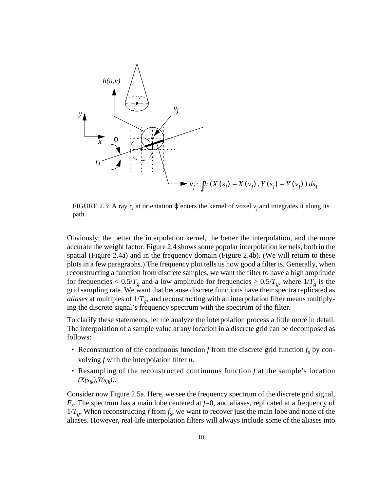

FIGURE 2.3: A ray  $r_i$  at orientation  $\varphi$  enters the kernel of voxel  $v_j$  and integrates it along its path.

Obviously, the better the interpolation kernel, the better the interpolation, and the more accurate the weight factor. Figure 2.4 shows some popular interpolation kernels, both in the spatial (Figure 2.4a) and in the frequency domain (Figure 2.4b). (We will return to these plots in a few paragraphs.) The frequency plot tells us how good a filter is. Generally, when reconstructing a function from discrete samples, we want the filter to have a high amplitude for frequencies  $\langle 0.5/T_g \rangle$  and a low amplitude for frequencies  $\langle 0.5/T_g \rangle$ , where  $1/T_g$  is the grid sampling rate. We want that because discrete functions have their spectra replicated as *aliases* at multiples of  $1/T_g$ , and reconstructing with an interpolation filter means multiplying the discrete signal's frequency spectrum with the spectrum of the filter.

To clarify these statements, let me analyze the interpolation process a little more in detail. The interpolation of a sample value at any location in a discrete grid can be decomposed as follows:

- Reconstruction of the continuous function  $f$  from the discrete grid function  $f_s$  by convolving *f* with the interpolation filter *h*.
- Resampling of the reconstructed continuous function *f* at the sample's location  $(X(s_{ik}), Y(s_{ik})).$

Consider now Figure 2.5a. Here, we see the frequency spectrum of the discrete grid signal, *Fs*. The spectrum has a main lobe centered at *f*=0, and aliases, replicated at a frequency of  $1/T_g$ . When reconstructing *f* from  $f_s$ , we want to recover just the main lobe and none of the aliases. However, real-life interpolation filters will always include some of the aliases into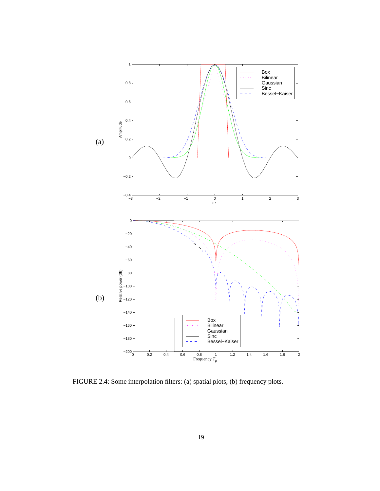

FIGURE 2.4: Some interpolation filters: (a) spatial plots, (b) frequency plots.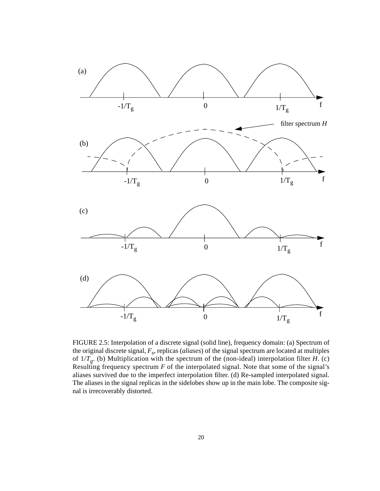

FIGURE 2.5: Interpolation of a discrete signal (solid line), frequency domain: (a) Spectrum of the original discrete signal,  $F_s$ , replicas (*aliases*) of the signal spectrum are located at multiples of  $1/T<sub>g</sub>$ . (b) Multiplication with the spectrum of the (non-ideal) interpolation filter *H*. (c) Resulting frequency spectrum *F* of the interpolated signal. Note that some of the signal's aliases survived due to the imperfect interpolation filter. (d) Re-sampled interpolated signal. The aliases in the signal replicas in the sidelobes show up in the main lobe. The composite signal is irrecoverably distorted.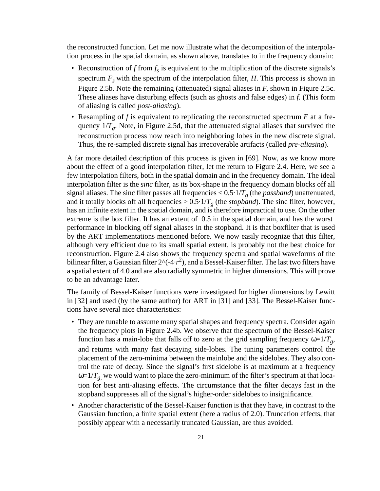the reconstructed function. Let me now illustrate what the decomposition of the interpolation process in the spatial domain, as shown above, translates to in the frequency domain:

- Reconstruction of  $f$  from  $f_s$  is equivalent to the multiplication of the discrete signals's spectrum  $F<sub>s</sub>$  with the spectrum of the interpolation filter, *H*. This process is shown in Figure 2.5b. Note the remaining (attenuated) signal aliases in *F*, shown in Figure 2.5c. These aliases have disturbing effects (such as ghosts and false edges) in *f*. (This form of aliasing is called *post-aliasing*).
- Resampling of *f* is equivalent to replicating the reconstructed spectrum *F* at a frequency  $1/T_g$ . Note, in Figure 2.5d, that the attenuated signal aliases that survived the reconstruction process now reach into neighboring lobes in the new discrete signal. Thus, the re-sampled discrete signal has irrecoverable artifacts (called *pre-aliasing*).

A far more detailed description of this process is given in [69]. Now, as we know more about the effect of a good interpolation filter, let me return to Figure 2.4. Here, we see a few interpolation filters, both in the spatial domain and in the frequency domain. The ideal interpolation filter is the *sinc* filter, as its box-shape in the frequency domain blocks off all signal aliases. The sinc filter passes all frequencies  $< 0.5 \cdot 1/T<sub>g</sub>$  (the *passband*) unattenuated, and it totally blocks off all frequencies  $> 0.5 \cdot 1/T_g$  (the *stopband*). The sinc filter, however, has an infinite extent in the spatial domain, and is therefore impractical to use. On the other extreme is the box filter. It has an extent of 0.5 in the spatial domain, and has the worst performance in blocking off signal aliases in the stopband. It is that boxfilter that is used by the ART implementations mentioned before. We now easily recognize that this filter, although very efficient due to its small spatial extent, is probably not the best choice for reconstruction. Figure 2.4 also shows the frequency spectra and spatial waveforms of the bilinear filter, a Gaussian filter  $2^x(-4\cdot r^2)$ , and a Bessel-Kaiser filter. The last two filters have a spatial extent of 4.0 and are also radially symmetric in higher dimensions. This will prove to be an advantage later.

The family of Bessel-Kaiser functions were investigated for higher dimensions by Lewitt in [32] and used (by the same author) for ART in [31] and [33]. The Bessel-Kaiser functions have several nice characteristics:

- They are tunable to assume many spatial shapes and frequency spectra. Consider again the frequency plots in Figure 2.4b. We observe that the spectrum of the Bessel-Kaiser function has a main-lobe that falls off to zero at the grid sampling frequency  $\omega=1/T_g$ , and returns with many fast decaying side-lobes. The tuning parameters control the placement of the zero-minima between the mainlobe and the sidelobes. They also control the rate of decay. Since the signal's first sidelobe is at maximum at a frequency  $\omega=1/T_g$ , we would want to place the zero-minimum of the filter's spectrum at that location for best anti-aliasing effects. The circumstance that the filter decays fast in the stopband suppresses all of the signal's higher-order sidelobes to insignificance.
- Another characteristic of the Bessel-Kaiser function is that they have, in contrast to the Gaussian function, a finite spatial extent (here a radius of 2.0). Truncation effects, that possibly appear with a necessarily truncated Gaussian, are thus avoided.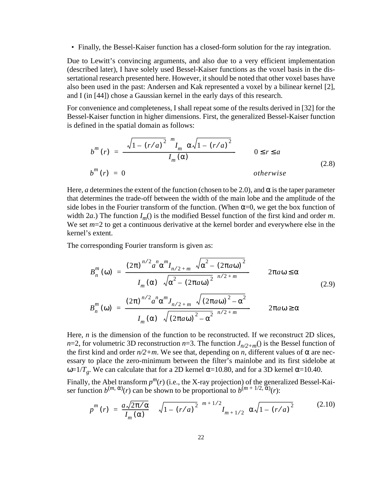• Finally, the Bessel-Kaiser function has a closed-form solution for the ray integration.

Due to Lewitt's convincing arguments, and also due to a very efficient implementation (described later), I have solely used Bessel-Kaiser functions as the voxel basis in the dissertational research presented here. However, it should be noted that other voxel bases have also been used in the past: Andersen and Kak represented a voxel by a bilinear kernel [2], and I (in [44]) chose a Gaussian kernel in the early days of this research.

For convenience and completeness, I shall repeat some of the results derived in [32] for the Bessel-Kaiser function in higher dimensions. First, the generalized Bessel-Kaiser function is defined in the spatial domain as follows:

$$
b^{m}(r) = \frac{\left(\sqrt{1 - (r/a)^{2}}\right)^{m} I_{m}\left(\alpha \sqrt{1 - (r/a)^{2}}\right)}{I_{m}(\alpha)}
$$
 0 \le r \le a  
\n
$$
b^{m}(r) = 0
$$
 0.8)

Here, *a* determines the extent of the function (chosen to be 2.0), and  $\alpha$  is the taper parameter that determines the trade-off between the width of the main lobe and the amplitude of the side lobes in the Fourier transform of the function. (When  $\alpha=0$ , we get the box function of width 2*a*.) The function  $I_m$ () is the modified Bessel function of the first kind and order *m*. We set  $m=2$  to get a continuous derivative at the kernel border and everywhere else in the kernel's extent.

The corresponding Fourier transform is given as:

$$
B_n^m(\omega) = \frac{(2\pi)^{n/2} a^n \alpha^m I_{n/2+m} \left(\sqrt{\alpha^2 - (2\pi a \omega)^2}\right)}{I_m(\alpha) \left(\sqrt{\alpha^2 - (2\pi a \omega)^2}\right)^{n/2+m}} \qquad 2\pi a \omega \le \alpha
$$
\n
$$
B_n^m(\omega) = \frac{(2\pi)^{n/2} a^n \alpha^m J_{n/2+m} \left(\sqrt{(2\pi a \omega)^2 - \alpha^2}\right)}{I_m(\alpha) \left(\sqrt{(2\pi a \omega)^2 - \alpha^2}\right)^{n/2+m}} \qquad 2\pi a \omega \ge \alpha
$$
\n(2.9)

Here, *n* is the dimension of the function to be reconstructed. If we reconstruct 2D slices, *n*=2, for volumetric 3D reconstruction *n*=3. The function  $J_{n/2+m}$ () is the Bessel function of the first kind and order  $n/2+m$ . We see that, depending on *n*, different values of  $\alpha$  are necessary to place the zero-minimum between the filter's mainlobe and its first sidelobe at ω=1/*T<sub>g</sub>*. We can calculate that for a 2D kernel α=10.80, and for a 3D kernel α=10.40.

Finally, the Abel transform  $p^m(r)$  (i.e., the X-ray projection) of the generalized Bessel-Kaiser function  $b^{(m, \alpha)}(r)$  can be shown to be proportional to  $b^{(m+1/2, \alpha)}(r)$ :

$$
p^{m}(r) = \frac{a\sqrt{2\pi/\alpha}}{I_{m}(\alpha)} \bigg( \bigg( \sqrt{1 - (r/a)^{2}} \bigg)^{m+1/2} I_{m+1/2} \bigg( \alpha\sqrt{1 - (r/a)^{2}} \bigg) \bigg)
$$
(2.10)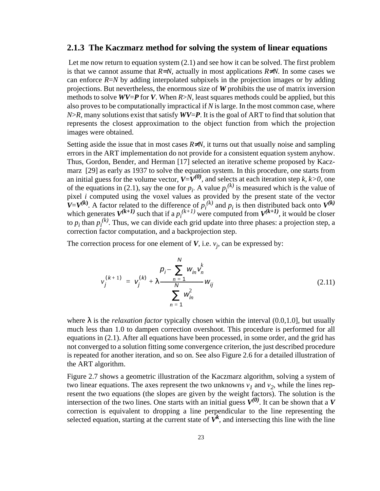#### **2.1.3 The Kaczmarz method for solving the system of linear equations**

 Let me now return to equation system (2.1) and see how it can be solved. The first problem is that we cannot assume that  $R=N$ , actually in most applications  $R \neq N$ . In some cases we can enforce  $R=N$  by adding interpolated subpixels in the projection images or by adding projections. But nevertheless, the enormous size of *W* prohibits the use of matrix inversion methods to solve *WV*=*P* for *V*. When *R*>*N,* least squares methods could be applied, but this also proves to be computationally impractical if *N* is large. In the most common case, where *N*>*R*, many solutions exist that satisfy *WV*=*P*. It is the goal of ART to find that solution that represents the closest approximation to the object function from which the projection images were obtained.

Setting aside the issue that in most cases  $R \neq N$ , it turns out that usually noise and sampling errors in the ART implementation do not provide for a consistent equation system anyhow. Thus, Gordon, Bender, and Herman [17] selected an iterative scheme proposed by Kaczmarz [29] as early as 1937 to solve the equation system. In this procedure, one starts from an initial guess for the volume vector,  $V=V^{(0)}$ , and selects at each iteration step *k*, *k*>0, one of the equations in (2.1), say the one for  $p_i$ . A value  $p_i^{(k)}$  is measured which is the value of pixel *i* computed using the voxel values as provided by the present state of the vector  $V=V^{(k)}$ . A factor related to the difference of  $p_i^{(k)}$  and  $p_i$  is then distributed back onto  $V^{(k)}$ which generates  $V^{(k+1)}$  such that if a  $p_i^{(k+1)}$  were computed from  $V^{(k+1)}$ , it would be closer to  $p_i$  than  $p_i^{(k)}$ . Thus, we can divide each grid update into three phases: a projection step, a correction factor computation, and a backprojection step.

The correction process for one element of *V*, i.e. *vj* , can be expressed by:

$$
v_j^{(k+1)} = v_j^{(k)} + \lambda \frac{p_i - \sum_{n=1}^N w_{in} v_n^k}{\sum_{n=1}^N w_{in}^2} w_{ij}
$$
 (2.11)

where  $\lambda$  is the *relaxation factor* typically chosen within the interval  $(0.0,1.0]$ , but usually much less than 1.0 to dampen correction overshoot. This procedure is performed for all equations in (2.1). After all equations have been processed, in some order, and the grid has not converged to a solution fitting some convergence criterion, the just described procedure is repeated for another iteration, and so on. See also Figure 2.6 for a detailed illustration of the ART algorithm.

Figure 2.7 shows a geometric illustration of the Kaczmarz algorithm, solving a system of two linear equations. The axes represent the two unknowns  $v_1$  and  $v_2$ , while the lines represent the two equations (the slopes are given by the weight factors). The solution is the intersection of the two lines. One starts with an initial guess  $V^{(0)}$ . It can be shown that a *V* correction is equivalent to dropping a line perpendicular to the line representing the selected equation, starting at the current state of  $\vec{V}^k$ , and intersecting this line with the line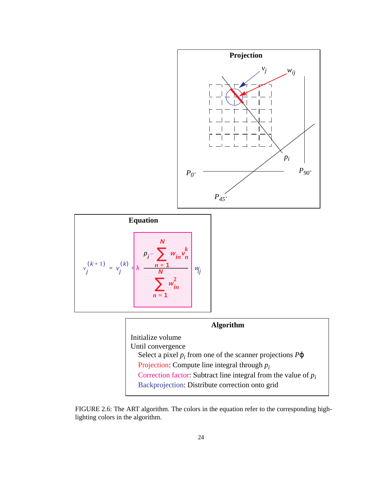





FIGURE 2.6: The ART algorithm. The colors in the equation refer to the corresponding highlighting colors in the algorithm.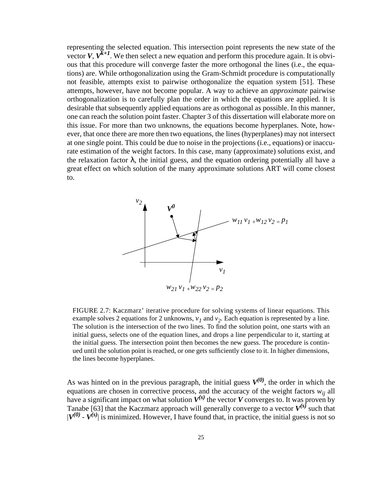representing the selected equation. This intersection point represents the new state of the vector *V*,  $V^{k+1}$ . We then select a new equation and perform this procedure again. It is obvious that this procedure will converge faster the more orthogonal the lines (i.e., the equations) are. While orthogonalization using the Gram-Schmidt procedure is computationally not feasible, attempts exist to pairwise orthogonalize the equation system [51]. These attempts, however, have not become popular. A way to achieve an *approximate* pairwise orthogonalization is to carefully plan the order in which the equations are applied. It is desirable that subsequently applied equations are as orthogonal as possible. In this manner, one can reach the solution point faster. Chapter 3 of this dissertation will elaborate more on this issue. For more than two unknowns, the equations become hyperplanes. Note, however, that once there are more then two equations, the lines (hyperplanes) may not intersect at one single point. This could be due to noise in the projections (i.e., equations) or inaccurate estimation of the weight factors. In this case, many (approximate) solutions exist, and the relaxation factor  $\lambda$ , the initial guess, and the equation ordering potentially all have a great effect on which solution of the many approximate solutions ART will come closest to.



FIGURE 2.7: Kaczmarz' iterative procedure for solving systems of linear equations. This example solves 2 equations for 2 unknowns,  $v_1$  and  $v_2$ . Each equation is represented by a line. The solution is the intersection of the two lines. To find the solution point, one starts with an initial guess, selects one of the equation lines, and drops a line perpendicular to it, starting at the initial guess. The intersection point then becomes the new guess. The procedure is continued until the solution point is reached, or one gets sufficiently close to it. In higher dimensions, the lines become hyperplanes.

As was hinted on in the previous paragraph, the initial guess  $V^{(0)}$ , the order in which the equations are chosen in corrective process, and the accuracy of the weight factors  $w_{ij}$  all have a significant impact on what solution  $V^{(s)}$  the vector *V* converges to. It was proven by Tanabe [63] that the Kaczmarz approach will generally converge to a vector  $V^{(s)}$  such that  $|V^{(0)} - V^{(s)}|$  is minimized. However, I have found that, in practice, the initial guess is not so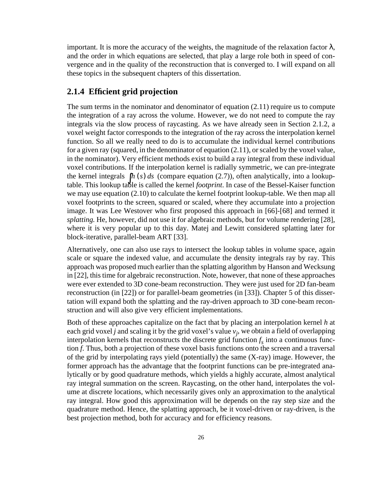important. It is more the accuracy of the weights, the magnitude of the relaxation factor  $\lambda$ , and the order in which equations are selected, that play a large role both in speed of convergence and in the quality of the reconstruction that is converged to. I will expand on all these topics in the subsequent chapters of this dissertation.

#### **2.1.4 Efficient grid projection**

The sum terms in the nominator and denominator of equation  $(2.11)$  require us to compute the integration of a ray across the volume. However, we do not need to compute the ray integrals via the slow process of raycasting. As we have already seen in Section 2.1.2, a voxel weight factor corresponds to the integration of the ray across the interpolation kernel function. So all we really need to do is to accumulate the individual kernel contributions for a given ray (squared, in the denominator of equation (2.11), or scaled by the voxel value, in the nominator). Very efficient methods exist to build a ray integral from these individual voxel contributions. If the interpolation kernel is radially symmetric, we can pre-integrate the kernel integrals  $\int h(s) ds$  (compare equation (2.7)), often analytically, into a lookup-<br>*h* slight distribution of the large of the local integral formation table. This lookup table is called the kernel *footprint*. In case of the Bessel-Kaiser function we may use equation (2.10) to calculate the kernel footprint lookup-table. We then map all voxel footprints to the screen, squared or scaled, where they accumulate into a projection image. It was Lee Westover who first proposed this approach in [66]-[68] and termed it *splatting.* He, however, did not use it for algebraic methods, but for volume rendering [28], where it is very popular up to this day. Matej and Lewitt considered splatting later for block-iterative, parallel-beam ART [33].

Alternatively, one can also use rays to intersect the lookup tables in volume space, again scale or square the indexed value, and accumulate the density integrals ray by ray. This approach was proposed much earlier than the splatting algorithm by Hanson and Wecksung in [22], this time for algebraic reconstruction. Note, however, that none of these approaches were ever extended to 3D cone-beam reconstruction. They were just used for 2D fan-beam reconstruction (in [22]) or for parallel-beam geometries (in [33]). Chapter 5 of this dissertation will expand both the splatting and the ray-driven approach to 3D cone-beam reconstruction and will also give very efficient implementations.

Both of these approaches capitalize on the fact that by placing an interpolation kernel *h* at each grid voxel *j* and scaling it by the grid voxel's value *vj* , we obtain a field of overlapping interpolation kernels that reconstructs the discrete grid function  $f_s$  into a continuous function *f*. Thus, both a projection of these voxel basis functions onto the screen and a traversal of the grid by interpolating rays yield (potentially) the same (X-ray) image. However, the former approach has the advantage that the footprint functions can be pre-integrated analytically or by good quadrature methods, which yields a highly accurate, almost analytical ray integral summation on the screen. Raycasting, on the other hand, interpolates the volume at discrete locations, which necessarily gives only an approximation to the analytical ray integral. How good this approximation will be depends on the ray step size and the quadrature method. Hence, the splatting approach, be it voxel-driven or ray-driven, is the best projection method, both for accuracy and for efficiency reasons.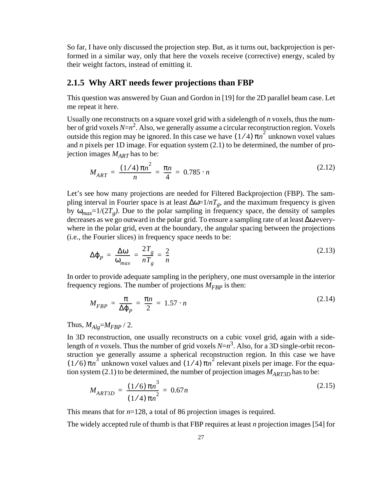So far, I have only discussed the projection step. But, as it turns out, backprojection is performed in a similar way, only that here the voxels receive (corrective) energy, scaled by their weight factors, instead of emitting it.

#### **2.1.5 Why ART needs fewer projections than FBP**

This question was answered by Guan and Gordon in [19] for the 2D parallel beam case. Let me repeat it here.

Usually one reconstructs on a square voxel grid with a sidelength of *n* voxels, thus the number of grid voxels *N*= $n^2$ . Also, we generally assume a circular reconstruction region. Voxels outside this region may be ignored. In this case we have  $(1/4) \pi n^2$  unknown voxel values and *n* pixels per 1D image. For equation system (2.1) to be determined, the number of projection images  $M_{ART}$  has to be:

$$
M_{ART} = \frac{(1/4)\pi n^2}{n} = \frac{\pi n}{4} = 0.785 \cdot n \tag{2.12}
$$

Let's see how many projections are needed for Filtered Backprojection (FBP). The sampling interval in Fourier space is at least  $\Delta \omega = 1/nT_g$ , and the maximum frequency is given by  $\omega_{max} = 1/(2T_g)$ . Due to the polar sampling in frequency space, the density of samples decreases as we go outward in the polar grid. To ensure a sampling rate of at least ∆ω everywhere in the polar grid, even at the boundary, the angular spacing between the projections (i.e., the Fourier slices) in frequency space needs to be:

$$
\Delta \varphi_P = \frac{\Delta \omega}{\omega_{max}} = \frac{2T_g}{nT_g} = \frac{2}{n}
$$
\n(2.13)

In order to provide adequate sampling in the periphery, one must oversample in the interior frequency regions. The number of projections  $M_{FBP}$  is then:

$$
M_{FBP} = \frac{\pi}{\Delta \varphi_P} = \frac{\pi n}{2} = 1.57 \cdot n \tag{2.14}
$$

Thus,  $M_{Alg} = M_{FBP} / 2$ .

In 3D reconstruction, one usually reconstructs on a cubic voxel grid, again with a sidelength of *n* voxels. Thus the number of grid voxels  $N=n^3$ . Also, for a 3D single-orbit reconstruction we generally assume a spherical reconstruction region. In this case we have  $(1/6)$  π*n*<sup>3</sup> unknown voxel values and  $(1/4)$  π*n*<sup>2</sup> relevant pixels per image. For the equation system (2.1) to be determined, the number of projection images  $M_{ART3D}$  has to be:

$$
M_{ART3D} = \frac{(1/6)\pi n^3}{(1/4)\pi n^2} = 0.67n
$$
\n(2.15)

This means that for *n*=128, a total of 86 projection images is required.

The widely accepted rule of thumb is that FBP requires at least *n* projection images [54] for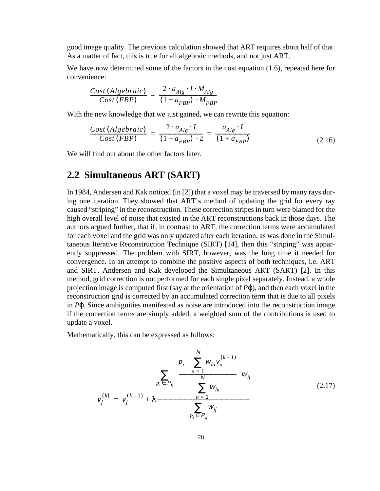good image quality. The previous calculation showed that ART requires about half of that. As a matter of fact, this is true for all algebraic methods, and not just ART.

We have now determined some of the factors in the cost equation (1.6), repeated here for convenience:

$$
\frac{Cost(Algebraic)}{Cost(FBP)} = \frac{2 \cdot a_{Alg} \cdot I \cdot M_{Alg}}{(1 + a_{FBP}) \cdot M_{FBP}}
$$

With the new knowledge that we just gained, we can rewrite this equation:

$$
\frac{Cost(Algebraic)}{Cost(FBP)} = \frac{2 \cdot a_{Alg} \cdot I}{(1 + a_{FBP}) \cdot 2} = \frac{a_{Alg} \cdot I}{(1 + a_{FBP})}
$$
(2.16)

We will find out about the other factors later.

### **2.2 Simultaneous ART (SART)**

In 1984, Andersen and Kak noticed (in [2]) that a voxel may be traversed by many rays during one iteration. They showed that ART's method of updating the grid for every ray caused "striping" in the reconstruction. These correction stripes in turn were blamed for the high overall level of noise that existed in the ART reconstructions back in those days. The authors argued further, that if, in contrast to ART, the correction terms were accumulated for each voxel and the grid was only updated after each iteration, as was done in the Simultaneous Iterative Reconstruction Technique (SIRT) [14], then this "striping" was apparently suppressed. The problem with SIRT, however, was the long time it needed for convergence. In an attempt to combine the positive aspects of both techniques, i.e. ART and SIRT, Andersen and Kak developed the Simultaneous ART (SART) [2]. In this method, grid correction is not performed for each single pixel separately. Instead, a whole projection image is computed first (say at the orientation of  $P\phi$ ), and then each voxel in the reconstruction grid is corrected by an accumulated correction term that is due to all pixels in *P*ϕ. Since ambiguities manifested as noise are introduced into the reconstruction image if the correction terms are simply added, a weighted sum of the contributions is used to update a voxel.

Mathematically, this can be expressed as follows:

$$
v_{j}^{(k)} = v_{j}^{(k-1)} + \lambda \frac{\sum_{p_{i} \in P_{\varphi}} \left( \frac{p_{i} - \sum_{n=1}^{N} w_{in} v_{n}^{(k-1)}}{\sum_{n=1}^{N} w_{in}} \right) w_{ij}}{\sum_{p_{i} \in P_{\varphi}} w_{ij}}
$$
(2.17)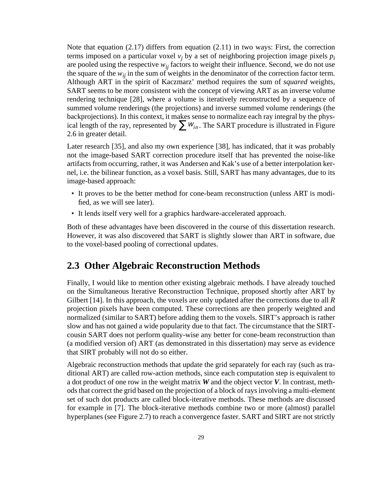Note that equation (2.17) differs from equation (2.11) in two ways: First, the correction terms imposed on a particular voxel  $v_j$  by a set of neighboring projection image pixels  $p_i$ are pooled using the respective  $w_{ij}$  factors to weight their influence. Second, we do not use the square of the  $w_{ij}$  in the sum of weights in the denominator of the correction factor term. Although ART in the spirit of Kaczmarz' method requires the sum of *squared* weights, SART seems to be more consistent with the concept of viewing ART as an inverse volume rendering technique [28], where a volume is iteratively reconstructed by a sequence of summed volume renderings (the projections) and inverse summed volume renderings (the backprojections). In this context, it makes sense to normalize each ray integral by the physical length of the ray, represented by  $\sum_{n} W_{in}$ . The SART procedure is illustrated in Figure 2.6 in greater detail.

Later research [35], and also my own experience [38], has indicated, that it was probably not the image-based SART correction procedure itself that has prevented the noise-like artifacts from occurring, rather, it was Andersen and Kak's use of a better interpolation kernel, i.e. the bilinear function, as a voxel basis. Still, SART has many advantages, due to its image-based approach:

- It proves to be the better method for cone-beam reconstruction (unless ART is modified, as we will see later).
- It lends itself very well for a graphics hardware-accelerated approach.

Both of these advantages have been discovered in the course of this dissertation research. However, it was also discovered that SART is slightly slower than ART in software, due to the voxel-based pooling of correctional updates.

### **2.3 Other Algebraic Reconstruction Methods**

Finally, I would like to mention other existing algebraic methods. I have already touched on the Simultaneous Iterative Reconstruction Technique, proposed shortly after ART by Gilbert [14]. In this approach, the voxels are only updated after the corrections due to all *R* projection pixels have been computed. These corrections are then properly weighted and normalized (similar to SART) before adding them to the voxels. SIRT's approach is rather slow and has not gained a wide popularity due to that fact. The circumstance that the SIRTcousin SART does not perform quality-wise any better for cone-beam reconstruction than (a modified version of) ART (as demonstrated in this dissertation) may serve as evidence that SIRT probably will not do so either.

Algebraic reconstruction methods that update the grid separately for each ray (such as traditional ART) are called row-action methods, since each computation step is equivalent to a dot product of one row in the weight matrix *W* and the object vector *V*. In contrast, methods that correct the grid based on the projection of a block of rays involving a multi-element set of such dot products are called block-iterative methods. These methods are discussed for example in [7]. The block-iterative methods combine two or more (almost) parallel hyperplanes (see Figure 2.7) to reach a convergence faster. SART and SIRT are not strictly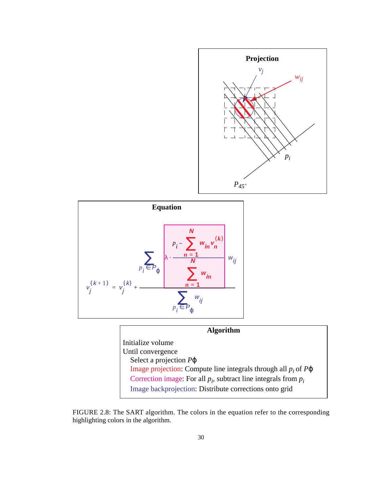





FIGURE 2.8: The SART algorithm. The colors in the equation refer to the corresponding highlighting colors in the algorithm.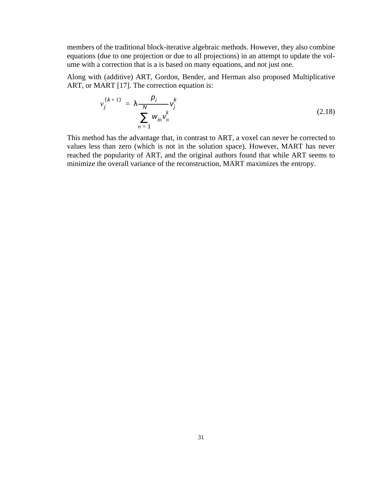members of the traditional block-iterative algebraic methods. However, they also combine equations (due to one projection or due to all projections) in an attempt to update the volume with a correction that is a is based on many equations, and not just one.

Along with (additive) ART, Gordon, Bender, and Herman also proposed Multiplicative ART, or MART [17]. The correction equation is:

$$
v_j^{(k+1)} = \lambda \frac{\rho_j}{N} v_j^k
$$
  

$$
\sum_{n=1}^N w_{jn} v_n^k
$$
 (2.18)

This method has the advantage that, in contrast to ART, a voxel can never be corrected to values less than zero (which is not in the solution space). However, MART has never reached the popularity of ART, and the original authors found that while ART seems to minimize the overall variance of the reconstruction, MART maximizes the entropy.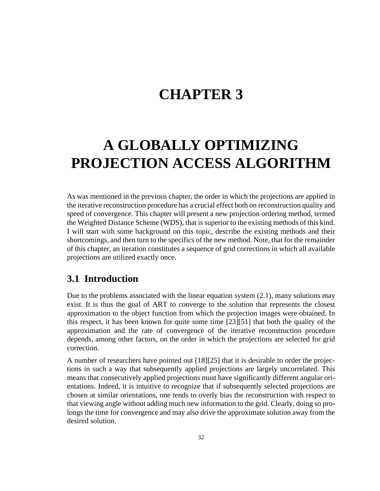## **CHAPTER 3**

# **A GLOBALLY OPTIMIZING PROJECTION ACCESS ALGORITHM**

As was mentioned in the previous chapter, the order in which the projections are applied in the iterative reconstruction procedure has a crucial effect both on reconstruction quality and speed of convergence. This chapter will present a new projection ordering method, termed the Weighted Distance Scheme (WDS), that is superior to the existing methods of this kind. I will start with some background on this topic, describe the existing methods and their shortcomings, and then turn to the specifics of the new method. Note, that for the remainder of this chapter, an iteration constitutes a sequence of grid corrections in which all available projections are utilized exactly once.

## **3.1 Introduction**

Due to the problems associated with the linear equation system  $(2.1)$ , many solutions may exist. It is thus the goal of ART to converge to the solution that represents the closest approximation to the object function from which the projection images were obtained. In this respect, it has been known for quite some time [23][51] that both the quality of the approximation and the rate of convergence of the iterative reconstruction procedure depends, among other factors, on the order in which the projections are selected for grid correction.

A number of researchers have pointed out [18][25] that it is desirable to order the projections in such a way that subsequently applied projections are largely uncorrelated. This means that consecutively applied projections must have significantly different angular orientations. Indeed, it is intuitive to recognize that if subsequently selected projections are chosen at similar orientations, one tends to overly bias the reconstruction with respect to that viewing angle without adding much new information to the grid. Clearly, doing so prolongs the time for convergence and may also drive the approximate solution away from the desired solution.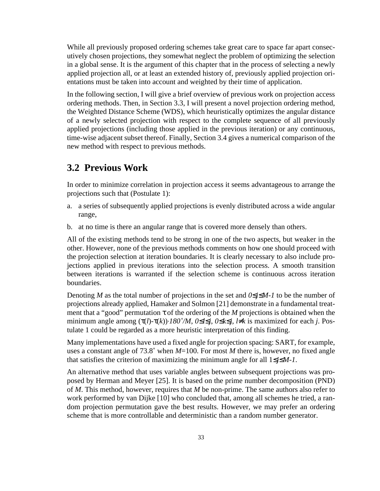While all previously proposed ordering schemes take great care to space far apart consecutively chosen projections, they somewhat neglect the problem of optimizing the selection in a global sense. It is the argument of this chapter that in the process of selecting a newly applied projection all, or at least an extended history of, previously applied projection orientations must be taken into account and weighted by their time of application.

In the following section, I will give a brief overview of previous work on projection access ordering methods. Then, in Section 3.3, I will present a novel projection ordering method, the Weighted Distance Scheme (WDS), which heuristically optimizes the angular distance of a newly selected projection with respect to the complete sequence of all previously applied projections (including those applied in the previous iteration) or any continuous, time-wise adjacent subset thereof. Finally, Section 3.4 gives a numerical comparison of the new method with respect to previous methods.

## **3.2 Previous Work**

In order to minimize correlation in projection access it seems advantageous to arrange the projections such that (Postulate 1):

- a. a series of subsequently applied projections is evenly distributed across a wide angular range,
- b. at no time is there an angular range that is covered more densely than others.

All of the existing methods tend to be strong in one of the two aspects, but weaker in the other. However, none of the previous methods comments on how one should proceed with the projection selection at iteration boundaries. It is clearly necessary to also include projections applied in previous iterations into the selection process. A smooth transition between iterations is warranted if the selection scheme is continuous across iteration boundaries.

Denoting *M* as the total number of projections in the set and *0*≤*j*≤*M-1* to be the number of projections already applied, Hamaker and Solmon [21] demonstrate in a fundamental treatment that a "good" permutation  $\tau$  of the ordering of the *M* projections is obtained when the minimum angle among (τ(*l*)-τ(*k*))⋅*180˚/M*, *0*≤*l*≤*j*, *0*≤*k*≤*j*, *l*≠*k* is maximized for each *j*. Postulate 1 could be regarded as a more heuristic interpretation of this finding.

Many implementations have used a fixed angle for projection spacing: SART, for example, uses a constant angle of 73.8˚ when *M*=100. For most *M* there is, however, no fixed angle that satisfies the criterion of maximizing the minimum angle for all 1≤*j*≤*M-1*.

An alternative method that uses variable angles between subsequent projections was proposed by Herman and Meyer [25]. It is based on the prime number decomposition (PND) of *M*. This method, however, requires that *M* be non-prime. The same authors also refer to work performed by van Dijke [10] who concluded that, among all schemes he tried, a random projection permutation gave the best results. However, we may prefer an ordering scheme that is more controllable and deterministic than a random number generator.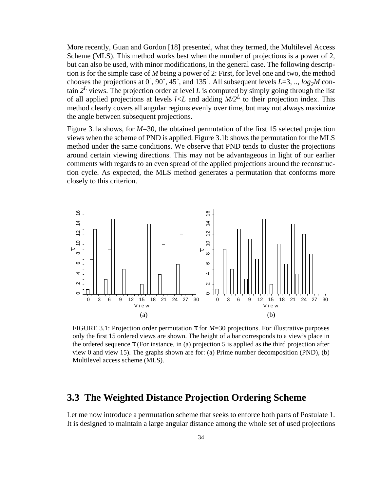More recently, Guan and Gordon [18] presented, what they termed, the Multilevel Access Scheme (MLS). This method works best when the number of projections is a power of 2, but can also be used, with minor modifications, in the general case. The following description is for the simple case of *M* being a power of 2: First, for level one and two, the method chooses the projections at  $0^{\circ}$ , 90°, 45°, and 135°. All subsequent levels *L*=3, .., *log<sub>2</sub>M* contain  $2^L$  views. The projection order at level L is computed by simply going through the list of all applied projections at levels  $l \leq L$  and adding  $M/2^L$  to their projection index. This method clearly covers all angular regions evenly over time, but may not always maximize the angle between subsequent projections.

Figure 3.1a shows, for *M*=30, the obtained permutation of the first 15 selected projection views when the scheme of PND is applied. Figure 3.1b shows the permutation for the MLS method under the same conditions. We observe that PND tends to cluster the projections around certain viewing directions. This may not be advantageous in light of our earlier comments with regards to an even spread of the applied projections around the reconstruction cycle. As expected, the MLS method generates a permutation that conforms more closely to this criterion.



FIGURE 3.1: Projection order permutation  $\tau$  for *M*=30 projections. For illustrative purposes only the first 15 ordered views are shown. The height of a bar corresponds to a view's place in the ordered sequence  $\tau$  (For instance, in (a) projection 5 is applied as the third projection after view 0 and view 15). The graphs shown are for: (a) Prime number decomposition (PND), (b) Multilevel access scheme (MLS).

### **3.3 The Weighted Distance Projection Ordering Scheme**

Let me now introduce a permutation scheme that seeks to enforce both parts of Postulate 1.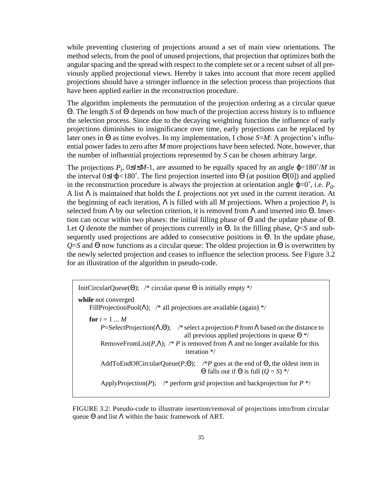while preventing clustering of projections around a set of main view orientations. The method selects, from the pool of unused projections, that projection that optimizes both the angular spacing and the spread with respect to the complete set or a recent subset of all previously applied projectional views. Hereby it takes into account that more recent applied projections should have a stronger influence in the selection process than projections that have been applied earlier in the reconstruction procedure.

The algorithm implements the permutation of the projection ordering as a circular queue Θ. The length *S* of Θ depends on how much of the projection access history is to influence the selection process. Since due to the decaying weighting function the influence of early projections diminishes to insignificance over time, early projections can be replaced by later ones in Θ as time evolves. In my implementation, I chose *S*=*M*: A projection's influential power fades to zero after *M* more projections have been selected. Note, however, that the number of influential projections represented by *S* can be chosen arbitrary large.

The projections  $P_i$ ,  $0 \le i \le M-1$ , are assumed to be equally spaced by an angle  $\varphi = 180^\circ/M$  in the interval 0≤*i*⋅ϕ*<*180˚. The first projection inserted into Θ (at position Θ[0]) and applied in the reconstruction procedure is always the projection at orientation angle  $\varphi=0^{\circ}$ , i.e.  $P_0$ . A list Λ is maintained that holds the *L* projections not yet used in the current iteration. At the beginning of each iteration,  $\Lambda$  is filled with all *M* projections. When a projection  $P_i$  is selected from Λ by our selection criterion, it is removed from Λ and inserted into Θ. Insertion can occur within two phases: the initial filling phase of Θ and the update phase of Θ. Let *Q* denote the number of projections currently in Θ. In the filling phase, *Q*<*S* and subsequently used projections are added to consecutive positions in Θ. In the update phase, *Q*=*S* and Θ now functions as a circular queue: The oldest projection in Θ is overwritten by the newly selected projection and ceases to influence the selection process. See Figure 3.2 for an illustration of the algorithm in pseudo-code.

| InitCircularQueue( $\Theta$ ); /* circular queue $\Theta$ is initially empty */                                                                                                                                                                                                                        |
|--------------------------------------------------------------------------------------------------------------------------------------------------------------------------------------------------------------------------------------------------------------------------------------------------------|
| while not converged<br>FillProjectionPool( $\Lambda$ ); /* all projections are available (again) */                                                                                                                                                                                                    |
| for $i=1M$<br>P=SelectProjection( $\Lambda$ , $\Theta$ ); /* select a projection P from $\Lambda$ based on the distance to<br>all previous applied projections in queue $\Theta^*$<br>RemoveFromList(P, $\Lambda$ ); /* P is removed from $\Lambda$ and no longer available for this<br>iteration $*/$ |
| AddToEndOfCircularQueue( $P$ , $\Theta$ ); /*P goes at the end of $\Theta$ , the oldest item in<br>$\Theta$ falls out if $\Theta$ is full $(Q = S)$ */                                                                                                                                                 |
| ApplyProjection(P); /* perform grid projection and backprojection for $P^*$ /                                                                                                                                                                                                                          |

FIGURE 3.2: Pseudo-code to illustrate insertion/removal of projections into/from circular queue  $\Theta$  and list  $\Lambda$  within the basic framework of ART.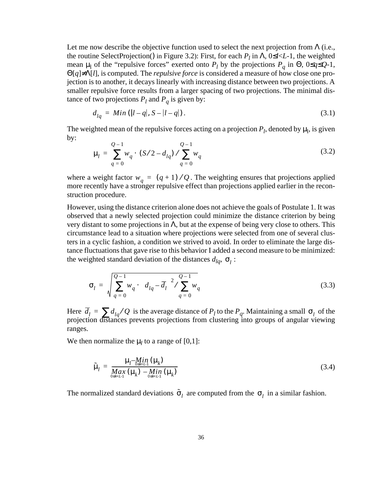Let me now describe the objective function used to select the next projection from  $\Lambda$  (i.e., the routine SelectProjection() in Figure 3.2): First, for each  $P_l$  in  $\Lambda$ , 0 ≤*l* < *L*-1, the weighted mean  $\mu_1$  of the "repulsive forces" exerted onto  $P_l$  by the projections  $P_q$  in  $\Theta$ ,  $0 \leq q \leq Q$ -1, Θ[*q*]≠Λ[*l*], is computed. The *repulsive force* is considered a measure of how close one projection is to another, it decays linearly with increasing distance between two projections. A smaller repulsive force results from a larger spacing of two projections. The minimal distance of two projections  $P_l$  and  $P_q$  is given by:

$$
d_{lq} = Min (|l - q|, S - |l - q|). \tag{3.1}
$$

The weighted mean of the repulsive forces acting on a projection  $P_l$ , denoted by  $\mu_l$ , is given by:

$$
\mu_{l} = \sum_{q=0}^{Q-1} w_{q} \cdot (S/2 - d_{lq}) / \sum_{q=0}^{Q-1} w_{q}
$$
\n(3.2)

where a weight factor  $w_q = (q + 1) / Q$ . The weighting ensures that projections applied more recently have a stronger repulsive effect than projections applied earlier in the reconstruction procedure.

However, using the distance criterion alone does not achieve the goals of Postulate 1. It was observed that a newly selected projection could minimize the distance criterion by being very distant to some projections in Λ, but at the expense of being very close to others. This circumstance lead to a situation where projections were selected from one of several clusters in a cyclic fashion, a condition we strived to avoid. In order to eliminate the large distance fluctuations that gave rise to this behavior I added a second measure to be minimized: the weighted standard deviation of the distances  $d_{lq}$ ,  $\sigma_l$ :

$$
\sigma_{l} = \sqrt{\sum_{q=0}^{Q-1} w_{q} \cdot \left(d_{lq} - \overline{d}_{l}\right)^{2} / \sum_{q=0}^{Q-1} w_{q}}
$$
(3.3)

Here  $\overline{d}_l = \sum d_{lq}/Q$  is the average distance of  $P_l$  to the  $P_q$ . Maintaining a small  $\sigma_l$  of the projection distances prevents projections from clustering into groups of angular viewing ranges.  $\overline{d}_l$  =  $\sum d_{lq}/Q$  is the average distance of  $P_l$  to the  $P_q$ . Maintaining a small  $\sigma_l$ 

We then normalize the  $\mu_l$  to a range of [0,1]:

$$
\tilde{\mu}_{l} = \frac{\mu_{l} - \underset{0 \le k < l-1}{M} (\mu_{k})}{\underset{0 \le k < l-1}{M} (\mu_{k}) - \underset{0 \le k < l-1}{M} (\mu_{k})} \tag{3.4}
$$

The normalized standard deviations  $\tilde{\sigma}_l$  are computed from the  $\sigma_l$  in a similar fashion.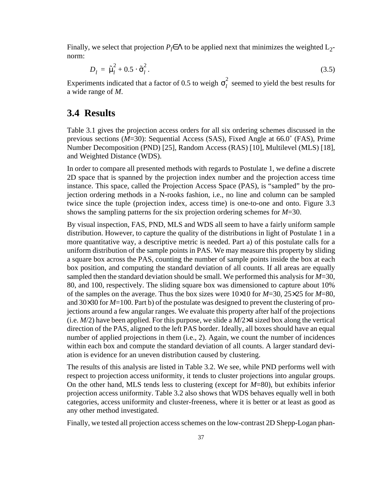Finally, we select that projection  $P_l \in \Lambda$  to be applied next that minimizes the weighted  $L_2$ norm:

$$
D_l = \tilde{\mu}_l^2 + 0.5 \cdot \tilde{\sigma}_l^2. \tag{3.5}
$$

Experiments indicated that a factor of 0.5 to weigh  $\sigma_l^2$  seemed to yield the best results for a wide range of *M*.

### **3.4 Results**

Table 3.1 gives the projection access orders for all six ordering schemes discussed in the previous sections (*M*=30): Sequential Access (SAS), Fixed Angle at 66.0˚ (FAS), Prime Number Decomposition (PND) [25], Random Access (RAS) [10], Multilevel (MLS) [18], and Weighted Distance (WDS).

In order to compare all presented methods with regards to Postulate 1, we define a discrete 2D space that is spanned by the projection index number and the projection access time instance. This space, called the Projection Access Space (PAS), is "sampled" by the projection ordering methods in a N-rooks fashion, i.e., no line and column can be sampled twice since the tuple (projection index, access time) is one-to-one and onto. Figure 3.3 shows the sampling patterns for the six projection ordering schemes for *M*=30.

By visual inspection, FAS, PND, MLS and WDS all seem to have a fairly uniform sample distribution. However, to capture the quality of the distributions in light of Postulate 1 in a more quantitative way, a descriptive metric is needed. Part a) of this postulate calls for a uniform distribution of the sample points in PAS. We may measure this property by sliding a square box across the PAS, counting the number of sample points inside the box at each box position, and computing the standard deviation of all counts. If all areas are equally sampled then the standard deviation should be small. We performed this analysis for *M*=30, 80, and 100, respectively. The sliding square box was dimensioned to capture about 10% of the samples on the average. Thus the box sizes were 10×10 for *M*=30, 25×25 for *M*=80, and 30×30 for *M*=100. Part b) of the postulate was designed to prevent the clustering of projections around a few angular ranges. We evaluate this property after half of the projections (i.e. *M*/2) have been applied. For this purpose, we slide a *M*/2×4 sized box along the vertical direction of the PAS, aligned to the left PAS border. Ideally, all boxes should have an equal number of applied projections in them (i.e., 2). Again, we count the number of incidences within each box and compute the standard deviation of all counts. A larger standard deviation is evidence for an uneven distribution caused by clustering.

The results of this analysis are listed in Table 3.2. We see, while PND performs well with respect to projection access uniformity, it tends to cluster projections into angular groups. On the other hand, MLS tends less to clustering (except for *M*=80), but exhibits inferior projection access uniformity. Table 3.2 also shows that WDS behaves equally well in both categories, access uniformity and cluster-freeness, where it is better or at least as good as any other method investigated.

Finally, we tested all projection access schemes on the low-contrast 2D Shepp-Logan phan-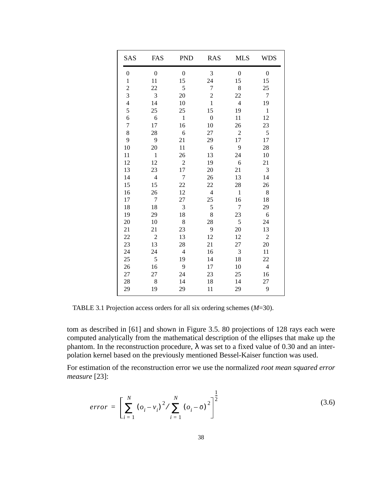| SAS              | FAS            | <b>PND</b>     | <b>RAS</b>       | <b>MLS</b>       | WDS              |
|------------------|----------------|----------------|------------------|------------------|------------------|
| $\boldsymbol{0}$ | $\mathbf{0}$   | $\mathbf{0}$   | 3                | $\boldsymbol{0}$ | $\boldsymbol{0}$ |
| $\mathbf{1}$     | 11             | 15             | 24               | 15               | 15               |
| $\overline{c}$   | 22             | 5              | 7                | 8                | 25               |
| 3                | 3              | 20             | $\overline{c}$   | 22               | $\overline{7}$   |
| $\overline{4}$   | 14             | 10             | $\mathbf{1}$     | $\overline{4}$   | 19               |
| 5                | 25             | 25             | 15               | 19               | $\mathbf{1}$     |
| 6                | 6              | $\mathbf{1}$   | $\boldsymbol{0}$ | 11               | 12               |
| 7                | 17             | 16             | 10               | 26               | 23               |
| 8                | 28             | 6              | 27               | $\overline{2}$   | 5                |
| 9                | 9              | 21             | 29               | 17               | 17               |
| 10               | 20             | 11             | 6                | 9                | 28               |
| 11               | $\mathbf{1}$   | 26             | 13               | 24               | 10               |
| 12               | 12             | $\overline{2}$ | 19               | 6                | 21               |
| 13               | 23             | 17             | 20               | 21               | 3                |
| 14               | $\overline{4}$ | $\overline{7}$ | 26               | 13               | 14               |
| 15               | 15             | 22             | 22               | 28               | 26               |
| 16               | 26             | 12             | $\overline{4}$   | $\mathbf{1}$     | 8                |
| 17               | $\overline{7}$ | 27             | 25               | 16               | 18               |
| 18               | 18             | 3              | 5                | $\overline{7}$   | 29               |
| 19               | 29             | 18             | 8                | 23               | 6                |
| 20               | 10             | 8              | 28               | 5                | 24               |
| 21               | 21             | 23             | 9                | 20               | 13               |
| 22               | $\overline{c}$ | 13             | 12               | 12               | $\overline{c}$   |
| 23               | 13             | 28             | 21               | 27               | 20               |
| 24               | 24             | $\overline{4}$ | 16               | 3                | 11               |
| 25               | $\sqrt{5}$     | 19             | 14               | 18               | 22               |
| 26               | 16             | 9              | 17               | 10               | $\overline{4}$   |
| 27               | 27             | 24             | 23               | 25               | 16               |
| 28               | 8              | 14             | 18               | 14               | 27               |
| 29               | 19             | 29             | 11               | 29               | 9                |

TABLE 3.1 Projection access orders for all six ordering schemes (*M*=30).

tom as described in [61] and shown in Figure 3.5. 80 projections of 128 rays each were computed analytically from the mathematical description of the ellipses that make up the phantom. In the reconstruction procedure,  $λ$  was set to a fixed value of 0.30 and an interpolation kernel based on the previously mentioned Bessel-Kaiser function was used.

For estimation of the reconstruction error we use the normalized *root mean squared error measure* [23]:

$$
error = \left[ \sum_{i=1}^{N} (o_i - v_i)^2 / \sum_{i=1}^{N} (o_i - \bar{o})^2 \right]^{\frac{1}{2}}
$$
(3.6)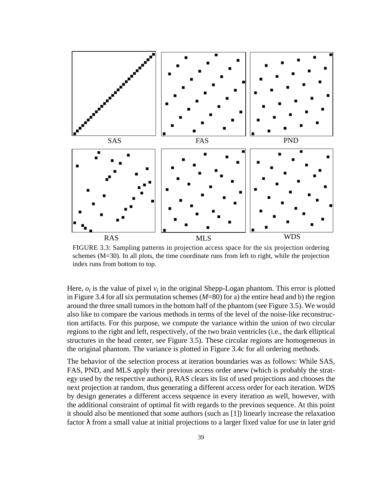

FIGURE 3.3: Sampling patterns in projection access space for the six projection ordering schemes (M=30). In all plots, the time coordinate runs from left to right, while the projection index runs from bottom to top.

Here,  $o_i$  is the value of pixel  $v_i$  in the original Shepp-Logan phantom. This error is plotted in Figure 3.4 for all six permutation schemes (*M*=80) for a) the entire head and b) the region around the three small tumors in the bottom half of the phantom (see Figure 3.5). We would also like to compare the various methods in terms of the level of the noise-like reconstruction artifacts. For this purpose, we compute the variance within the union of two circular regions to the right and left, respectively, of the two brain ventricles (i.e., the dark elliptical structures in the head center, see Figure 3.5). These circular regions are homogeneous in the original phantom. The variance is plotted in Figure 3.4c for all ordering methods.

The behavior of the selection process at iteration boundaries was as follows: While SAS, FAS, PND, and MLS apply their previous access order anew (which is probably the strategy used by the respective authors), RAS clears its list of used projections and chooses the next projection at random, thus generating a different access order for each iteration. WDS by design generates a different access sequence in every iteration as well, however, with the additional constraint of optimal fit with regards to the previous sequence. At this point it should also be mentioned that some authors (such as [1]) linearly increase the relaxation factor  $\lambda$  from a small value at initial projections to a larger fixed value for use in later grid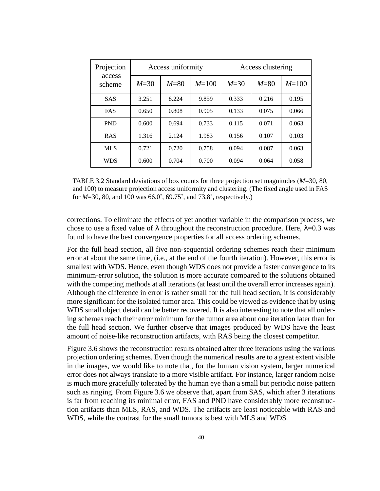| Projection       | Access uniformity |        |           | Access clustering |        |           |  |
|------------------|-------------------|--------|-----------|-------------------|--------|-----------|--|
| access<br>scheme | $M=30$            | $M=80$ | $M = 100$ | $M=30$            | $M=80$ | $M = 100$ |  |
| <b>SAS</b>       | 3.251             | 8.224  | 9.859     | 0.333             | 0.216  | 0.195     |  |
| <b>FAS</b>       | 0.650             | 0.808  | 0.905     | 0.133             | 0.075  | 0.066     |  |
| <b>PND</b>       | 0.600             | 0.694  | 0.733     | 0.115             | 0.071  | 0.063     |  |
| <b>RAS</b>       | 1.316             | 2.124  | 1.983     | 0.156             | 0.107  | 0.103     |  |
| <b>MLS</b>       | 0.721             | 0.720  | 0.758     | 0.094             | 0.087  | 0.063     |  |
| <b>WDS</b>       | 0.600             | 0.704  | 0.700     | 0.094             | 0.064  | 0.058     |  |

TABLE 3.2 Standard deviations of box counts for three projection set magnitudes (*M*=30, 80, and 100) to measure projection access uniformity and clustering. (The fixed angle used in FAS for *M*=30, 80, and 100 was 66.0˚, 69.75˚, and 73.8˚, respectively.)

corrections. To eliminate the effects of yet another variable in the comparison process, we chose to use a fixed value of  $\lambda$  throughout the reconstruction procedure. Here,  $\lambda$ =0.3 was found to have the best convergence properties for all access ordering schemes.

For the full head section, all five non-sequential ordering schemes reach their minimum error at about the same time, (i.e., at the end of the fourth iteration). However, this error is smallest with WDS. Hence, even though WDS does not provide a faster convergence to its minimum-error solution, the solution is more accurate compared to the solutions obtained with the competing methods at all iterations (at least until the overall error increases again). Although the difference in error is rather small for the full head section, it is considerably more significant for the isolated tumor area. This could be viewed as evidence that by using WDS small object detail can be better recovered. It is also interesting to note that all ordering schemes reach their error minimum for the tumor area about one iteration later than for the full head section. We further observe that images produced by WDS have the least amount of noise-like reconstruction artifacts, with RAS being the closest competitor.

Figure 3.6 shows the reconstruction results obtained after three iterations using the various projection ordering schemes. Even though the numerical results are to a great extent visible in the images, we would like to note that, for the human vision system, larger numerical error does not always translate to a more visible artifact. For instance, larger random noise is much more gracefully tolerated by the human eye than a small but periodic noise pattern such as ringing. From Figure 3.6 we observe that, apart from SAS, which after 3 iterations is far from reaching its minimal error, FAS and PND have considerably more reconstruction artifacts than MLS, RAS, and WDS. The artifacts are least noticeable with RAS and WDS, while the contrast for the small tumors is best with MLS and WDS.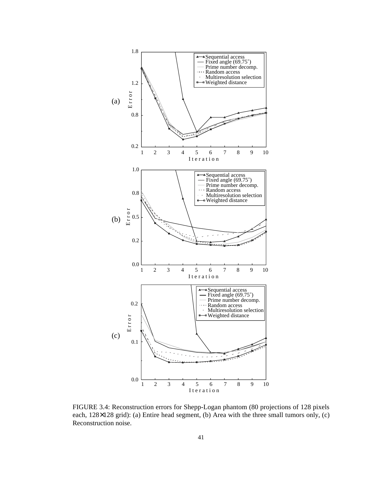

FIGURE 3.4: Reconstruction errors for Shepp-Logan phantom (80 projections of 128 pixels each, 128×128 grid): (a) Entire head segment, (b) Area with the three small tumors only, (c) Reconstruction noise.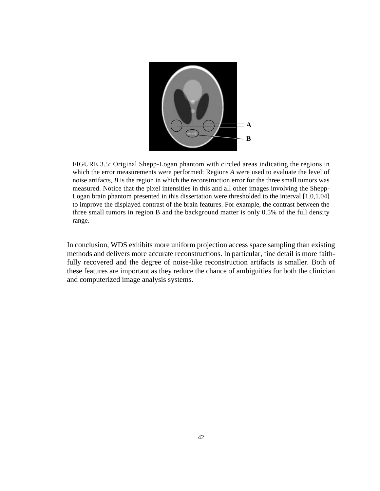

FIGURE 3.5: Original Shepp-Logan phantom with circled areas indicating the regions in which the error measurements were performed: Regions *A* were used to evaluate the level of noise artifacts, *B* is the region in which the reconstruction error for the three small tumors was measured. Notice that the pixel intensities in this and all other images involving the Shepp-Logan brain phantom presented in this dissertation were thresholded to the interval [1.0,1.04] to improve the displayed contrast of the brain features. For example, the contrast between the three small tumors in region B and the background matter is only 0.5% of the full density range.

In conclusion, WDS exhibits more uniform projection access space sampling than existing methods and delivers more accurate reconstructions. In particular, fine detail is more faithfully recovered and the degree of noise-like reconstruction artifacts is smaller. Both of these features are important as they reduce the chance of ambiguities for both the clinician and computerized image analysis systems.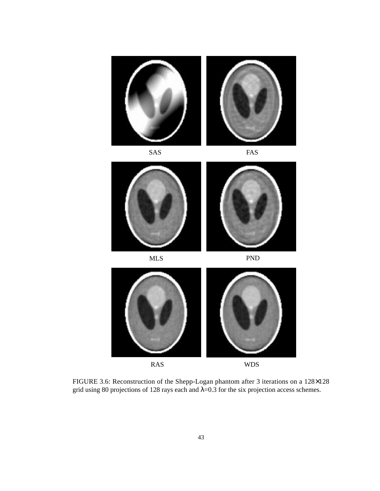





FIGURE 3.6: Reconstruction of the Shepp-Logan phantom after 3 iterations on a 128×128 grid using 80 projections of 128 rays each and  $\lambda$ =0.3 for the six projection access schemes.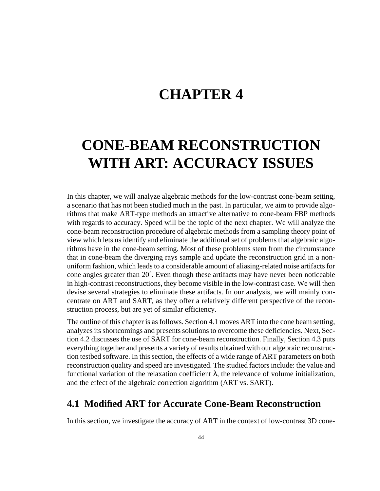## **CHAPTER 4**

# **CONE-BEAM RECONSTRUCTION WITH ART: ACCURACY ISSUES**

In this chapter, we will analyze algebraic methods for the low-contrast cone-beam setting, a scenario that has not been studied much in the past. In particular, we aim to provide algorithms that make ART-type methods an attractive alternative to cone-beam FBP methods with regards to accuracy. Speed will be the topic of the next chapter. We will analyze the cone-beam reconstruction procedure of algebraic methods from a sampling theory point of view which lets us identify and eliminate the additional set of problems that algebraic algorithms have in the cone-beam setting. Most of these problems stem from the circumstance that in cone-beam the diverging rays sample and update the reconstruction grid in a nonuniform fashion, which leads to a considerable amount of aliasing-related noise artifacts for cone angles greater than 20˚. Even though these artifacts may have never been noticeable in high-contrast reconstructions, they become visible in the low-contrast case. We will then devise several strategies to eliminate these artifacts. In our analysis, we will mainly concentrate on ART and SART, as they offer a relatively different perspective of the reconstruction process, but are yet of similar efficiency.

The outline of this chapter is as follows. Section 4.1 moves ART into the cone beam setting, analyzes its shortcomings and presents solutions to overcome these deficiencies. Next, Section 4.2 discusses the use of SART for cone-beam reconstruction. Finally, Section 4.3 puts everything together and presents a variety of results obtained with our algebraic reconstruction testbed software. In this section, the effects of a wide range of ART parameters on both reconstruction quality and speed are investigated. The studied factors include: the value and functional variation of the relaxation coefficient λ, the relevance of volume initialization, and the effect of the algebraic correction algorithm (ART vs. SART).

### **4.1 Modified ART for Accurate Cone-Beam Reconstruction**

In this section, we investigate the accuracy of ART in the context of low-contrast 3D cone-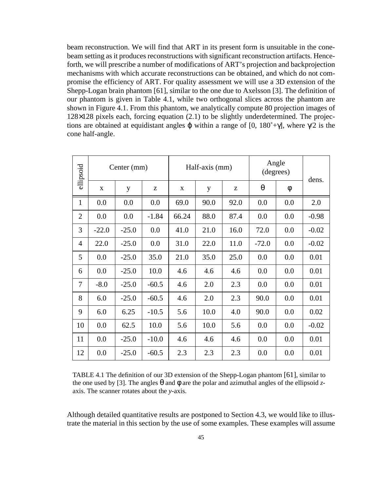beam reconstruction. We will find that ART in its present form is unsuitable in the conebeam setting as it produces reconstructions with significant reconstruction artifacts. Henceforth, we will prescribe a number of modifications of ART's projection and backprojection mechanisms with which accurate reconstructions can be obtained, and which do not compromise the efficiency of ART. For quality assessment we will use a 3D extension of the Shepp-Logan brain phantom [61], similar to the one due to Axelsson [3]. The definition of our phantom is given in Table 4.1, while two orthogonal slices across the phantom are shown in Figure 4.1. From this phantom, we analytically compute 80 projection images of 128×128 pixels each, forcing equation (2.1) to be slightly underdetermined. The projections are obtained at equidistant angles  $\varphi$  within a range of [0, 180°+γ], where  $\gamma/2$  is the cone half-angle.

| ellipsoid                                                                                                                                                                                                                                             | Center (mm) |         |         | Half-axis (mm) |      |      | Angle<br>(degrees) |     | dens.   |
|-------------------------------------------------------------------------------------------------------------------------------------------------------------------------------------------------------------------------------------------------------|-------------|---------|---------|----------------|------|------|--------------------|-----|---------|
|                                                                                                                                                                                                                                                       | X           | y       | Z       | X              | y    | Z    | $\theta$           | φ   |         |
| $\mathbf{1}$                                                                                                                                                                                                                                          | 0.0         | 0.0     | 0.0     | 69.0           | 90.0 | 92.0 | 0.0                | 0.0 | 2.0     |
| $\overline{2}$                                                                                                                                                                                                                                        | 0.0         | 0.0     | $-1.84$ | 66.24          | 88.0 | 87.4 | 0.0                | 0.0 | $-0.98$ |
| 3                                                                                                                                                                                                                                                     | $-22.0$     | $-25.0$ | 0.0     | 41.0           | 21.0 | 16.0 | 72.0               | 0.0 | $-0.02$ |
| 4                                                                                                                                                                                                                                                     | 22.0        | $-25.0$ | 0.0     | 31.0           | 22.0 | 11.0 | $-72.0$            | 0.0 | $-0.02$ |
| 5                                                                                                                                                                                                                                                     | 0.0         | $-25.0$ | 35.0    | 21.0           | 35.0 | 25.0 | 0.0                | 0.0 | 0.01    |
| 6                                                                                                                                                                                                                                                     | 0.0         | $-25.0$ | 10.0    | 4.6            | 4.6  | 4.6  | 0.0                | 0.0 | 0.01    |
| 7                                                                                                                                                                                                                                                     | $-8.0$      | $-25.0$ | $-60.5$ | 4.6            | 2.0  | 2.3  | 0.0                | 0.0 | 0.01    |
| 8                                                                                                                                                                                                                                                     | 6.0         | $-25.0$ | $-60.5$ | 4.6            | 2.0  | 2.3  | 90.0               | 0.0 | 0.01    |
| 9                                                                                                                                                                                                                                                     | 6.0         | 6.25    | $-10.5$ | 5.6            | 10.0 | 4.0  | 90.0               | 0.0 | 0.02    |
| 10                                                                                                                                                                                                                                                    | 0.0         | 62.5    | 10.0    | 5.6            | 10.0 | 5.6  | 0.0                | 0.0 | $-0.02$ |
| 11                                                                                                                                                                                                                                                    | 0.0         | $-25.0$ | $-10.0$ | 4.6            | 4.6  | 4.6  | 0.0                | 0.0 | 0.01    |
| 12                                                                                                                                                                                                                                                    | 0.0         | $-25.0$ | $-60.5$ | 2.3            | 2.3  | 2.3  | 0.0                | 0.0 | 0.01    |
| TABLE 4.1 The definition of our 3D extension of the Shepp-Logan phantom [61], similar to<br>the one used by [3]. The angles $\theta$ and $\phi$ are the polar and azimuthal angles of the ellipsoid z-<br>axis. The scanner rotates about the y-axis. |             |         |         |                |      |      |                    |     |         |

TABLE 4.1 The definition of our 3D extension of the Shepp-Logan phantom [61], similar to the one used by [3]. The angles  $\theta$  and  $\phi$  are the polar and azimuthal angles of the ellipsoid *z*-

Although detailed quantitative results are postponed to Section 4.3, we would like to illustrate the material in this section by the use of some examples. These examples will assume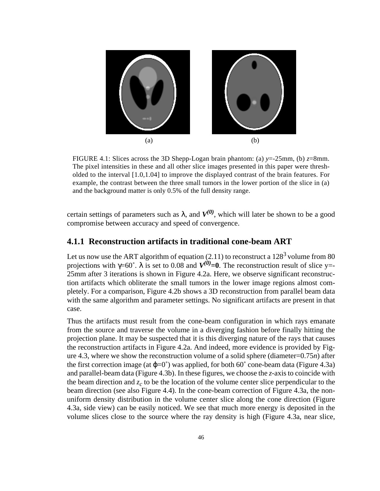

FIGURE 4.1: Slices across the 3D Shepp-Logan brain phantom: (a)  $y = -25$ mm, (b)  $z = 8$ mm. The pixel intensities in these and all other slice images presented in this paper were thresholded to the interval [1.0,1.04] to improve the displayed contrast of the brain features. For example, the contrast between the three small tumors in the lower portion of the slice in (a) and the background matter is only 0.5% of the full density range.

certain settings of parameters such as  $\lambda$ , and  $V^{(0)}$ , which will later be shown to be a good compromise between accuracy and speed of convergence.

#### **4.1.1 Reconstruction artifacts in traditional cone-beam ART**

Let us now use the ART algorithm of equation  $(2.11)$  to reconstruct a  $128<sup>3</sup>$  volume from 80 projections with  $\gamma = 60^\circ$ .  $\lambda$  is set to 0.08 and  $V^{(0)} = 0$ . The reconstruction result of slice y= 25mm after 3 iterations is shown in Figure 4.2a. Here, we observe significant reconstruction artifacts which obliterate the small tumors in the lower image regions almost completely. For a comparison, Figure 4.2b shows a 3D reconstruction from parallel beam data with the same algorithm and parameter settings. No significant artifacts are present in that case.

Thus the artifacts must result from the cone-beam configuration in which rays emanate from the source and traverse the volume in a diverging fashion before finally hitting the projection plane. It may be suspected that it is this diverging nature of the rays that causes the reconstruction artifacts in Figure 4.2a. And indeed, more evidence is provided by Figure 4.3, where we show the reconstruction volume of a solid sphere (diameter=0.75*n*) after the first correction image (at  $\varphi$ =0°) was applied, for both 60° cone-beam data (Figure 4.3a) and parallel-beam data (Figure 4.3b). In these figures, we choose the *z*-axis to coincide with the beam direction and  $z_c$  to be the location of the volume center slice perpendicular to the beam direction (see also Figure 4.4). In the cone-beam correction of Figure 4.3a, the nonuniform density distribution in the volume center slice along the cone direction (Figure 4.3a, side view) can be easily noticed. We see that much more energy is deposited in the volume slices close to the source where the ray density is high (Figure 4.3a, near slice,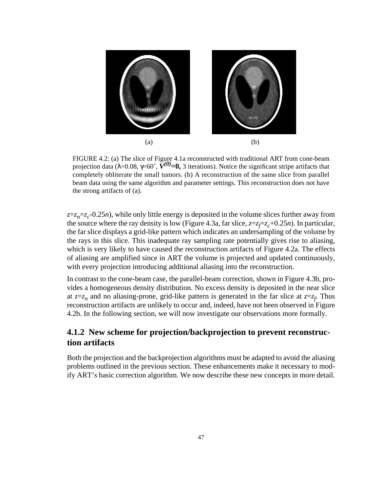

FIGURE 4.2: (a) The slice of Figure 4.1a reconstructed with traditional ART from cone-beam projection data (λ=0.08, γ=60˚, *V(0)***=0,** 3 iterations). Notice the significant stripe artifacts that completely obliterate the small tumors. (b) A reconstruction of the same slice from parallel beam data using the same algorithm and parameter settings. This reconstruction does not have the strong artifacts of (a).

 $z=z_n=z_c$ -0.25*n*), while only little energy is deposited in the volume slices further away from the source where the ray density is low (Figure 4.3a, far slice,  $z=z_f = z_c + 0.25n$ ). In particular, the far slice displays a grid-like pattern which indicates an undersampling of the volume by the rays in this slice. This inadequate ray sampling rate potentially gives rise to aliasing, which is very likely to have caused the reconstruction artifacts of Figure 4.2a. The effects of aliasing are amplified since in ART the volume is projected and updated continuously, with every projection introducing additional aliasing into the reconstruction.

In contrast to the cone-beam case, the parallel-beam correction, shown in Figure 4.3b, provides a homogeneous density distribution. No excess density is deposited in the near slice at  $z=z_n$  and no aliasing-prone, grid-like pattern is generated in the far slice at  $z=z_f$ . Thus reconstruction artifacts are unlikely to occur and, indeed, have not been observed in Figure 4.2b. In the following section, we will now investigate our observations more formally.

### **4.1.2 New scheme for projection/backprojection to prevent reconstruction artifacts**

Both the projection and the backprojection algorithms must be adapted to avoid the aliasing problems outlined in the previous section. These enhancements make it necessary to modify ART's basic correction algorithm. We now describe these new concepts in more detail.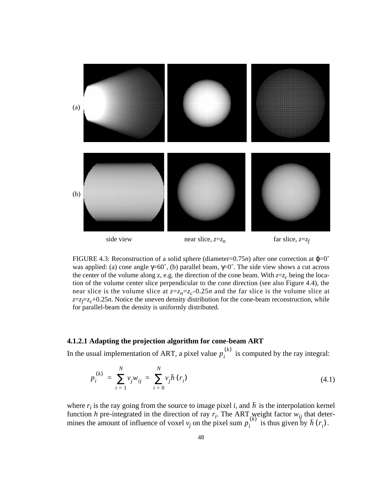

FIGURE 4.3: Reconstruction of a solid sphere (diameter=0.75*n*) after one correction at  $\varphi=0$ <sup>°</sup> was applied: (a) cone angle  $\gamma = 60^\circ$ , (b) parallel beam,  $\gamma = 0^\circ$ . The side view shows a cut across the center of the volume along z, e.g. the direction of the cone beam. With  $z=z_c$  being the location of the volume center slice perpendicular to the cone direction (see also Figure 4.4), the near slice is the volume slice at  $z=z_n=z_c$ -0.25*n* and the far slice is the volume slice at  $z=z_f$ = $z_c$ +0.25*n*. Notice the uneven density distribution for the cone-beam reconstruction, while for parallel-beam the density is uniformly distributed.

#### **4.1.2.1 Adapting the projection algorithm for cone-beam ART**

In the usual implementation of ART, a pixel value  $p_i^{(k)}$  is computed by the ray integral:

$$
p_i^{(k)} = \sum_{i=1}^{N} v_j w_{ij} = \sum_{i=0}^{N} v_j \bar{h}(r_i)
$$
 (4.1)

where  $r_i$  is the ray going from the source to image pixel *i*, and  $\bar{h}$  is the interpolation kernel function *h* pre-integrated in the direction of ray  $r_i$ . The ART weight factor  $w_{ij}$  that determines the amount of influence of voxel  $v_j$  on the pixel sum  $p_i^{(k)}$  is thus given by  $\bar{h}(r_i)$ .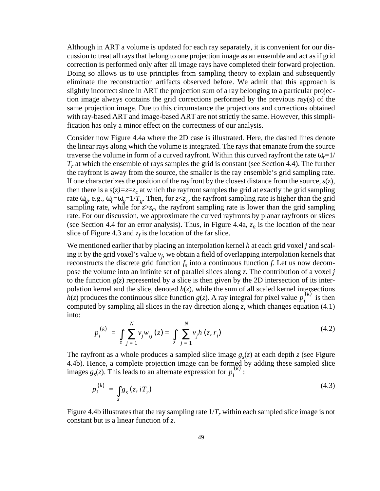Although in ART a volume is updated for each ray separately, it is convenient for our discussion to treat all rays that belong to one projection image as an ensemble and act as if grid correction is performed only after all image rays have completed their forward projection. Doing so allows us to use principles from sampling theory to explain and subsequently eliminate the reconstruction artifacts observed before. We admit that this approach is slightly incorrect since in ART the projection sum of a ray belonging to a particular projection image always contains the grid corrections performed by the previous ray(s) of the same projection image. Due to this circumstance the projections and corrections obtained with ray-based ART and image-based ART are not strictly the same. However, this simplification has only a minor effect on the correctness of our analysis.

Consider now Figure 4.4a where the 2D case is illustrated. Here, the dashed lines denote the linear rays along which the volume is integrated. The rays that emanate from the source traverse the volume in form of a curved rayfront. Within this curved rayfront the rate  $\omega_r=1/$ *T<sub>r</sub>* at which the ensemble of rays samples the grid is constant (see Section 4.4). The further the rayfront is away from the source, the smaller is the ray ensemble's grid sampling rate. If one characterizes the position of the rayfront by the closest distance from the source,  $s(z)$ , then there is a  $s(z)=z=z<sub>c</sub>$  at which the rayfront samples the grid at exactly the grid sampling rate  $\omega_g$ , e.g.,  $\omega_r = \omega_g = 1/T_g$ . Then, for  $z < z_c$ , the rayfront sampling rate is higher than the grid sampling rate, while for  $z \geq z_c$ , the rayfront sampling rate is lower than the grid sampling rate. For our discussion, we approximate the curved rayfronts by planar rayfronts or slices (see Section 4.4 for an error analysis). Thus, in Figure 4.4a,  $z_n$  is the location of the near slice of Figure 4.3 and  $z_f$  is the location of the far slice.

We mentioned earlier that by placing an interpolation kernel *h* at each grid voxel *j* and scaling it by the grid voxel's value *vj* , we obtain a field of overlapping interpolation kernels that reconstructs the discrete grid function  $f_s$  into a continuous function  $f$ . Let us now decompose the volume into an infinite set of parallel slices along *z*. The contribution of a voxel *j* to the function  $g(z)$  represented by a slice is then given by the 2D intersection of its interpolation kernel and the slice, denoted  $h(z)$ , while the sum of all scaled kernel intersections *h*(*z*) produces the continuous slice function *g*(*z*). A ray integral for pixel value  $p_i^{(k)}$  is then computed by sampling all slices in the ray direction along *z*, which changes equation (4.1) into:

$$
p_i^{(k)} = \int_{z}^{N} \sum_{j=1}^{N} v_j w_{ij}(z) = \int_{z}^{N} \sum_{j=1}^{N} v_j h(z, r_i)
$$
 (4.2)

The rayfront as a whole produces a sampled slice image  $g<sub>s</sub>(z)$  at each depth *z* (see Figure 4.4b). Hence, a complete projection image can be formed by adding these sampled slice images  $g_s(z)$ . This leads to an alternate expression for  $p_i^{(k)}$ :

$$
p_i^{(k)} = \int_z g_s(z, iT_r) \tag{4.3}
$$

Figure 4.4b illustrates that the ray sampling rate  $1/T_r$  within each sampled slice image is not constant but is a linear function of *z*.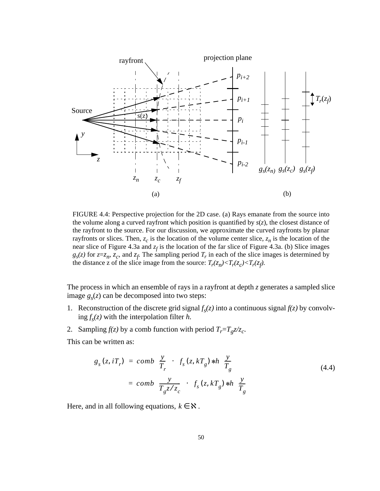

FIGURE 4.4: Perspective projection for the 2D case. (a) Rays emanate from the source into the volume along a curved rayfront which position is quantified by *s*(*z*), the closest distance of the rayfront to the source. For our discussion, we approximate the curved rayfronts by planar rayfronts or slices. Then,  $z_c$  is the location of the volume center slice,  $z_n$  is the location of the near slice of Figure 4.3a and  $z_f$  is the location of the far slice of Figure 4.3a. (b) Slice images  $g_s(z)$  for  $z=z_n$ ,  $z_c$ , and  $z_f$ . The sampling period  $T_r$  in each of the slice images is determined by the distance z of the slice image from the source:  $T_r(z_n) < T_r(z_c) < T_r(z_f)$ .

The process in which an ensemble of rays in a rayfront at depth *z* generates a sampled slice image  $g_s(z)$  can be decomposed into two steps:

- 1. Reconstruction of the discrete grid signal  $f_s(z)$  into a continuous signal  $f(z)$  by convolv- $\log f_s(z)$  with the interpolation filter *h*.
- 2. Sampling  $f(z)$  by a comb function with period  $T_r = T_g z/z_c$ .

This can be written as:

$$
g_s(z, iT_r) = comb\left(\frac{y}{T_r}\right) \cdot \left(f_s(z, kT_g) * h\left(\frac{y}{T_g}\right)\right)
$$
  
=  $comb\left(\frac{y}{T_g z/z_c}\right) \cdot \left(f_s(z, kT_g) * h\left(\frac{y}{T_g}\right)\right)$  (4.4)

Here, and in all following equations,  $k \in \mathbb{X}$ .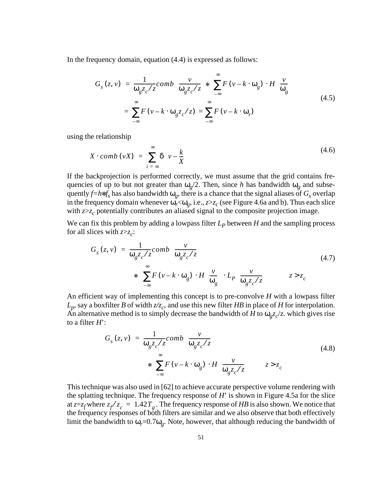In the frequency domain, equation (4.4) is expressed as follows:

$$
G_{s}(z, v) = \frac{1}{\omega_{g} z_{c}/z} comb\left(\frac{v}{\omega_{g} z_{c}/z}\right) * \left(\sum_{-\infty}^{\infty} F(v - k \cdot \omega_{g}) \cdot H\left(\frac{v}{\omega_{g}}\right)\right)
$$
  
= 
$$
\sum_{-\infty}^{\infty} F(v - k \cdot \omega_{g} z_{c}/z) = \sum_{-\infty}^{\infty} F(v - k \cdot \omega_{r})
$$
 (4.5)

using the relationship

$$
X \cdot comb \, (\nu X) \ = \ \sum_{i = -\infty}^{\infty} \delta \bigg( \nu - \frac{k}{X} \bigg) \tag{4.6}
$$

If the backprojection is performed correctly, we must assume that the grid contains frequencies of up to but not greater than  $\omega_g/2$ . Then, since *h* has bandwidth  $\omega_g$  and subsequently  $f=h*f<sub>s</sub>$  has also bandwidth  $\omega<sub>g</sub>$ , there is a chance that the signal aliases of  $G<sub>s</sub>$  overlap in the frequency domain whenever  $\omega_r \ll \omega_g$ , i.e.,  $z \gg z_c$  (see Figure 4.6a and b). Thus each slice with  $z \geq z_c$  potentially contributes an aliased signal to the composite projection image.

We can fix this problem by adding a lowpass filter  $L_p$  between  $H$  and the sampling process for all slices with  $z \geq z_c$ :

$$
G_{s}(z, v) = \frac{1}{\omega_{g} z_{c}/z} comb\left(\frac{v}{\omega_{g} z_{c}/z}\right)
$$
  
\n
$$
*\left(\sum_{-\infty}^{\infty} F(v - k \cdot \omega_{g}) \cdot H\left(\frac{v}{\omega_{g}}\right) \cdot L_{p}\left(\frac{v}{\omega_{g} z_{c}/z}\right)\right)
$$
 (4.7)

An efficient way of implementing this concept is to pre-convolve *H* with a lowpass filter  $L_p$ , say a boxfilter *B* of width  $z/z_c$ , and use this new filter *HB* in place of *H* for interpolation. An alternative method is to simply decrease the bandwidth of *H* to  $\omega_{g}z_{c}/z$ . which gives rise to a filter *H*':

$$
G_{s}(z, v) = \frac{1}{\omega_{g} z_{c}/z} comb\left(\frac{v}{\omega_{g} z_{c}/z}\right)
$$
  
\n
$$
*\left(\sum_{-\infty}^{\infty} F(v - k \cdot \omega_{g}) \cdot H\left(\frac{v}{\omega_{g} z_{c}/z}\right)\right) \qquad z > z_{c}
$$
\n(4.8)

This technique was also used in [62] to achieve accurate perspective volume rendering with the splatting technique. The frequency response of *H*' is shown in Figure 4.5a for the slice at  $z=z_f$  where  $z_f/z_c = 1.42T_g$ . The frequency response of *HB* is also shown. We notice that the frequency responses of both filters are similar and we also observe that both effectively limit the bandwidth to  $\omega_r = 0.7\omega_g$ . Note, however, that although reducing the bandwidth of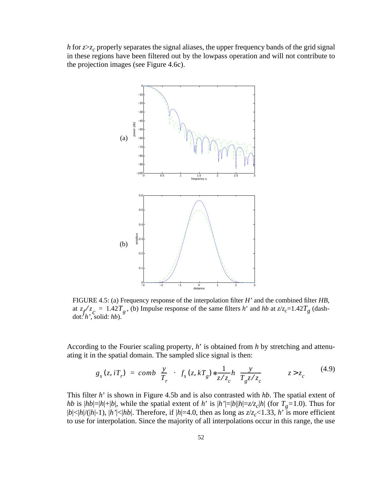*h* for  $z \geq z_c$  properly separates the signal aliases, the upper frequency bands of the grid signal in these regions have been filtered out by the lowpass operation and will not contribute to the projection images (see Figure 4.6c).



FIGURE 4.5: (a) Frequency response of the interpolation filter *H'* and the combined filter *HB*, at  $z_f / z_c = 1.42 T_g$ , (b) Impulse response of the same filters *h*' and *hb* at  $z/z_c = 1.42 T_g$  (dashdot: *h'*, solid: *hb*).  $z_f / z_c = 1.42 T_g$ 

According to the Fourier scaling property, *h*' is obtained from *h* by stretching and attenuating it in the spatial domain. The sampled slice signal is then:

$$
g_s(z, iT_r) = comb\left(\frac{y}{T_r}\right) \cdot \left(f_s(z, kT_g) * \frac{1}{z/z_c} h\left(\frac{y}{T_g z/z_c}\right)\right) \qquad z > z_c \tag{4.9}
$$

This filter *h*' is shown in Figure 4.5b and is also contrasted with *hb*. The spatial extent of *hb* is  $|h_b| = |h| + |b|$ , while the spatial extent of *h*' is  $|h'| = |b||h| = z/z_c|h|$  (for  $T_g = 1.0$ ). Thus for  $|b|<|h|/(|h|-1)$ ,  $|h'|<|hb|$ . Therefore, if  $|h|=4.0$ , then as long as  $z/z_c<1.33$ ,  $h'$  is more efficient to use for interpolation. Since the majority of all interpolations occur in this range, the use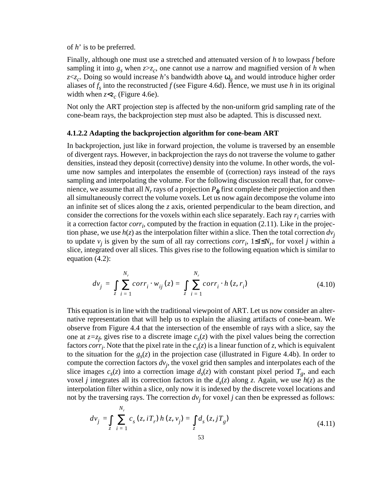of *h*' is to be preferred.

Finally, although one must use a stretched and attenuated version of *h* to lowpass *f* before sampling it into  $g_s$  when  $z \geq z_c$ , one cannot use a narrow and magnified version of h when  $z \ll z_c$ . Doing so would increase *h*'s bandwidth above  $\omega_g$  and would introduce higher order aliases of  $f_s$  into the reconstructed f (see Figure 4.6d). Hence, we must use h in its original width when  $z < z_c$  (Figure 4.6e).

Not only the ART projection step is affected by the non-uniform grid sampling rate of the cone-beam rays, the backprojection step must also be adapted. This is discussed next.

#### **4.1.2.2 Adapting the backprojection algorithm for cone-beam ART**

In backprojection, just like in forward projection, the volume is traversed by an ensemble of divergent rays. However, in backprojection the rays do not traverse the volume to gather densities, instead they deposit (corrective) density into the volume. In other words, the volume now samples and interpolates the ensemble of (correction) rays instead of the rays sampling and interpolating the volume. For the following discussion recall that, for convenience, we assume that all  $N_r$  rays of a projection  $P_{\phi}$  first complete their projection and then all simultaneously correct the volume voxels. Let us now again decompose the volume into an infinite set of slices along the *z* axis, oriented perpendicular to the beam direction, and consider the corrections for the voxels within each slice separately. Each ray  $r_i$  carries with it a correction factor  $corr_i$ , computed by the fraction in equation  $(2.11)$ . Like in the projection phase, we use  $h(z)$  as the interpolation filter within a slice. Then the total correction  $dv_i$ to update  $v_j$  is given by the sum of all ray corrections  $corr_i$ ,  $1 \le i \le N_r$ , for voxel *j* within a slice, integrated over all slices. This gives rise to the following equation which is similar to equation (4.2):

$$
dv_j = \int_{z} \sum_{i=1}^{N_r} corr_i \cdot w_{ij}(z) = \int_{z} \sum_{i=1}^{N_r} corr_i \cdot h(z, r_i)
$$
 (4.10)

This equation is in line with the traditional viewpoint of ART. Let us now consider an alternative representation that will help us to explain the aliasing artifacts of cone-beam. We observe from Figure 4.4 that the intersection of the ensemble of rays with a slice, say the one at  $z=z_f$ , gives rise to a discrete image  $c_s(z)$  with the pixel values being the correction factors *corr<sub>i</sub>*. Note that the pixel rate in the  $c_s(z)$  is a linear function of *z*, which is equivalent to the situation for the  $g_s(z)$  in the projection case (illustrated in Figure 4.4b). In order to compute the correction factors *dvj* , the voxel grid then samples and interpolates each of the slice images  $c_s(z)$  into a correction image  $d_s(z)$  with constant pixel period  $T_g$ , and each voxel *j* integrates all its correction factors in the  $d_s(z)$  along *z*. Again, we use  $h(z)$  as the interpolation filter within a slice, only now it is indexed by the discrete voxel locations and not by the traversing rays. The correction  $dv_j$  for voxel  $j$  can then be expressed as follows:

$$
dv_j = \int_{z} \sum_{i=1}^{N_r} c_s(z, iT_r) h(z, v_j) = \int_{z} d_s(z, jT_g)
$$
\n(4.11)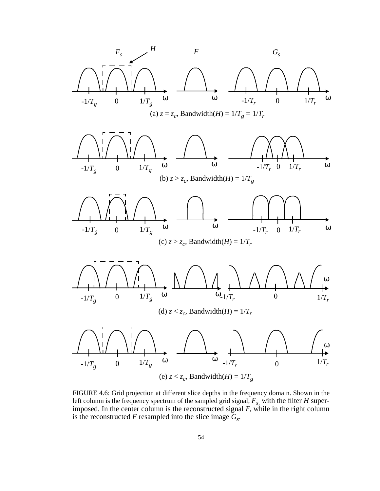

FIGURE 4.6: Grid projection at different slice depths in the frequency domain. Shown in the left column is the frequency spectrum of the sampled grid signal,  $F_{s}$ , with the filter  $H$  superimposed. In the center column is the reconstructed signal *F*, while in the right column is the reconstructed  $F$  resampled into the slice image  $G_s$ .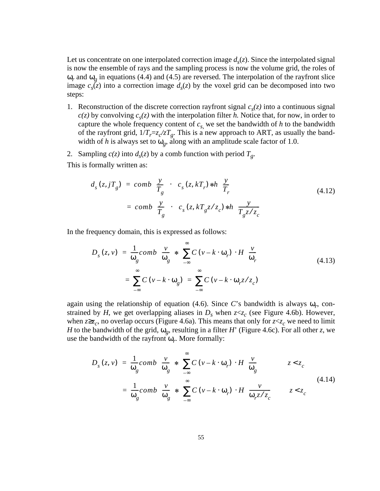Let us concentrate on one interpolated correction image  $d<sub>s</sub>(z)$ . Since the interpolated signal is now the ensemble of rays and the sampling process is now the volume grid, the roles of  $\omega_r$  and  $\omega_g$  in equations (4.4) and (4.5) are reversed. The interpolation of the rayfront slice image  $c_s(z)$  into a correction image  $d_s(z)$  by the voxel grid can be decomposed into two steps:

- 1. Reconstruction of the discrete correction rayfront signal  $c_s(z)$  into a continuous signal  $c(z)$  by convolving  $c_s(z)$  with the interpolation filter *h*. Notice that, for now, in order to capture the whole frequency content of  $c_s$  we set the bandwidth of *h* to the bandwidth of the rayfront grid,  $1/T_r = z_c / zT_g$ . This is a new approach to ART, as usually the bandwidth of *h* is always set to  $\omega_g$ , along with an amplitude scale factor of 1.0.
- 2. Sampling  $c(z)$  into  $d_s(z)$  by a comb function with period  $T_g$ .

This is formally written as:

$$
d_s(z, jT_g) = comb\left(\frac{y}{T_g}\right) \cdot \left(c_s(z, kT_r) * h\left(\frac{y}{T_r}\right)\right)
$$
  
=  $comb\left(\frac{y}{T_g}\right) \cdot \left(c_s(z, kT_g z/z_c) * h\left(\frac{y}{T_g z/z_c}\right)\right)$  (4.12)

In the frequency domain, this is expressed as follows:

$$
D_{s}(z, v) = \frac{1}{\omega_{g}} \text{comb}\left(\frac{v}{\omega_{g}}\right) * \left(\sum_{-\infty}^{\infty} C\left(v - k \cdot \omega_{r}\right) \cdot H\left(\frac{v}{\omega_{r}}\right)\right)
$$
\n
$$
= \sum_{-\infty}^{\infty} C\left(v - k \cdot \omega_{g}\right) = \sum_{-\infty}^{\infty} C\left(v - k \cdot \omega_{r} z / z_{c}\right)
$$
\n(4.13)

again using the relationship of equation (4.6). Since *C*'s bandwidth is always ω*r*, constrained by *H*, we get overlapping aliases in  $D_s$  when  $z \ll c$  (see Figure 4.6b). However, when  $z \geq z_c$ , no overlap occurs (Figure 4.6a). This means that only for  $z \leq z_c$  we need to limit *H* to the bandwidth of the grid,  $\omega_{\varrho}$ , resulting in a filter *H*' (Figure 4.6c). For all other *z*, we use the bandwidth of the rayfront ω*r*. More formally:

$$
D_{s}(z, v) = \frac{1}{\omega_{g}} \text{comb}\left(\frac{v}{\omega_{g}}\right) * \left(\sum_{-\infty}^{\infty} C\left(v - k \cdot \omega_{r}\right) \cdot H\left(\frac{v}{\omega_{g}}\right)\right) \qquad z < z_{c}
$$
  

$$
= \frac{1}{\omega_{g}} \text{comb}\left(\frac{v}{\omega_{g}}\right) * \left(\sum_{-\infty}^{\infty} C\left(v - k \cdot \omega_{r}\right) \cdot H\left(\frac{v}{\omega_{r} z / z_{c}}\right)\right) \qquad z < z_{c}
$$
(4.14)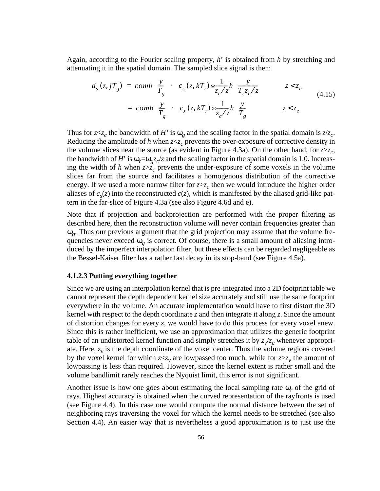Again, according to the Fourier scaling property, *h*' is obtained from *h* by stretching and attenuating it in the spatial domain. The sampled slice signal is then:

$$
d_s(z, jT_g) = comb\left(\frac{y}{T_g}\right) \cdot \left(c_s(z, kT_r) * \frac{1}{z_c/z} h\left(\frac{y}{T_r z_c/z}\right)\right) \qquad z < z_c
$$
  
=  $comb\left(\frac{y}{T_g}\right) \cdot \left(c_s(z, kT_r) * \frac{1}{z_c/z} h\left(\frac{y}{T_g}\right)\right) \qquad z < z_c$  (4.15)

Thus for  $z \ll z_c$  the bandwidth of *H*' is  $\omega_g$  and the scaling factor in the spatial domain is  $z/z_c$ . Reducing the amplitude of h when  $z < z_c$  prevents the over-exposure of corrective density in the volume slices near the source (as evident in Figure 4.3a). On the other hand, for  $z \geq z_c$ , the bandwidth of *H*' is  $\omega_r = \omega_g z_c/z$  and the scaling factor in the spatial domain is 1.0. Increasing the width of *h* when  $z \geq z_c$  prevents the under-exposure of some voxels in the volume slices far from the source and facilitates a homogenous distribution of the corrective energy. If we used a more narrow filter for  $z \geq z_c$  then we would introduce the higher order aliases of  $c_s(z)$  into the reconstructed  $c(z)$ , which is manifested by the aliased grid-like pattern in the far-slice of Figure 4.3a (see also Figure 4.6d and e).

Note that if projection and backprojection are performed with the proper filtering as described here, then the reconstruction volume will never contain frequencies greater than ω*g*. Thus our previous argument that the grid projection may assume that the volume frequencies never exceed  $\omega_g$  is correct. Of course, there is a small amount of aliasing introduced by the imperfect interpolation filter, but these effects can be regarded negligeable as the Bessel-Kaiser filter has a rather fast decay in its stop-band (see Figure 4.5a).

#### **4.1.2.3 Putting everything together**

Since we are using an interpolation kernel that is pre-integrated into a 2D footprint table we cannot represent the depth dependent kernel size accurately and still use the same footprint everywhere in the volume. An accurate implementation would have to first distort the 3D kernel with respect to the depth coordinate *z* and then integrate it along *z*. Since the amount of distortion changes for every *z*, we would have to do this process for every voxel anew. Since this is rather inefficient, we use an approximation that utilizes the generic footprint table of an undistorted kernel function and simply stretches it by  $z_v/z_c$  whenever appropriate. Here,  $z_v$  is the depth coordinate of the voxel center. Thus the volume regions covered by the voxel kernel for which  $z \ll v$  are lowpassed too much, while for  $z \gg v$ , the amount of lowpassing is less than required. However, since the kernel extent is rather small and the volume bandlimit rarely reaches the Nyquist limit, this error is not significant.

Another issue is how one goes about estimating the local sampling rate ω*r* of the grid of rays. Highest accuracy is obtained when the curved representation of the rayfronts is used (see Figure 4.4). In this case one would compute the normal distance between the set of neighboring rays traversing the voxel for which the kernel needs to be stretched (see also Section 4.4). An easier way that is nevertheless a good approximation is to just use the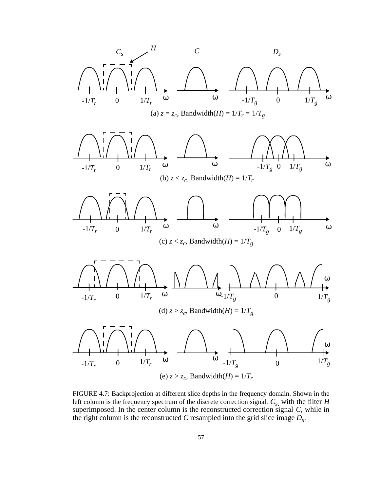

FIGURE 4.7: Backprojection at different slice depths in the frequency domain. Shown in the left column is the frequency spectrum of the discrete correction signal,  $C_{s}$ , with the filter *H* superimposed. In the center column is the reconstructed correction signal *C*, while in the right column is the reconstructed *C* resampled into the grid slice image  $D_s$ .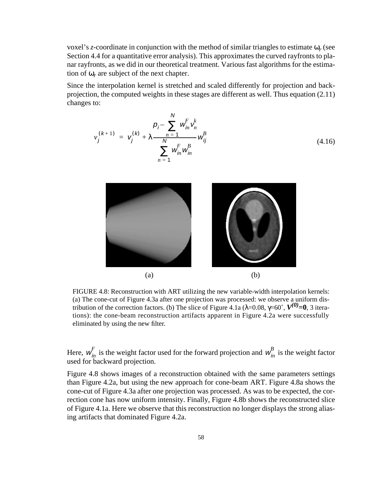voxel's *z*-coordinate in conjunction with the method of similar triangles to estimate ω*r* (see Section 4.4 for a quantitative error analysis). This approximates the curved rayfronts to planar rayfronts, as we did in our theoretical treatment. Various fast algorithms for the estimation of  $\omega_r$  are subject of the next chapter.

Since the interpolation kernel is stretched and scaled differently for projection and backprojection, the computed weights in these stages are different as well. Thus equation (2.11) changes to:

$$
v_j^{(k+1)} = v_j^{(k)} + \lambda \frac{p_i - \sum_{n=1}^{N} w_{in}^F v_n^k}{\sum_{n=1}^{N} w_{in}^F w_{in}^B}
$$
\n(4.16)



FIGURE 4.8: Reconstruction with ART utilizing the new variable-width interpolation kernels: (a) The cone-cut of Figure 4.3a after one projection was processed: we observe a uniform distribution of the correction factors. (b) The slice of Figure 4.1a ( $\lambda$ =0.08,  $\gamma$ =60°,  $V^{(0)}$ =0, 3 iterations): the cone-beam reconstruction artifacts apparent in Figure 4.2a were successfully eliminated by using the new filter.

Here,  $w_{in}^F$  is the weight factor used for the forward projection and  $w_{in}^B$  is the weight factor used for backward projection.

Figure 4.8 shows images of a reconstruction obtained with the same parameters settings than Figure 4.2a, but using the new approach for cone-beam ART. Figure 4.8a shows the cone-cut of Figure 4.3a after one projection was processed. As was to be expected, the correction cone has now uniform intensity. Finally, Figure 4.8b shows the reconstructed slice of Figure 4.1a. Here we observe that this reconstruction no longer displays the strong aliasing artifacts that dominated Figure 4.2a.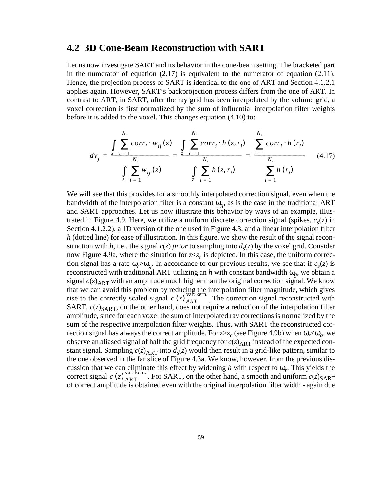### **4.2 3D Cone-Beam Reconstruction with SART**

Let us now investigate SART and its behavior in the cone-beam setting. The bracketed part in the numerator of equation  $(2.17)$  is equivalent to the numerator of equation  $(2.11)$ . Hence, the projection process of SART is identical to the one of ART and Section 4.1.2.1 applies again. However, SART's backprojection process differs from the one of ART. In contrast to ART, in SART, after the ray grid has been interpolated by the volume grid, a voxel correction is first normalized by the sum of influential interpolation filter weights before it is added to the voxel. This changes equation (4.10) to:

$$
dv_{j} = \frac{\int_{c}^{N_{r}} \sum_{i=1}^{N_{r}} corr_{i} \cdot w_{ij}(z)}{\int_{c} \sum_{i=1}^{N_{r}} w_{ij}(z)} = \frac{\sum_{i=1}^{N_{r}} corr_{i} \cdot h(z, r_{i})}{\int_{c} \sum_{i=1}^{N_{r}} h(z, r_{i})} = \frac{\sum_{i=1}^{N_{r}} corr_{i} \cdot h(r_{i})}{\sum_{i=1}^{N_{r}} h(r_{i})}
$$
(4.17)

We will see that this provides for a smoothly interpolated correction signal, even when the bandwidth of the interpolation filter is a constant  $\omega_{\varrho}$ , as is the case in the traditional ART and SART approaches. Let us now illustrate this behavior by ways of an example, illustrated in Figure 4.9. Here, we utilize a uniform discrete correction signal (spikes,  $c_s(z)$  in Section 4.1.2.2), a 1D version of the one used in Figure 4.3, and a linear interpolation filter *h* (dotted line) for ease of illustration. In this figure, we show the result of the signal reconstruction with *h*, i.e., the signal  $c(z)$  *prior* to sampling into  $d_s(z)$  by the voxel grid. Consider now Figure 4.9a, where the situation for  $z \ll z_c$  is depicted. In this case, the uniform correction signal has a rate  $\omega_r > \omega_g$ . In accordance to our previous results, we see that if  $c_s(z)$  is reconstructed with traditional ART utilizing an *h* with constant bandwidth  $\omega_g$ , we obtain a signal  $c(z)_{ART}$  with an amplitude much higher than the original correction signal. We know that we can avoid this problem by reducing the interpolation filter magnitude, which gives rise to the correctly scaled signal  $c(z)$   $_{ART}$ . The correction signal reconstructed with SART,  $c(z)_{SART}$ , on the other hand, does not require a reduction of the interpolation filter amplitude, since for each voxel the sum of interpolated ray corrections is normalized by the sum of the respective interpolation filter weights. Thus, with SART the reconstructed correction signal has always the correct amplitude. For  $z \geq z_c$  (see Figure 4.9b) when  $\omega_r \leq \omega_g$ , we observe an aliased signal of half the grid frequency for  $c(z)_{ART}$  instead of the expected constant signal. Sampling  $c(z)_{ART}$  into  $d_s(z)$  would then result in a grid-like pattern, similar to the one observed in the far slice of Figure 4.3a. We know, however, from the previous discussion that we can eliminate this effect by widening *h* with respect to ω*r*. This yields the correct signal  $c(z)$   $_{\text{ART}}^{\text{van}, \text{semi}}$ . For SART, on the other hand, a smooth and uniform  $c(z)_{\text{SART}}$ of correct amplitude is obtained even with the original interpolation filter width - again due  $c(z)$ <sup>var. kern.</sup>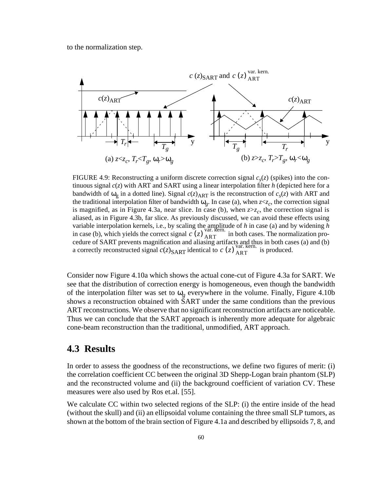to the normalization step.



FIGURE 4.9: Reconstructing a uniform discrete correction signal  $c_s(z)$  (spikes) into the continuous signal *c*(*z*) with ART and SART using a linear interpolation filter *h* (depicted here for a bandwidth of  $\omega_{\rm g}$  in a dotted line). Signal  $c(z)_{\rm ART}$  is the reconstruction of  $c_s(z)$  with ART and the traditional interpolation filter of bandwidth  $\omega_{g}$ . In case (a), when  $z < z_{c}$ , the correction signal is magnified, as in Figure 4.3a, near slice. In case (b), when  $z \geq z_c$ , the correction signal is aliased, as in Figure 4.3b, far slice. As previously discussed, we can avoid these effects using variable interpolation kernels, i.e., by scaling the amplitude of *h* in case (a) and by widening *h* in case (b), which yields the correct signal  $c(z)$  ART in both cases. The normalization procedure of SART prevents magnification and aliasing artifacts and thus in both cases (a) and (b) a correctly reconstructed signal  $c(z)_{\text{SART}}$  identical to  $c(z)_{\text{ART}}^{\text{var. kern.}}$  is produced.

Consider now Figure 4.10a which shows the actual cone-cut of Figure 4.3a for SART. We see that the distribution of correction energy is homogeneous, even though the bandwidth of the interpolation filter was set to  $\omega_{\varrho}$  everywhere in the volume. Finally, Figure 4.10b shows a reconstruction obtained with SART under the same conditions than the previous ART reconstructions. We observe that no significant reconstruction artifacts are noticeable. Thus we can conclude that the SART approach is inherently more adequate for algebraic cone-beam reconstruction than the traditional, unmodified, ART approach.

## **4.3 Results**

In order to assess the goodness of the reconstructions, we define two figures of merit: (i) the correlation coefficient CC between the original 3D Shepp-Logan brain phantom (SLP) and the reconstructed volume and (ii) the background coefficient of variation CV. These measures were also used by Ros et.al. [55].

We calculate CC within two selected regions of the SLP: (i) the entire inside of the head (without the skull) and (ii) an ellipsoidal volume containing the three small SLP tumors, as shown at the bottom of the brain section of Figure 4.1a and described by ellipsoids 7, 8, and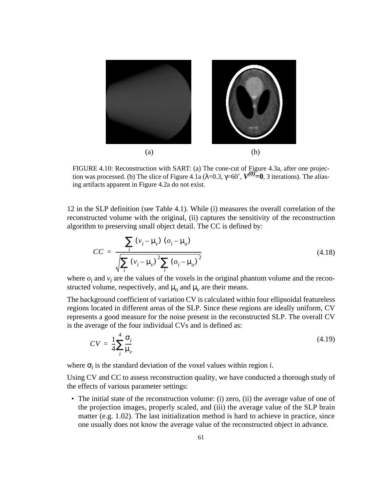

FIGURE 4.10: Reconstruction with SART: (a) The cone-cut of Figure 4.3a, after one projection was processed. (b) The slice of Figure 4.1a ( $\lambda$ =0.3,  $\gamma$ =60°,  $V^{(\theta)}=0$ , 3 iterations). The aliasing artifacts apparent in Figure 4.2a do not exist.

12 in the SLP definition (see Table 4.1). While (i) measures the overall correlation of the reconstructed volume with the original, (ii) captures the sensitivity of the reconstruction algorithm to preserving small object detail. The CC is defined by:

$$
CC = \frac{\sum_{i} (v_i - \mu_v) (o_i - \mu_o)}{\sqrt{\sum_{i} (v_i - \mu_v)^2 \sum_{i} (o_i - \mu_o)^2}}
$$
(4.18)

where  $o_i$  and  $v_i$  are the values of the voxels in the original phantom volume and the reconstructed volume, respectively, and  $\mu_0$  and  $\mu_\nu$  are their means.

The background coefficient of variation CV is calculated within four ellipsoidal featureless regions located in different areas of the SLP. Since these regions are ideally uniform, CV represents a good measure for the noise present in the reconstructed SLP. The overall CV is the average of the four individual CVs and is defined as:

$$
CV = \frac{1}{4} \sum_{i}^{4} \frac{\sigma_i}{\mu_v} \tag{4.19}
$$

where  $\sigma_i$  is the standard deviation of the voxel values within region *i*.

Using CV and CC to assess reconstruction quality, we have conducted a thorough study of the effects of various parameter settings:

• The initial state of the reconstruction volume: (i) zero, (ii) the average value of one of the projection images, properly scaled, and (iii) the average value of the SLP brain matter (e.g. 1.02). The last initialization method is hard to achieve in practice, since one usually does not know the average value of the reconstructed object in advance.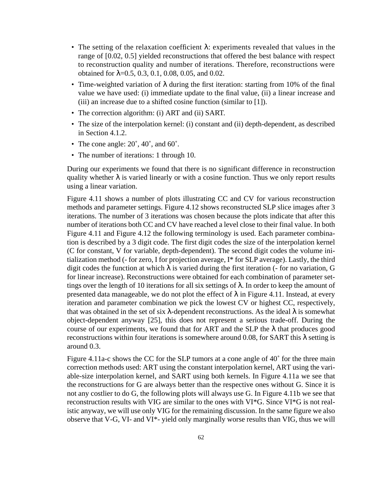- The setting of the relaxation coefficient  $\lambda$ : experiments revealed that values in the range of [0.02, 0.5] yielded reconstructions that offered the best balance with respect to reconstruction quality and number of iterations. Therefore, reconstructions were obtained for  $\lambda$ =0.5, 0.3, 0.1, 0.08, 0.05, and 0.02.
- Time-weighted variation of  $\lambda$  during the first iteration: starting from 10% of the final value we have used: (i) immediate update to the final value, (ii) a linear increase and (iii) an increase due to a shifted cosine function (similar to [1]).
- The correction algorithm: (i) ART and (ii) SART.
- The size of the interpolation kernel: (i) constant and (ii) depth-dependent, as described in Section 4.1.2.
- The cone angle:  $20^{\circ}$ ,  $40^{\circ}$ , and  $60^{\circ}$ .
- The number of iterations: 1 through 10.

During our experiments we found that there is no significant difference in reconstruction quality whether  $\lambda$  is varied linearly or with a cosine function. Thus we only report results using a linear variation.

Figure 4.11 shows a number of plots illustrating CC and CV for various reconstruction methods and parameter settings. Figure 4.12 shows reconstructed SLP slice images after 3 iterations. The number of 3 iterations was chosen because the plots indicate that after this number of iterations both CC and CV have reached a level close to their final value. In both Figure 4.11 and Figure 4.12 the following terminology is used. Each parameter combination is described by a 3 digit code. The first digit codes the size of the interpolation kernel (C for constant, V for variable, depth-dependent). The second digit codes the volume initialization method (- for zero, I for projection average, I\* for SLP average). Lastly, the third digit codes the function at which  $\lambda$  is varied during the first iteration (- for no variation, G for linear increase). Reconstructions were obtained for each combination of parameter settings over the length of 10 iterations for all six settings of  $\lambda$ . In order to keep the amount of presented data manageable, we do not plot the effect of  $\lambda$  in Figure 4.11. Instead, at every iteration and parameter combination we pick the lowest CV or highest CC, respectively, that was obtained in the set of six  $\lambda$ -dependent reconstructions. As the ideal  $\lambda$  is somewhat object-dependent anyway [25], this does not represent a serious trade-off. During the course of our experiments, we found that for ART and the SLP the  $\lambda$  that produces good reconstructions within four iterations is somewhere around 0.08, for SART this  $\lambda$  setting is around 0.3.

Figure 4.11a-c shows the CC for the SLP tumors at a cone angle of 40˚ for the three main correction methods used: ART using the constant interpolation kernel, ART using the variable-size interpolation kernel, and SART using both kernels. In Figure 4.11a we see that the reconstructions for G are always better than the respective ones without G. Since it is not any costlier to do G, the following plots will always use G. In Figure 4.11b we see that reconstruction results with VIG are similar to the ones with VI\*G. Since VI\*G is not realistic anyway, we will use only VIG for the remaining discussion. In the same figure we also observe that V-G, VI- and VI\*- yield only marginally worse results than VIG, thus we will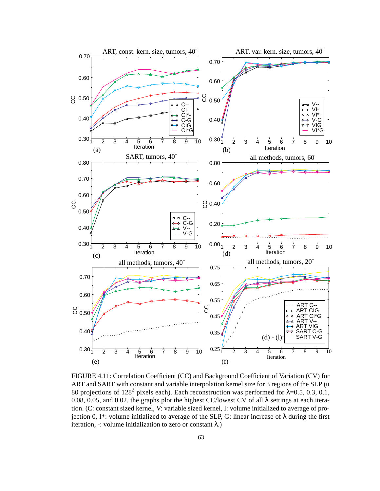

FIGURE 4.11: Correlation Coefficient (CC) and Background Coefficient of Variation (CV) for ART and SART with constant and variable interpolation kernel size for 3 regions of the SLP (u 80 projections of 128<sup>2</sup> pixels each). Each reconstruction was performed for  $\lambda$ =0.5, 0.3, 0.1, 0.08, 0.05, and 0.02, the graphs plot the highest CC/lowest CV of all  $\lambda$  settings at each iteration. (C: constant sized kernel, V: variable sized kernel, I: volume initialized to average of projection 0, I\*: volume initialized to average of the SLP, G: linear increase of λ during the first iteration, -: volume initialization to zero or constant  $\lambda$ .)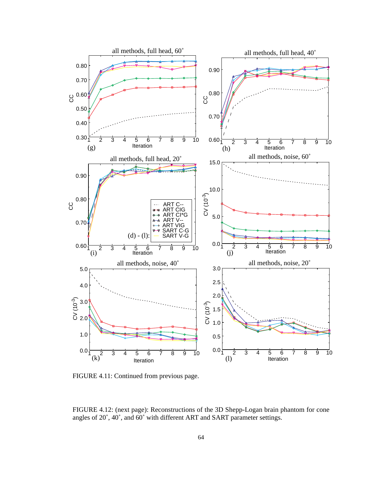

FIGURE 4.11: Continued from previous page.

FIGURE 4.12: (next page): Reconstructions of the 3D Shepp-Logan brain phantom for cone angles of 20˚, 40˚, and 60˚ with different ART and SART parameter settings.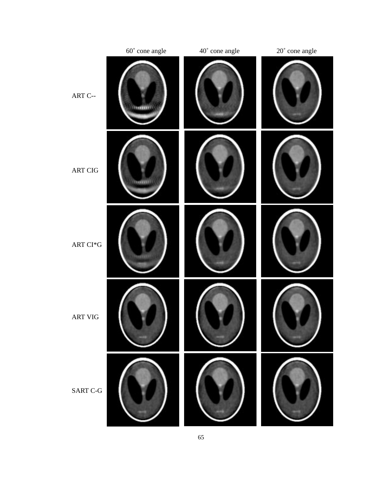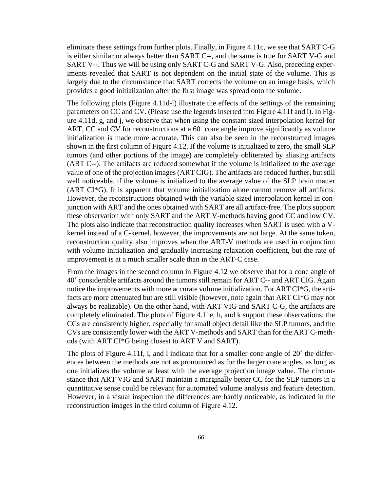eliminate these settings from further plots. Finally, in Figure 4.11c, we see that SART C-G is either similar or always better than SART C--, and the same is true for SART V-G and SART V--. Thus we will be using only SART C-G and SART V-G. Also, preceding experiments revealed that SART is not dependent on the initial state of the volume. This is largely due to the circumstance that SART corrects the volume on an image basis, which provides a good initialization after the first image was spread onto the volume.

The following plots (Figure 4.11d-l) illustrate the effects of the settings of the remaining parameters on CC and CV. (Please use the legends inserted into Figure 4.11f and i). In Figure 4.11d, g, and j, we observe that when using the constant sized interpolation kernel for ART, CC and CV for reconstructions at a  $60^{\circ}$  cone angle improve significantly as volume initialization is made more accurate. This can also be seen in the reconstructed images shown in the first column of Figure 4.12. If the volume is initialized to zero, the small SLP tumors (and other portions of the image) are completely obliterated by aliasing artifacts (ART C--). The artifacts are reduced somewhat if the volume is initialized to the average value of one of the projection images (ART CIG). The artifacts are reduced further, but still well noticeable, if the volume is initialized to the average value of the SLP brain matter (ART CI\*G). It is apparent that volume initialization alone cannot remove all artifacts. However, the reconstructions obtained with the variable sized interpolation kernel in conjunction with ART and the ones obtained with SART are all artifact-free. The plots support these observation with only SART and the ART V-methods having good CC and low CV. The plots also indicate that reconstruction quality increases when SART is used with a Vkernel instead of a C-kernel, however, the improvements are not large. At the same token, reconstruction quality also improves when the ART-V methods are used in conjunction with volume initialization and gradually increasing relaxation coefficient, but the rate of improvement is at a much smaller scale than in the ART-C case.

From the images in the second column in Figure 4.12 we observe that for a cone angle of 40˚ considerable artifacts around the tumors still remain for ART C-- and ART CIG. Again notice the improvements with more accurate volume initialization. For ART CI\*G, the artifacts are more attenuated but are still visible (however, note again that ART CI\*G may not always be realizable). On the other hand, with ART VIG and SART C-G, the artifacts are completely eliminated. The plots of Figure 4.11e, h, and k support these observations: the CCs are consistently higher, especially for small object detail like the SLP tumors, and the CVs are consistently lower with the ART V-methods and SART than for the ART C-methods (with ART CI\*G being closest to ART V and SART).

The plots of Figure 4.11f, i, and l indicate that for a smaller cone angle of 20° the differences between the methods are not as pronounced as for the larger cone angles, as long as one initializes the volume at least with the average projection image value. The circumstance that ART VIG and SART maintain a marginally better CC for the SLP tumors in a quantitative sense could be relevant for automated volume analysis and feature detection. However, in a visual inspection the differences are hardly noticeable, as indicated in the reconstruction images in the third column of Figure 4.12.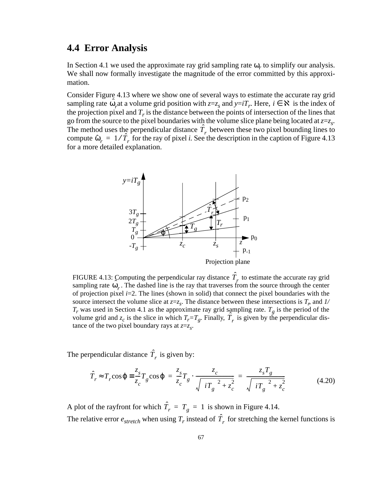## **4.4 Error Analysis**

In Section 4.1 we used the approximate ray grid sampling rate  $\omega_r$  to simplify our analysis. We shall now formally investigate the magnitude of the error committed by this approximation.

Consider Figure 4.13 where we show one of several ways to estimate the accurate ray grid sampling rate  $\hat{\omega}_r$  at a volume grid position with  $z=z_s$  and  $y=iT_r$ . Here,  $i \in \mathbb{R}$  is the index of the projection pixel and  $T_r$  is the distance between the points of intersection of the lines that go from the source to the pixel boundaries with the volume slice plane being located at*z*=*zs.* The method uses the perpendicular distance  $\hat{T}_r$  between these two pixel bounding lines to compute  $\hat{\omega}_r = 1/\hat{T}_r$  for the ray of pixel *i*. See the description in the caption of Figure 4.13 for a more detailed explanation.



FIGURE 4.13: Computing the perpendicular ray distance  $\hat{T}_r$  to estimate the accurate ray grid sampling rate  $\hat{\omega}_r$ . The dashed line is the ray that traverses from the source through the center of projection pixel *i*=2. The lines (shown in solid) that connect the pixel boundaries with the source intersect the volume slice at  $z=z_s$ . The distance between these intersections is  $T_r$ , and  $1/$  $T_r$  was used in Section 4.1 as the approximate ray grid sampling rate.  $T_g$  is the period of the volume grid and  $z_c$  is the slice in which  $T_r = T_g$ . Finally,  $\hat{T}_r$  is given by the perpendicular distance of the two pixel boundary rays at *z*=*zs*.

The perpendicular distance  $\hat{T}_r$  is given by:

$$
\hat{T}_r \approx T_r \cos \varphi \equiv \frac{z_s}{z_c} T_g \cos \varphi = \frac{z_s}{z_c} T_g \cdot \frac{z_c}{\sqrt{\langle iT_g \rangle^2 + z_c^2}} = \frac{z_s T_g}{\sqrt{\langle iT_g \rangle^2 + z_c^2}}
$$
(4.20)

A plot of the rayfront for which  $\hat{T}_r = T_g = 1$  is shown in Figure 4.14. The relative error  $e_{stretch}$  when using  $T_r$  instead of  $\hat{T}_r$  for stretching the kernel functions is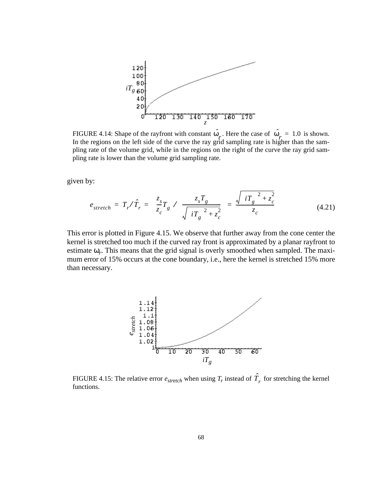

FIGURE 4.14: Shape of the rayfront with constant  $\omega_{\mu}$ . Here the case of  $\omega_{\mu} = 1.0$  is shown. In the regions on the left side of the curve the ray grid sampling rate is higher than the sampling rate of the volume grid, while in the regions on the right of the curve the ray grid sampling rate is lower than the volume grid sampling rate.  $\hat{\omega}_r$ . Here the case of  $\hat{\omega}_r = 1.0$ 

given by:

$$
e_{stretch} = T_r / \hat{T}_r = \langle \frac{z_s}{z_c} T_g \rangle / \langle \frac{z_s T_g}{\sqrt{\langle i T_g \rangle^2 + z_c^2}} \rangle = \frac{\sqrt{\langle i T_g \rangle^2 + z_c^2}}{z_c}
$$
(4.21)

This error is plotted in Figure 4.15. We observe that further away from the cone center the kernel is stretched too much if the curved ray front is approximated by a planar rayfront to estimate  $\omega_r$ . This means that the grid signal is overly smoothed when sampled. The maximum error of 15% occurs at the cone boundary, i.e., here the kernel is stretched 15% more than necessary.



FIGURE 4.15: The relative error  $e_{stretch}$  when using  $T_r$  instead of  $\hat{T}_r$  for stretching the kernel functions.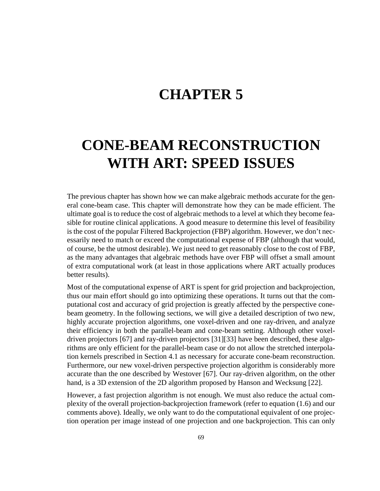# **CHAPTER 5**

# **CONE-BEAM RECONSTRUCTION WITH ART: SPEED ISSUES**

The previous chapter has shown how we can make algebraic methods accurate for the general cone-beam case. This chapter will demonstrate how they can be made efficient. The ultimate goal is to reduce the cost of algebraic methods to a level at which they become feasible for routine clinical applications. A good measure to determine this level of feasibility is the cost of the popular Filtered Backprojection (FBP) algorithm. However, we don't necessarily need to match or exceed the computational expense of FBP (although that would, of course, be the utmost desirable). We just need to get reasonably close to the cost of FBP, as the many advantages that algebraic methods have over FBP will offset a small amount of extra computational work (at least in those applications where ART actually produces better results).

Most of the computational expense of ART is spent for grid projection and backprojection, thus our main effort should go into optimizing these operations. It turns out that the computational cost and accuracy of grid projection is greatly affected by the perspective conebeam geometry. In the following sections, we will give a detailed description of two new, highly accurate projection algorithms, one voxel-driven and one ray-driven, and analyze their efficiency in both the parallel-beam and cone-beam setting. Although other voxeldriven projectors [67] and ray-driven projectors [31][33] have been described, these algorithms are only efficient for the parallel-beam case or do not allow the stretched interpolation kernels prescribed in Section 4.1 as necessary for accurate cone-beam reconstruction. Furthermore, our new voxel-driven perspective projection algorithm is considerably more accurate than the one described by Westover [67]. Our ray-driven algorithm, on the other hand, is a 3D extension of the 2D algorithm proposed by Hanson and Wecksung [22].

However, a fast projection algorithm is not enough. We must also reduce the actual complexity of the overall projection-backprojection framework (refer to equation (1.6) and our comments above). Ideally, we only want to do the computational equivalent of one projection operation per image instead of one projection and one backprojection. This can only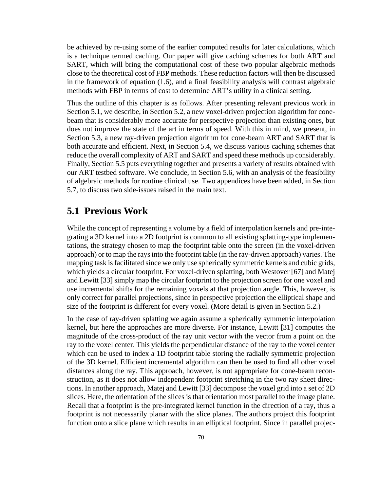be achieved by re-using some of the earlier computed results for later calculations, which is a technique termed caching. Our paper will give caching schemes for both ART and SART, which will bring the computational cost of these two popular algebraic methods close to the theoretical cost of FBP methods. These reduction factors will then be discussed in the framework of equation (1.6), and a final feasibility analysis will contrast algebraic methods with FBP in terms of cost to determine ART's utility in a clinical setting.

Thus the outline of this chapter is as follows. After presenting relevant previous work in Section 5.1, we describe, in Section 5.2, a new voxel-driven projection algorithm for conebeam that is considerably more accurate for perspective projection than existing ones, but does not improve the state of the art in terms of speed. With this in mind, we present, in Section 5.3, a new ray-driven projection algorithm for cone-beam ART and SART that is both accurate and efficient. Next, in Section 5.4, we discuss various caching schemes that reduce the overall complexity of ART and SART and speed these methods up considerably. Finally, Section 5.5 puts everything together and presents a variety of results obtained with our ART testbed software. We conclude, in Section 5.6, with an analysis of the feasibility of algebraic methods for routine clinical use. Two appendices have been added, in Section 5.7, to discuss two side-issues raised in the main text.

## **5.1 Previous Work**

While the concept of representing a volume by a field of interpolation kernels and pre-integrating a 3D kernel into a 2D footprint is common to all existing splatting-type implementations, the strategy chosen to map the footprint table onto the screen (in the voxel-driven approach) or to map the rays into the footprint table (in the ray-driven approach) varies. The mapping task is facilitated since we only use spherically symmetric kernels and cubic grids, which yields a circular footprint. For voxel-driven splatting, both Westover [67] and Matej and Lewitt [33] simply map the circular footprint to the projection screen for one voxel and use incremental shifts for the remaining voxels at that projection angle. This, however, is only correct for parallel projections, since in perspective projection the elliptical shape and size of the footprint is different for every voxel. (More detail is given in Section 5.2.)

In the case of ray-driven splatting we again assume a spherically symmetric interpolation kernel, but here the approaches are more diverse. For instance, Lewitt [31] computes the magnitude of the cross-product of the ray unit vector with the vector from a point on the ray to the voxel center. This yields the perpendicular distance of the ray to the voxel center which can be used to index a 1D footprint table storing the radially symmetric projection of the 3D kernel. Efficient incremental algorithm can then be used to find all other voxel distances along the ray. This approach, however, is not appropriate for cone-beam reconstruction, as it does not allow independent footprint stretching in the two ray sheet directions. In another approach, Matej and Lewitt [33] decompose the voxel grid into a set of 2D slices. Here, the orientation of the slices is that orientation most parallel to the image plane. Recall that a footprint is the pre-integrated kernel function in the direction of a ray, thus a footprint is not necessarily planar with the slice planes. The authors project this footprint function onto a slice plane which results in an elliptical footprint. Since in parallel projec-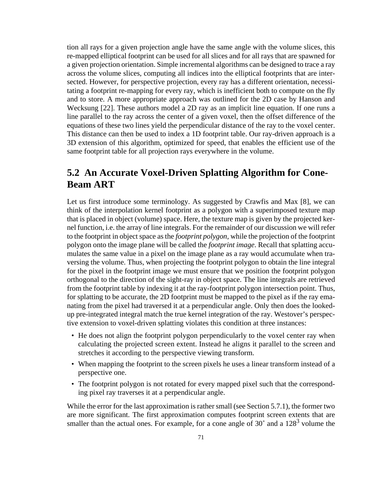tion all rays for a given projection angle have the same angle with the volume slices, this re-mapped elliptical footprint can be used for all slices and for all rays that are spawned for a given projection orientation. Simple incremental algorithms can be designed to trace a ray across the volume slices, computing all indices into the elliptical footprints that are intersected. However, for perspective projection, every ray has a different orientation, necessitating a footprint re-mapping for every ray, which is inefficient both to compute on the fly and to store. A more appropriate approach was outlined for the 2D case by Hanson and Wecksung [22]. These authors model a 2D ray as an implicit line equation. If one runs a line parallel to the ray across the center of a given voxel, then the offset difference of the equations of these two lines yield the perpendicular distance of the ray to the voxel center. This distance can then be used to index a 1D footprint table. Our ray-driven approach is a 3D extension of this algorithm, optimized for speed, that enables the efficient use of the same footprint table for all projection rays everywhere in the volume.

## **5.2 An Accurate Voxel-Driven Splatting Algorithm for Cone-Beam ART**

Let us first introduce some terminology. As suggested by Crawfis and Max [8], we can think of the interpolation kernel footprint as a polygon with a superimposed texture map that is placed in object (volume) space. Here, the texture map is given by the projected kernel function, i.e. the array of line integrals. For the remainder of our discussion we will refer to the footprint in object space as the *footprint polygon*, while the projection of the footprint polygon onto the image plane will be called the *footprint image*. Recall that splatting accumulates the same value in a pixel on the image plane as a ray would accumulate when traversing the volume. Thus, when projecting the footprint polygon to obtain the line integral for the pixel in the footprint image we must ensure that we position the footprint polygon orthogonal to the direction of the sight-ray in object space. The line integrals are retrieved from the footprint table by indexing it at the ray-footprint polygon intersection point. Thus, for splatting to be accurate, the 2D footprint must be mapped to the pixel as if the ray emanating from the pixel had traversed it at a perpendicular angle. Only then does the lookedup pre-integrated integral match the true kernel integration of the ray. Westover's perspective extension to voxel-driven splatting violates this condition at three instances:

- He does not align the footprint polygon perpendicularly to the voxel center ray when calculating the projected screen extent. Instead he aligns it parallel to the screen and stretches it according to the perspective viewing transform.
- When mapping the footprint to the screen pixels he uses a linear transform instead of a perspective one.
- The footprint polygon is not rotated for every mapped pixel such that the corresponding pixel ray traverses it at a perpendicular angle.

While the error for the last approximation is rather small (see Section 5.7.1), the former two are more significant. The first approximation computes footprint screen extents that are smaller than the actual ones. For example, for a cone angle of  $30^{\circ}$  and a  $128^3$  volume the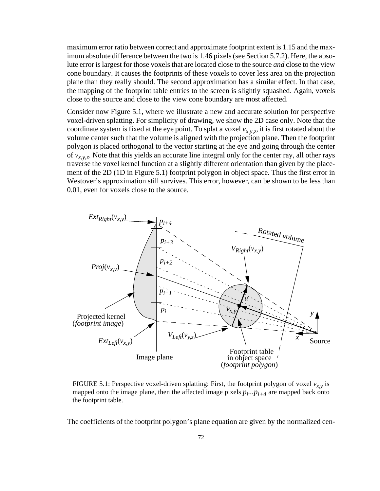maximum error ratio between correct and approximate footprint extent is 1.15 and the maximum absolute difference between the two is 1.46 pixels (see Section 5.7.2). Here, the absolute error is largest for those voxels that are located close to the source *and* close to the view cone boundary. It causes the footprints of these voxels to cover less area on the projection plane than they really should. The second approximation has a similar effect. In that case, the mapping of the footprint table entries to the screen is slightly squashed. Again, voxels close to the source and close to the view cone boundary are most affected.

Consider now Figure 5.1, where we illustrate a new and accurate solution for perspective voxel-driven splatting. For simplicity of drawing, we show the 2D case only. Note that the coordinate system is fixed at the eye point. To splat a voxel  $v_{x,y,z}$ , it is first rotated about the volume center such that the volume is aligned with the projection plane. Then the footprint polygon is placed orthogonal to the vector starting at the eye and going through the center of  $v_{x,y,z}$ . Note that this yields an accurate line integral only for the center ray, all other rays traverse the voxel kernel function at a slightly different orientation than given by the placement of the 2D (1D in Figure 5.1) footprint polygon in object space. Thus the first error in Westover's approximation still survives. This error, however, can be shown to be less than 0.01, even for voxels close to the source.



FIGURE 5.1: Perspective voxel-driven splatting: First, the footprint polygon of voxel  $v_{x,y}$  is mapped onto the image plane, then the affected image pixels  $p_i \nvert p_i \nvert q_i$  are mapped back onto the footprint table.

The coefficients of the footprint polygon's plane equation are given by the normalized cen-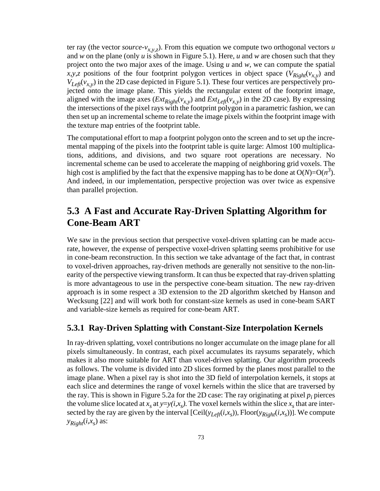ter ray (the vector *source-v<sub>x,y,z</sub>*). From this equation we compute two orthogonal vectors *u* and *w* on the plane (only *u* is shown in Figure 5.1). Here, *u* and *w* are chosen such that they project onto the two major axes of the image. Using *u* and *w*, we can compute the spatial *x,y,z* positions of the four footprint polygon vertices in object space  $(V_{Right}(v_{x,y})$  and  $V_{Left}(v_{x,y})$  in the 2D case depicted in Figure 5.1). These four vertices are perspectively projected onto the image plane. This yields the rectangular extent of the footprint image, aligned with the image axes  $(Ext_{Right}(v_{x,y})$  and  $Ext_{Left}(v_{x,y})$  in the 2D case). By expressing the intersections of the pixel rays with the footprint polygon in a parametric fashion, we can then set up an incremental scheme to relate the image pixels within the footprint image with the texture map entries of the footprint table.

The computational effort to map a footprint polygon onto the screen and to set up the incremental mapping of the pixels into the footprint table is quite large: Almost 100 multiplications, additions, and divisions, and two square root operations are necessary. No incremental scheme can be used to accelerate the mapping of neighboring grid voxels. The high cost is amplified by the fact that the expensive mapping has to be done at  $O(N)=O(n^3)$ . And indeed, in our implementation, perspective projection was over twice as expensive than parallel projection.

## **5.3 A Fast and Accurate Ray-Driven Splatting Algorithm for Cone-Beam ART**

We saw in the previous section that perspective voxel-driven splatting can be made accurate, however, the expense of perspective voxel-driven splatting seems prohibitive for use in cone-beam reconstruction. In this section we take advantage of the fact that, in contrast to voxel-driven approaches, ray-driven methods are generally not sensitive to the non-linearity of the perspective viewing transform. It can thus be expected that ray-driven splatting is more advantageous to use in the perspective cone-beam situation. The new ray-driven approach is in some respect a 3D extension to the 2D algorithm sketched by Hanson and Wecksung [22] and will work both for constant-size kernels as used in cone-beam SART and variable-size kernels as required for cone-beam ART.

#### **5.3.1 Ray-Driven Splatting with Constant-Size Interpolation Kernels**

In ray-driven splatting, voxel contributions no longer accumulate on the image plane for all pixels simultaneously. In contrast, each pixel accumulates its raysums separately, which makes it also more suitable for ART than voxel-driven splatting. Our algorithm proceeds as follows. The volume is divided into 2D slices formed by the planes most parallel to the image plane. When a pixel ray is shot into the 3D field of interpolation kernels, it stops at each slice and determines the range of voxel kernels within the slice that are traversed by the ray. This is shown in Figure 5.2a for the 2D case: The ray originating at pixel  $p_i$  pierces the volume slice located at  $x_s$  at  $y=y(i,x_s)$ . The voxel kernels within the slice  $x_s$  that are intersected by the ray are given by the interval  $[Ceil(y<sub>Left</sub>(i,x<sub>s</sub>)), Floor(y<sub>Right</sub>(i,x<sub>s</sub>))]$ . We compute  $y_{Right}(i, x_s)$  as: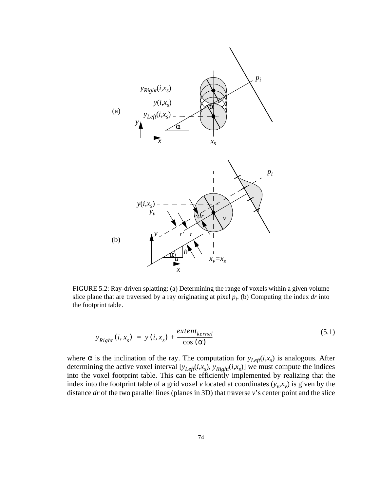

FIGURE 5.2: Ray-driven splatting: (a) Determining the range of voxels within a given volume slice plane that are traversed by a ray originating at pixel  $p_i$ . (b) Computing the index  $dr$  into the footprint table.

$$
y_{Right}(i, x_s) = y(i, x_s) + \frac{extent_{kernel}}{\cos{(\alpha)}} \tag{5.1}
$$

where  $\alpha$  is the inclination of the ray. The computation for  $y_{Lef}(i, x_s)$  is analogous. After determining the active voxel interval  $[y_{Left}(i,x_s), y_{Right}(i,x_s)]$  we must compute the indices into the voxel footprint table. This can be efficiently implemented by realizing that the index into the footprint table of a grid voxel *v* located at coordinates  $(y_v, x_v)$  is given by the distance *dr* of the two parallel lines (planes in 3D) that traverse *v*'s center point and the slice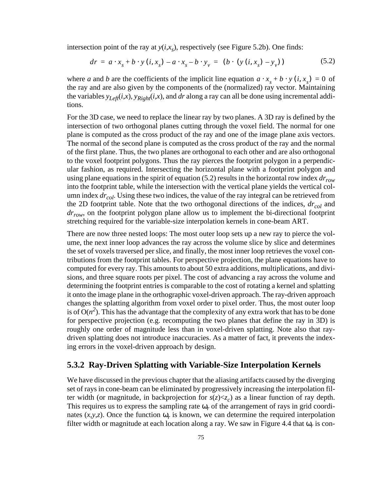intersection point of the ray at  $y(i, x<sub>s</sub>)$ , respectively (see Figure 5.2b). One finds:

$$
dr = a \cdot x_{s} + b \cdot y (i, x_{s}) - a \cdot x_{s} - b \cdot y_{v} = (b \cdot (y (i, x_{s}) - y_{v}))
$$
 (5.2)

where *a* and *b* are the coefficients of the implicit line equation  $a \cdot x_s + b \cdot y$  (*i*,  $x_s$ ) = 0 of the ray and are also given by the components of the (normalized) ray vector. Maintaining the variables  $y_{Left}(i,x)$ ,  $y_{Right}(i,x)$ , and *dr* along a ray can all be done using incremental additions.

For the 3D case, we need to replace the linear ray by two planes. A 3D ray is defined by the intersection of two orthogonal planes cutting through the voxel field. The normal for one plane is computed as the cross product of the ray and one of the image plane axis vectors. The normal of the second plane is computed as the cross product of the ray and the normal of the first plane. Thus, the two planes are orthogonal to each other and are also orthogonal to the voxel footprint polygons. Thus the ray pierces the footprint polygon in a perpendicular fashion, as required. Intersecting the horizontal plane with a footprint polygon and using plane equations in the spirit of equation (5.2) results in the horizontal row index *drrow* into the footprint table, while the intersection with the vertical plane yields the vertical column index *dr<sub>col</sub>*. Using these two indices, the value of the ray integral can be retrieved from the 2D footprint table. Note that the two orthogonal directions of the indices,  $dr_{col}$  and *drrow*, on the footprint polygon plane allow us to implement the bi-directional footprint stretching required for the variable-size interpolation kernels in cone-beam ART.

There are now three nested loops: The most outer loop sets up a new ray to pierce the volume, the next inner loop advances the ray across the volume slice by slice and determines the set of voxels traversed per slice, and finally, the most inner loop retrieves the voxel contributions from the footprint tables. For perspective projection, the plane equations have to computed for every ray. This amounts to about 50 extra additions, multiplications, and divisions, and three square roots per pixel. The cost of advancing a ray across the volume and determining the footprint entries is comparable to the cost of rotating a kernel and splatting it onto the image plane in the orthographic voxel-driven approach. The ray-driven approach changes the splatting algorithm from voxel order to pixel order. Thus, the most outer loop is of  $O(n^2)$ . This has the advantage that the complexity of any extra work that has to be done for perspective projection (e.g. recomputing the two planes that define the ray in 3D) is roughly one order of magnitude less than in voxel-driven splatting. Note also that raydriven splatting does not introduce inaccuracies. As a matter of fact, it prevents the indexing errors in the voxel-driven approach by design.

#### **5.3.2 Ray-Driven Splatting with Variable-Size Interpolation Kernels**

We have discussed in the previous chapter that the aliasing artifacts caused by the diverging set of rays in cone-beam can be eliminated by progressively increasing the interpolation filter width (or magnitude, in backprojection for  $s(z) \ll z_c$ ) as a linear function of ray depth. This requires us to express the sampling rate  $\omega_r$  of the arrangement of rays in grid coordinates  $(x, y, z)$ . Once the function  $\omega_r$  is known, we can determine the required interpolation filter width or magnitude at each location along a ray. We saw in Figure 4.4 that  $\omega_r$  is con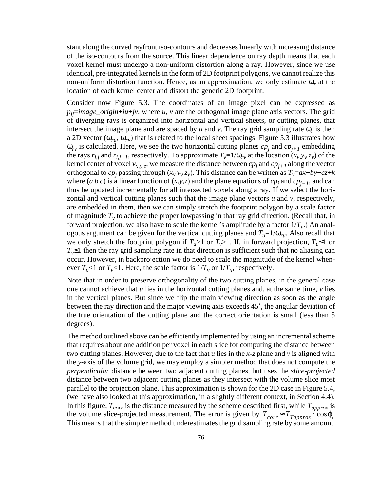stant along the curved rayfront iso-contours and decreases linearly with increasing distance of the iso-contours from the source. This linear dependence on ray depth means that each voxel kernel must undergo a non-uniform distortion along a ray. However, since we use identical, pre-integrated kernels in the form of 2D footprint polygons, we cannot realize this non-uniform distortion function. Hence, as an approximation, we only estimate ω*r* at the location of each kernel center and distort the generic 2D footprint.

Consider now Figure 5.3. The coordinates of an image pixel can be expressed as  $p_{ii}$ =*image\_origin*+ $iu$ + $jv$ , where  $u$ ,  $v$  are the orthogonal image plane axis vectors. The grid of diverging rays is organized into horizontal and vertical sheets, or cutting planes, that intersect the image plane and are spaced by  $u$  and  $v$ . The ray grid sampling rate  $\omega_r$  is then a 2D vector ( $\omega_{\rm r}$ ,  $\omega_{\rm r}$ ) that is related to the local sheet spacings. Figure 5.3 illustrates how  $\omega_{rv}$  is calculated. Here, we see the two horizontal cutting planes  $cp_j$  and  $cp_{j+1}$  embedding the rays  $r_{i,j}$  and  $r_{i,j+1}$ , respectively. To approximate  $T_v=1/\omega_{rv}$  at the location  $(x_v, y_v, z_v)$  of the kernel center of voxel  $v_{x,y,z}$ , we measure the distance between  $cp_j$  and  $cp_{j+1}$  along the vector orthogonal to *cp<sub>j</sub>* passing through  $(x_v, y_v, z_v)$ . This distance can be written as  $T_v=a x+b y+c z+k$ where (*a b c*) is a linear function of (*x,y,z*) and the plane equations of  $cp_j$  and  $cp_{j+1}$ , and can thus be updated incrementally for all intersected voxels along a ray. If we select the horizontal and vertical cutting planes such that the image plane vectors *u* and *v*, respectively, are embedded in them, then we can simply stretch the footprint polygon by a scale factor of magnitude  $T<sub>v</sub>$  to achieve the proper lowpassing in that ray grid direction. (Recall that, in forward projection, we also have to scale the kernel's amplitude by a factor  $1/T_{v}$ .) An analogous argument can be given for the vertical cutting planes and  $T_u=1/\omega_{ru}$ . Also recall that we only stretch the footprint polygon if  $T_u>1$  or  $T_v>1$ . If, in forward projection,  $T_u\leq 1$  or  $T_v$ ≤1 then the ray grid sampling rate in that direction is sufficient such that no aliasing can occur. However, in backprojection we do need to scale the magnitude of the kernel whenever  $T_u$ <1 or  $T_v$ <1. Here, the scale factor is  $1/T_v$  or  $1/T_u$ , respectively.

Note that in order to preserve orthogonality of the two cutting planes, in the general case one cannot achieve that *u* lies in the horizontal cutting planes and, at the same time, *v* lies in the vertical planes. But since we flip the main viewing direction as soon as the angle between the ray direction and the major viewing axis exceeds 45˚, the angular deviation of the true orientation of the cutting plane and the correct orientation is small (less than 5 degrees).

The method outlined above can be efficiently implemented by using an incremental scheme that requires about one addition per voxel in each slice for computing the distance between two cutting planes. However, due to the fact that *u* lies in the *x-z* plane and *v* is aligned with the *y*-axis of the volume grid, we may employ a simpler method that does not compute the *perpendicular* distance between two adjacent cutting planes, but uses the *slice-projected* distance between two adjacent cutting planes as they intersect with the volume slice most parallel to the projection plane. This approximation is shown for the 2D case in Figure 5.4, (we have also looked at this approximation, in a slightly different context, in Section 4.4). In this figure,  $T_{corr}$  is the distance measured by the scheme described first, while  $T_{approx}$  is the volume slice-projected measurement. The error is given by  $T_{corr} \approx T_{Tapprox} \cos \varphi$ . This means that the simpler method underestimates the grid sampling rate by some amount.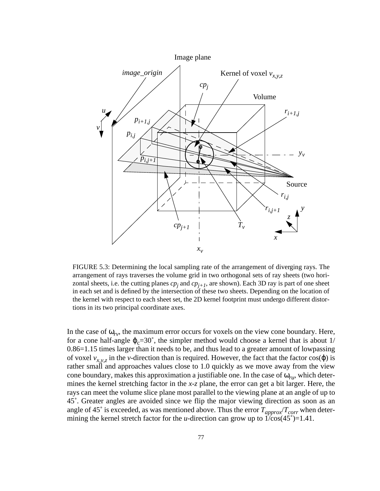

FIGURE 5.3: Determining the local sampling rate of the arrangement of diverging rays. The arrangement of rays traverses the volume grid in two orthogonal sets of ray sheets (two horizontal sheets, i.e. the cutting planes  $cp_j$  and  $cp_{j+1}$ , are shown). Each 3D ray is part of one sheet in each set and is defined by the intersection of these two sheets. Depending on the location of the kernel with respect to each sheet set, the 2D kernel footprint must undergo different distortions in its two principal coordinate axes.

In the case of  $\omega_{\rm rv}$ , the maximum error occurs for voxels on the view cone boundary. Here, for a cone half-angle  $\varphi_c = 30^\circ$ , the simpler method would choose a kernel that is about 1/ 0.86=1.15 times larger than it needs to be, and thus lead to a greater amount of lowpassing of voxel  $v_{x,y,z}$  in the *v*-direction than is required. However, the fact that the factor cos( $\varphi$ ) is rather small and approaches values close to 1.0 quickly as we move away from the view cone boundary, makes this approximation a justifiable one. In the case of ω*ru*, which determines the kernel stretching factor in the *x*-*z* plane, the error can get a bit larger. Here, the rays can meet the volume slice plane most parallel to the viewing plane at an angle of up to 45˚. Greater angles are avoided since we flip the major viewing direction as soon as an angle of 45° is exceeded, as was mentioned above. Thus the error  $T_{approx}/T_{corr}$  when determining the kernel stretch factor for the *u*-direction can grow up to  $1/cos(45^\circ)=1.41$ .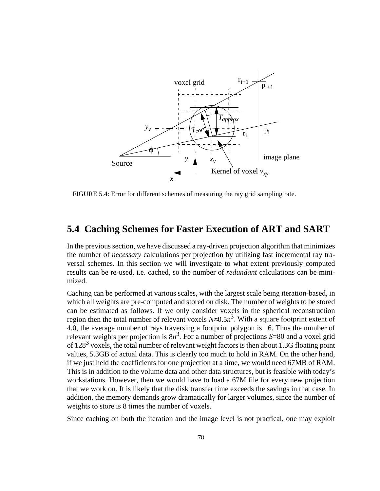

FIGURE 5.4: Error for different schemes of measuring the ray grid sampling rate.

## **5.4 Caching Schemes for Faster Execution of ART and SART**

In the previous section, we have discussed a ray-driven projection algorithm that minimizes the number of *necessary* calculations per projection by utilizing fast incremental ray traversal schemes. In this section we will investigate to what extent previously computed results can be re-used, i.e. cached, so the number of *redundant* calculations can be minimized.

Caching can be performed at various scales, with the largest scale being iteration-based, in which all weights are pre-computed and stored on disk. The number of weights to be stored can be estimated as follows. If we only consider voxels in the spherical reconstruction region then the total number of relevant voxels  $N \approx 0.5n^3$ . With a square footprint extent of 4.0, the average number of rays traversing a footprint polygon is 16. Thus the number of relevant weights per projection is  $8n^3$ . For a number of projections  $S=80$  and a voxel grid of  $128<sup>3</sup>$  voxels, the total number of relevant weight factors is then about 1.3G floating point values, 5.3GB of actual data. This is clearly too much to hold in RAM. On the other hand, if we just held the coefficients for one projection at a time, we would need 67MB of RAM. This is in addition to the volume data and other data structures, but is feasible with today's workstations. However, then we would have to load a 67M file for every new projection that we work on. It is likely that the disk transfer time exceeds the savings in that case. In addition, the memory demands grow dramatically for larger volumes, since the number of weights to store is 8 times the number of voxels.

Since caching on both the iteration and the image level is not practical, one may exploit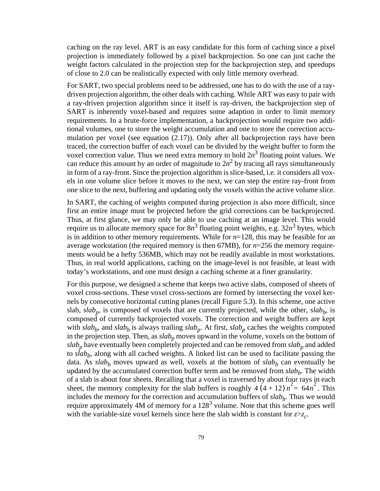caching on the ray level. ART is an easy candidate for this form of caching since a pixel projection is immediately followed by a pixel backprojection. So one can just cache the weight factors calculated in the projection step for the backprojection step, and speedups of close to 2.0 can be realistically expected with only little memory overhead.

For SART, two special problems need to be addressed, one has to do with the use of a raydriven projection algorithm, the other deals with caching. While ART was easy to pair with a ray-driven projection algorithm since it itself is ray-driven, the backprojection step of SART is inherently voxel-based and requires some adaption in order to limit memory requirements. In a brute-force implementation, a backprojection would require two additional volumes, one to store the weight accumulation and one to store the correction accumulation per voxel (see equation (2.17)). Only after all backprojection rays have been traced, the correction buffer of each voxel can be divided by the weight buffer to form the voxel correction value. Thus we need extra memory to hold  $2n<sup>3</sup>$  floating point values. We can reduce this amount by an order of magnitude to  $2n^2$  by tracing all rays simultaneously in form of a ray-front. Since the projection algorithm is slice-based, i.e. it considers all voxels in one volume slice before it moves to the next, we can step the entire ray-front from one slice to the next, buffering and updating only the voxels within the active volume slice.

In SART, the caching of weights computed during projection is also more difficult, since first an entire image must be projected before the grid corrections can be backprojected. Thus, at first glance, we may only be able to use caching at an image level. This would require us to allocate memory space for  $8n^3$  floating point weights, e.g.  $32n^3$  bytes, which is in addition to other memory requirements. While for *n*=128, this may be feasible for an average workstation (the required memory is then 67MB), for *n*=256 the memory requirements would be a hefty 536MB, which may not be readily available in most workstations. Thus, in real world applications, caching on the image-level is not feasible, at least with today's workstations, and one must design a caching scheme at a finer granularity.

For this purpose, we designed a scheme that keeps two active slabs, composed of sheets of voxel cross-sections. These voxel cross-sections are formed by intersecting the voxel kernels by consecutive horizontal cutting planes (recall Figure 5.3). In this scheme, one active slab,  $slab_p$ , is composed of voxels that are currently projected, while the other,  $slab_p$ , is composed of currently backprojected voxels. The correction and weight buffers are kept with  $slab_b$ , and  $slab_b$  is always trailing  $slab_p$ . At first,  $slab_p$  caches the weights computed in the projection step. Then, as  $slab_p$  moves upward in the volume, voxels on the bottom of  $slab<sub>p</sub>$  have eventually been completely projected and can be removed from  $slab<sub>p</sub>$  and added to  $s \dot{I} ab_b$ , along with all cached weights. A linked list can be used to facilitate passing the data. As  $slab<sub>b</sub>$  moves upward as well, voxels at the bottom of  $slab<sub>b</sub>$  can eventually be updated by the accumulated correction buffer term and be removed from *slab<sub>b</sub>*. The width of a slab is about four sheets. Recalling that a voxel is traversed by about four rays in each sheet, the memory complexity for the slab buffers is roughly  $4(4+12) n^2 = 64n^2$ . This includes the memory for the correction and accumulation buffers of  $slab_b$ . Thus we would require approximately 4M of memory for a  $128<sup>3</sup>$  volume. Note that this scheme goes well with the variable-size voxel kernels since here the slab width is constant for  $z \geq z_c$ .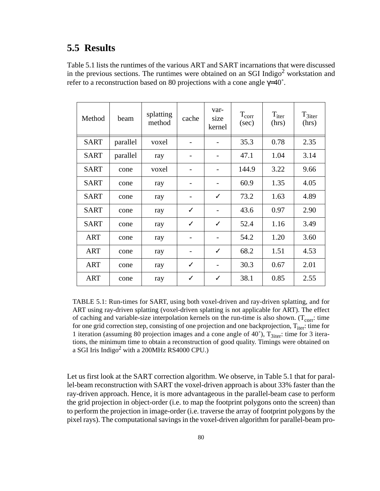## **5.5 Results**

Table 5.1 lists the runtimes of the various ART and SART incarnations that were discussed in the previous sections. The runtimes were obtained on an SGI Indigo<sup>2</sup> workstation and refer to a reconstruction based on 80 projections with a cone angle  $\gamma$ =40°.

| Method      | beam     | splatting<br>method | cache | var-<br>size<br>kernel | $T_{\text{corr}}$<br>(sec) | $T_{iter}$<br>(hrs) | $T_{3iter}$<br>(hrs) |
|-------------|----------|---------------------|-------|------------------------|----------------------------|---------------------|----------------------|
| <b>SART</b> | parallel | voxel               |       |                        | 35.3                       | 0.78                | 2.35                 |
| <b>SART</b> | parallel | ray                 | -     | -                      | 47.1                       | 1.04                | 3.14                 |
| <b>SART</b> | cone     | voxel               |       | -                      | 144.9                      | 3.22                | 9.66                 |
| <b>SART</b> | cone     | ray                 | -     | $\qquad \qquad$        | 60.9                       | 1.35                | 4.05                 |
| <b>SART</b> | cone     | ray                 |       | $\checkmark$           | 73.2                       | 1.63                | 4.89                 |
| <b>SART</b> | cone     | ray                 | ✓     | $\overline{a}$         | 43.6                       | 0.97                | 2.90                 |
| <b>SART</b> | cone     | ray                 | ✓     | $\checkmark$           | 52.4                       | 1.16                | 3.49                 |
| <b>ART</b>  | cone     | ray                 |       | $\overline{a}$         | 54.2                       | 1.20                | 3.60                 |
| <b>ART</b>  | cone     | ray                 |       | ✓                      | 68.2                       | 1.51                | 4.53                 |
| <b>ART</b>  | cone     | ray                 | ✓     |                        | 30.3                       | 0.67                | 2.01                 |
| <b>ART</b>  | cone     | ray                 | ✓     | ✓                      | 38.1                       | 0.85                | 2.55                 |

TABLE 5.1: Run-times for SART, using both voxel-driven and ray-driven splatting, and for ART using ray-driven splatting (voxel-driven splatting is not applicable for ART). The effect of caching and variable-size interpolation kernels on the run-time is also shown. ( $T_{corr}$ : time for one grid correction step, consisting of one projection and one backprojection,  $T_{iter}$ : time for 1 iteration (assuming 80 projection images and a cone angle of  $40^{\circ}$ ),  $T_{3\text{iter}}$ : time for 3 iterations, the minimum time to obtain a reconstruction of good quality. Timings were obtained on a SGI Iris Indigo<sup>2</sup> with a 200MHz RS4000 CPU.)

Let us first look at the SART correction algorithm. We observe, in Table 5.1 that for parallel-beam reconstruction with SART the voxel-driven approach is about 33% faster than the ray-driven approach. Hence, it is more advantageous in the parallel-beam case to perform the grid projection in object-order (i.e. to map the footprint polygons onto the screen) than to perform the projection in image-order (i.e. traverse the array of footprint polygons by the pixel rays). The computational savings in the voxel-driven algorithm for parallel-beam pro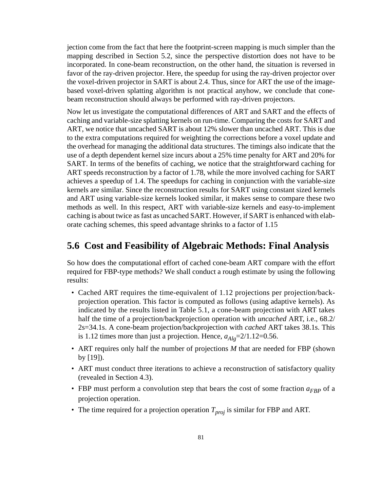jection come from the fact that here the footprint-screen mapping is much simpler than the mapping described in Section 5.2, since the perspective distortion does not have to be incorporated. In cone-beam reconstruction, on the other hand, the situation is reversed in favor of the ray-driven projector. Here, the speedup for using the ray-driven projector over the voxel-driven projector in SART is about 2.4. Thus, since for ART the use of the imagebased voxel-driven splatting algorithm is not practical anyhow, we conclude that conebeam reconstruction should always be performed with ray-driven projectors.

Now let us investigate the computational differences of ART and SART and the effects of caching and variable-size splatting kernels on run-time. Comparing the costs for SART and ART, we notice that uncached SART is about 12% slower than uncached ART. This is due to the extra computations required for weighting the corrections before a voxel update and the overhead for managing the additional data structures. The timings also indicate that the use of a depth dependent kernel size incurs about a 25% time penalty for ART and 20% for SART. In terms of the benefits of caching, we notice that the straightforward caching for ART speeds reconstruction by a factor of 1.78, while the more involved caching for SART achieves a speedup of 1.4. The speedups for caching in conjunction with the variable-size kernels are similar. Since the reconstruction results for SART using constant sized kernels and ART using variable-size kernels looked similar, it makes sense to compare these two methods as well. In this respect, ART with variable-size kernels and easy-to-implement caching is about twice as fast as uncached SART. However, if SART is enhanced with elaborate caching schemes, this speed advantage shrinks to a factor of 1.15

## **5.6 Cost and Feasibility of Algebraic Methods: Final Analysis**

So how does the computational effort of cached cone-beam ART compare with the effort required for FBP-type methods? We shall conduct a rough estimate by using the following results:

- Cached ART requires the time-equivalent of 1.12 projections per projection/backprojection operation. This factor is computed as follows (using adaptive kernels). As indicated by the results listed in Table 5.1, a cone-beam projection with ART takes half the time of a projection/backprojection operation with *uncached* ART, i.e., 68.2/ 2s=34.1s. A cone-beam projection/backprojection with *cached* ART takes 38.1s. This is 1.12 times more than just a projection. Hence,  $a_{Alg} = 2/1.12 = 0.56$ .
- ART requires only half the number of projections *M* that are needed for FBP (shown by [19]).
- ART must conduct three iterations to achieve a reconstruction of satisfactory quality (revealed in Section 4.3).
- FBP must perform a convolution step that bears the cost of some fraction  $a_{FBP}$  of a projection operation.
- The time required for a projection operation  $T_{proj}$  is similar for FBP and ART.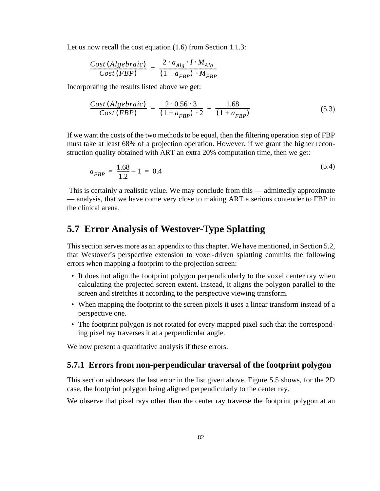Let us now recall the cost equation  $(1.6)$  from Section 1.1.3:

$$
\frac{Cost(Algebraic)}{Cost(FBP)} = \frac{2 \cdot a_{Alg} \cdot I \cdot M_{Alg}}{(1 + a_{FBP}) \cdot M_{FBP}}
$$

Incorporating the results listed above we get:

$$
\frac{Cost(Algebraic)}{Cost(FBP)} = \frac{2 \cdot 0.56 \cdot 3}{(1 + a_{FBP}) \cdot 2} = \frac{1.68}{(1 + a_{FBP})}
$$
(5.3)

If we want the costs of the two methods to be equal, then the filtering operation step of FBP must take at least 68% of a projection operation. However, if we grant the higher reconstruction quality obtained with ART an extra 20% computation time, then we get:

$$
a_{FBP} = \frac{1.68}{1.2} - 1 = 0.4 \tag{5.4}
$$

 This is certainly a realistic value. We may conclude from this — admittedly approximate — analysis, that we have come very close to making ART a serious contender to FBP in the clinical arena.

## **5.7 Error Analysis of Westover-Type Splatting**

This section serves more as an appendix to this chapter. We have mentioned, in Section 5.2, that Westover's perspective extension to voxel-driven splatting commits the following errors when mapping a footprint to the projection screen:

- It does not align the footprint polygon perpendicularly to the voxel center ray when calculating the projected screen extent. Instead, it aligns the polygon parallel to the screen and stretches it according to the perspective viewing transform.
- When mapping the footprint to the screen pixels it uses a linear transform instead of a perspective one.
- The footprint polygon is not rotated for every mapped pixel such that the corresponding pixel ray traverses it at a perpendicular angle.

We now present a quantitative analysis if these errors.

#### **5.7.1 Errors from non-perpendicular traversal of the footprint polygon**

This section addresses the last error in the list given above. Figure 5.5 shows, for the 2D case, the footprint polygon being aligned perpendicularly to the center ray.

We observe that pixel rays other than the center ray traverse the footprint polygon at an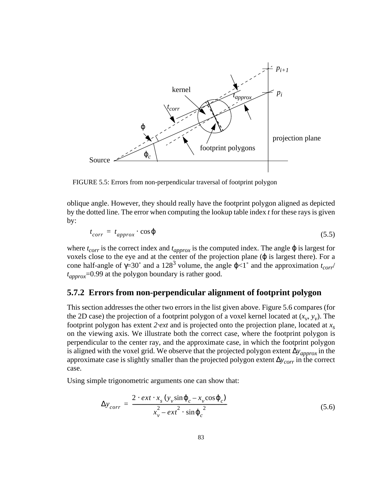

FIGURE 5.5: Errors from non-perpendicular traversal of footprint polygon

oblique angle. However, they should really have the footprint polygon aligned as depicted by the dotted line. The error when computing the lookup table index *t* for these rays is given by:

$$
t_{corr} = t_{approx} \cdot \cos \varphi \tag{5.5}
$$

where  $t_{corr}$  is the correct index and  $t_{approx}$  is the computed index. The angle  $\varphi$  is largest for voxels close to the eye and at the center of the projection plane ( $\varphi$  is largest there). For a cone half-angle of  $\gamma = 30^\circ$  and a 128<sup>3</sup> volume, the angle  $\varphi < 1^\circ$  and the approximation  $t_{corr}$  $t_{approx}$ =0.99 at the polygon boundary is rather good.

#### **5.7.2 Errors from non-perpendicular alignment of footprint polygon**

This section addresses the other two errors in the list given above. Figure 5.6 compares (for the 2D case) the projection of a footprint polygon of a voxel kernel located at  $(x_v, y_v)$ . The footprint polygon has extent *2*⋅*ext* and is projected onto the projection plane, located at *xs* on the viewing axis. We illustrate both the correct case, where the footprint polygon is perpendicular to the center ray, and the approximate case, in which the footprint polygon is aligned with the voxel grid. We observe that the projected polygon extent ∆*yapprox* in the approximate case is slightly smaller than the projected polygon extent ∆*ycorr* in the correct case.

Using simple trigonometric arguments one can show that:

$$
\Delta y_{corr} = \frac{2 \cdot ext \cdot x_s (y_v \sin \varphi_c - x_v \cos \varphi_c)}{x_v^2 - ext^2 \cdot \sin \varphi_c^2}
$$
(5.6)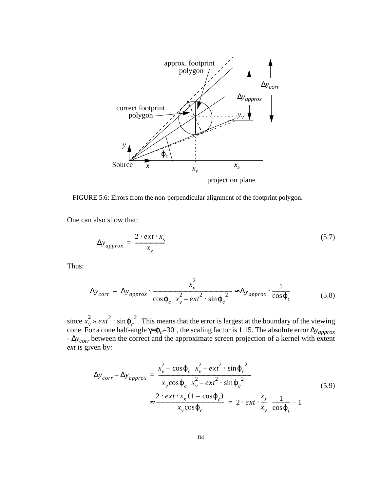

FIGURE 5.6: Errors from the non-perpendicular alignment of the footprint polygon.

One can also show that:

$$
\Delta y_{approx} = \frac{2 \cdot ext \cdot x_s}{x_v} \tag{5.7}
$$

Thus:

$$
\Delta y_{corr} = \Delta y_{approx} \cdot \frac{x_v^2}{\cos \varphi_c \left(x_v^2 - ext^2 \cdot \sin \varphi_c^2\right)} \approx \Delta y_{approx} \cdot \frac{1}{\cos \varphi_c}
$$
(5.8)

since  $x_{y}^{2} \gg ext^{2} \cdot \sin \varphi_{c}^{2}$ . This means that the error is largest at the boundary of the viewing cone. For a cone half-angle γ=ϕ*c*=30˚, the scaling factor is 1.15. The absolute error ∆*yapprox* - ∆*ycorr* between the correct and the approximate screen projection of a kernel with extent *ext* is given by:  $x_v^2 \gg ext^2 \cdot \sin \varphi_c^2$ 

$$
\Delta y_{corr} - \Delta y_{approx} = \frac{x_v^2 - \cos \varphi_c \left(x_v^2 - ext^2 \cdot \sin \varphi_c^2\right)}{x_v \cos \varphi_c \left(x_v^2 - ext^2 \cdot \sin \varphi_c^2\right)}
$$
\n
$$
\approx \frac{2 \cdot ext \cdot x_s \left(1 - \cos \varphi_c\right)}{x_v \cos \varphi_c} = 2 \cdot ext \cdot \frac{x_s}{x_v} \left(\frac{1}{\cos \varphi_c} - 1\right)
$$
\n(5.9)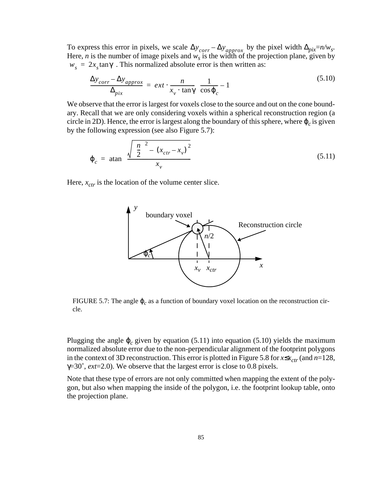To express this error in pixels, we scale  $\Delta y_{corr} - \Delta y_{approx}$  by the pixel width  $\Delta p_{ix} = n/w_s$ . Here, *n* is the number of image pixels and  $w_s$  is the width of the projection plane, given by  $w_s = 2x_s \tan \gamma$ . This normalized absolute error is then written as: ∆*ycorr* ∆*yapprox* –

$$
\frac{\Delta y_{corr} - \Delta y_{approx}}{\Delta_{pix}} = ext \cdot \frac{n}{x_v \cdot \tan\gamma} \left(\frac{1}{\cos\varphi_c} - 1\right)
$$
\n(5.10)

We observe that the error is largest for voxels close to the source and out on the cone boundary. Recall that we are only considering voxels within a spherical reconstruction region (a circle in 2D). Hence, the error is largest along the boundary of this sphere, where  $\varphi_c$  is given by the following expression (see also Figure 5.7):

$$
\varphi_c = \operatorname{atan}\left(\frac{\sqrt{\left(\frac{n}{2}\right)^2 - (x_{ctr} - x_v)^2}}{x_v}\right) \tag{5.11}
$$

Here,  $x_{ctr}$  is the location of the volume center slice.



FIGURE 5.7: The angle  $\varphi_c$  as a function of boundary voxel location on the reconstruction circle.

Plugging the angle ϕ*<sup>c</sup>* given by equation (5.11) into equation (5.10) yields the maximum normalized absolute error due to the non-perpendicular alignment of the footprint polygons in the context of 3D reconstruction. This error is plotted in Figure 5.8 for  $x \le x_{ctr}$  (and  $n=128$ , γ=30˚, *ext*=2.0). We observe that the largest error is close to 0.8 pixels.

Note that these type of errors are not only committed when mapping the extent of the polygon, but also when mapping the inside of the polygon, i.e. the footprint lookup table, onto the projection plane.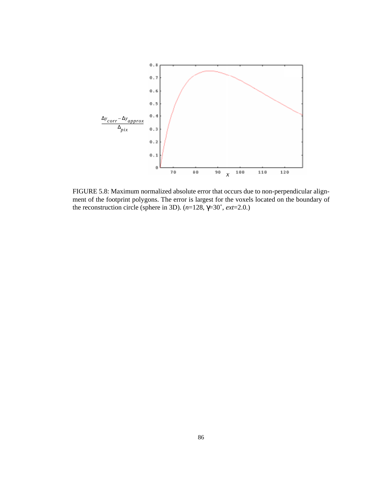

FIGURE 5.8: Maximum normalized absolute error that occurs due to non-perpendicular alignment of the footprint polygons. The error is largest for the voxels located on the boundary of the reconstruction circle (sphere in 3D).  $(n=128, \gamma=30^{\circ}, ext=2.0.)$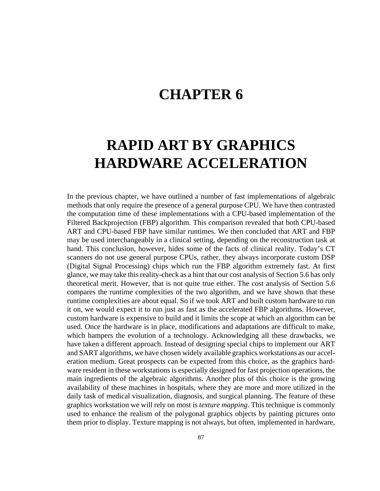## **CHAPTER 6**

# **RAPID ART BY GRAPHICS HARDWARE ACCELERATION**

In the previous chapter, we have outlined a number of fast implementations of algebraic methods that only require the presence of a general purpose CPU. We have then contrasted the computation time of these implementations with a CPU-based implementation of the Filtered Backprojection (FBP) algorithm. This comparison revealed that both CPU-based ART and CPU-based FBP have similar runtimes. We then concluded that ART and FBP may be used interchangeably in a clinical setting, depending on the reconstruction task at hand. This conclusion, however, hides some of the facts of clinical reality. Today's CT scanners do not use general purpose CPUs, rather, they always incorporate custom DSP (Digital Signal Processing) chips which run the FBP algorithm extremely fast. At first glance, we may take this reality-check as a hint that our cost analysis of Section 5.6 has only theoretical merit. However, that is not quite true either. The cost analysis of Section 5.6 compares the runtime complexities of the two algorithm, and we have shown that these runtime complexities are about equal. So if we took ART and built custom hardware to run it on, we would expect it to run just as fast as the accelerated FBP algorithms. However, custom hardware is expensive to build and it limits the scope at which an algorithm can be used. Once the hardware is in place, modifications and adaptations are difficult to make, which hampers the evolution of a technology. Acknowledging all these drawbacks, we have taken a different approach. Instead of designing special chips to implement our ART and SART algorithms, we have chosen widely available graphics workstations as our acceleration medium. Great prospects can be expected from this choice, as the graphics hardware resident in these workstations is especially designed for fast projection operations, the main ingredients of the algebraic algorithms. Another plus of this choice is the growing availability of these machines in hospitals, where they are more and more utilized in the daily task of medical visualization, diagnosis, and surgical planning. The feature of these graphics workstation we will rely on most is *texture mapping*. This technique is commonly used to enhance the realism of the polygonal graphics objects by painting pictures onto them prior to display. Texture mapping is not always, but often, implemented in hardware,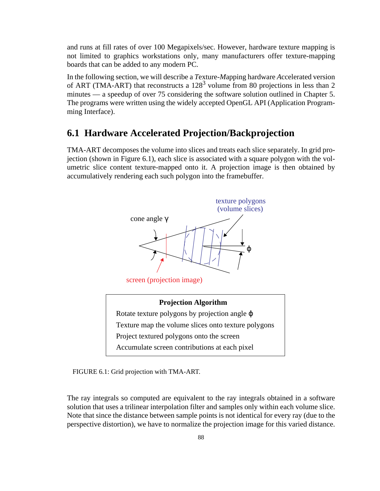and runs at fill rates of over 100 Megapixels/sec. However, hardware texture mapping is not limited to graphics workstations only, many manufacturers offer texture-mapping boards that can be added to any modern PC.

In the following section, we will describe a *T*exture-*M*apping hardware *A*ccelerated version of ART (TMA-ART) that reconstructs a  $128<sup>3</sup>$  volume from 80 projections in less than 2 minutes — a speedup of over 75 considering the software solution outlined in Chapter 5. The programs were written using the widely accepted OpenGL API (Application Programming Interface).

## **6.1 Hardware Accelerated Projection/Backprojection**

TMA-ART decomposes the volume into slices and treats each slice separately. In grid projection (shown in Figure 6.1), each slice is associated with a square polygon with the volumetric slice content texture-mapped onto it. A projection image is then obtained by accumulatively rendering each such polygon into the framebuffer.



FIGURE 6.1: Grid projection with TMA-ART.

The ray integrals so computed are equivalent to the ray integrals obtained in a software solution that uses a trilinear interpolation filter and samples only within each volume slice. Note that since the distance between sample points is not identical for every ray (due to the perspective distortion), we have to normalize the projection image for this varied distance.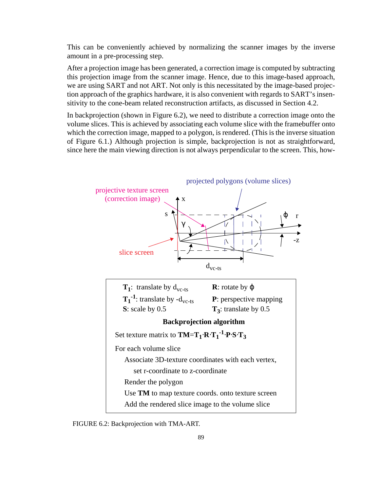This can be conveniently achieved by normalizing the scanner images by the inverse amount in a pre-processing step.

After a projection image has been generated, a correction image is computed by subtracting this projection image from the scanner image. Hence, due to this image-based approach, we are using SART and not ART. Not only is this necessitated by the image-based projection approach of the graphics hardware, it is also convenient with regards to SART's insensitivity to the cone-beam related reconstruction artifacts, as discussed in Section 4.2.

In backprojection (shown in Figure 6.2), we need to distribute a correction image onto the volume slices. This is achieved by associating each volume slice with the framebuffer onto which the correction image, mapped to a polygon, is rendered. (This is the inverse situation of Figure 6.1.) Although projection is simple, backprojection is not as straightforward, since here the main viewing direction is not always perpendicular to the screen. This, how-



FIGURE 6.2: Backprojection with TMA-ART.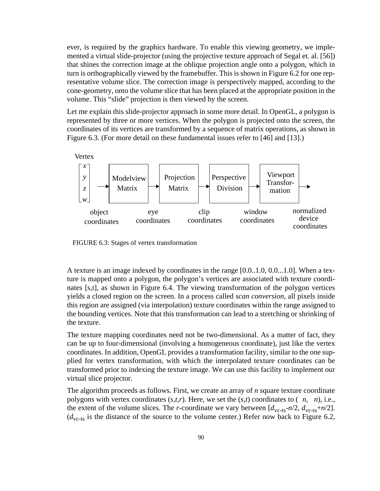ever, is required by the graphics hardware. To enable this viewing geometry, we implemented a virtual slide-projector (using the projective texture approach of Segal et. al. [56]) that shines the correction image at the oblique projection angle onto a polygon, which in turn is orthographically viewed by the framebuffer. This is shown in Figure 6.2 for one representative volume slice. The correction image is perspectively mapped, according to the cone-geometry, onto the volume slice that has been placed at the appropriate position in the volume. This "slide" projection is then viewed by the screen.

Let me explain this slide-projector approach in some more detail. In OpenGL, a polygon is represented by three or more vertices. When the polygon is projected onto the screen, the coordinates of its vertices are transformed by a sequence of matrix operations, as shown in Figure 6.3. (For more detail on these fundamental issues refer to [46] and [13].)



FIGURE 6.3: Stages of vertex transformation

A texture is an image indexed by coordinates in the range [0.0..1.0, 0.0...1.0]. When a texture is mapped onto a polygon, the polygon's vertices are associated with texture coordinates [s,t], as shown in Figure 6.4. The viewing transformation of the polygon vertices yields a closed region on the screen. In a process called *scan conversion,* all pixels inside this region are assigned (via interpolation) texture coordinates within the range assigned to the bounding vertices. Note that this transformation can lead to a stretching or shrinking of the texture.

The texture mapping coordinates need not be two-dimensional. As a matter of fact, they can be up to four-dimensional (involving a homogeneous coordinate), just like the vertex coordinates. In addition, OpenGL provides a transformation facility, similar to the one supplied for vertex transformation, with which the interpolated texture coordinates can be transformed prior to indexing the texture image. We can use this facility to implement our virtual slice projector.

The algorithm proceeds as follows. First, we create an array of *n* square texture coordinate polygons with vertex coordinates  $(s,t,r)$ . Here, we set the  $(s,t)$  coordinates to  $(n, n)$ , i.e., the extent of the volume slices. The *r*-coordinate we vary between  $[d_{\text{vc-ts}}-n/2, d_{\text{vc-ts}}+n/2]$ .  $(d_{\text{vc-ts}})$  is the distance of the source to the volume center.) Refer now back to Figure 6.2,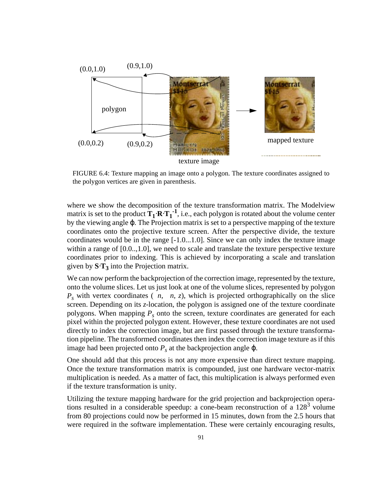

FIGURE 6.4: Texture mapping an image onto a polygon. The texture coordinates assigned to the polygon vertices are given in parenthesis.

where we show the decomposition of the texture transformation matrix. The Modelview matrix is set to the product  $\mathbf{T_1} \cdot \mathbf{R} \cdot \mathbf{T_1}^{-1}$ , i.e., each polygon is rotated about the volume center by the viewing angle ϕ. The Projection matrix is set to a perspective mapping of the texture coordinates onto the projective texture screen. After the perspective divide, the texture coordinates would be in the range [-1.0...1.0]. Since we can only index the texture image within a range of  $[0.0, 1.0]$ , we need to scale and translate the texture perspective texture coordinates prior to indexing. This is achieved by incorporating a scale and translation given by  $S \cdot T_3$  into the Projection matrix.

We can now perform the backprojection of the correction image, represented by the texture, onto the volume slices. Let us just look at one of the volume slices, represented by polygon  $P_s$  with vertex coordinates (*n*, *n*, *z*), which is projected orthographically on the slice screen. Depending on its *z*-location, the polygon is assigned one of the texture coordinate polygons. When mapping  $P_s$  onto the screen, texture coordinates are generated for each pixel within the projected polygon extent. However, these texture coordinates are not used directly to index the correction image, but are first passed through the texture transformation pipeline. The transformed coordinates then index the correction image texture as if this image had been projected onto  $P_s$  at the backprojection angle  $\varphi$ .

One should add that this process is not any more expensive than direct texture mapping. Once the texture transformation matrix is compounded, just one hardware vector-matrix multiplication is needed. As a matter of fact, this multiplication is always performed even if the texture transformation is unity.

Utilizing the texture mapping hardware for the grid projection and backprojection operations resulted in a considerable speedup: a cone-beam reconstruction of a  $128<sup>3</sup>$  volume from 80 projections could now be performed in 15 minutes, down from the 2.5 hours that were required in the software implementation. These were certainly encouraging results,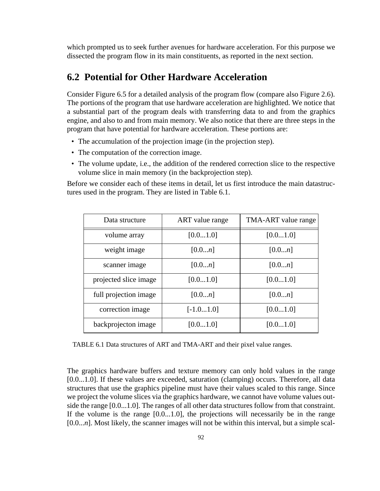which prompted us to seek further avenues for hardware acceleration. For this purpose we dissected the program flow in its main constituents, as reported in the next section.

## **6.2 Potential for Other Hardware Acceleration**

Consider Figure 6.5 for a detailed analysis of the program flow (compare also Figure 2.6). The portions of the program that use hardware acceleration are highlighted. We notice that a substantial part of the program deals with transferring data to and from the graphics engine, and also to and from main memory. We also notice that there are three steps in the program that have potential for hardware acceleration. These portions are:

- The accumulation of the projection image (in the projection step).
- The computation of the correction image.
- The volume update, i.e., the addition of the rendered correction slice to the respective volume slice in main memory (in the backprojection step).

Before we consider each of these items in detail, let us first introduce the main datastructures used in the program. They are listed in Table 6.1.

| Data structure        | ART value range | TMA-ART value range |
|-----------------------|-----------------|---------------------|
| volume array          | [0.01.0]        | [0.01.0]            |
| weight image          | [0.0n]          | [0.0n]              |
| scanner image         | [0.0n]          | [0.0n]              |
| projected slice image | [0.01.0]        | [0.01.0]            |
| full projection image | [0.0n]          | [0.0n]              |
| correction image      | $[-1.01.0]$     | [0.01.0]            |
| backprojecton image   | [0.01.0]        | [0.01.0]            |

TABLE 6.1 Data structures of ART and TMA-ART and their pixel value ranges.

The graphics hardware buffers and texture memory can only hold values in the range [0.0...1.0]. If these values are exceeded, saturation (clamping) occurs. Therefore, all data structures that use the graphics pipeline must have their values scaled to this range. Since we project the volume slices via the graphics hardware, we cannot have volume values outside the range [0.0...1.0]. The ranges of all other data structures follow from that constraint. If the volume is the range [0.0...1.0], the projections will necessarily be in the range [0.0...*n*]. Most likely, the scanner images will not be within this interval, but a simple scal-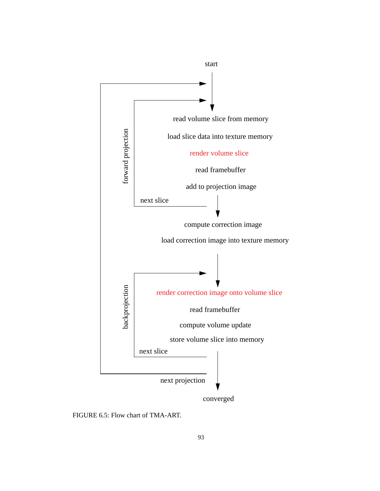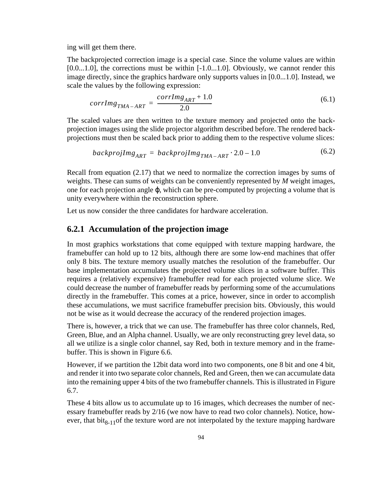ing will get them there.

The backprojected correction image is a special case. Since the volume values are within  $[0.0...1.0]$ , the corrections must be within  $[-1.0...1.0]$ . Obviously, we cannot render this image directly, since the graphics hardware only supports values in [0.0...1.0]. Instead, we scale the values by the following expression:

$$
corrlmg_{TMA-ART} = \frac{corrlmg_{ART} + 1.0}{2.0} \tag{6.1}
$$

The scaled values are then written to the texture memory and projected onto the backprojection images using the slide projector algorithm described before. The rendered backprojections must then be scaled back prior to adding them to the respective volume slices:

$$
backgrounding_{ART} = backprojImg_{TMA-ART} \cdot 2.0 - 1.0 \tag{6.2}
$$

Recall from equation (2.17) that we need to normalize the correction images by sums of weights. These can sums of weights can be conveniently represented by *M* weight images, one for each projection angle ϕ, which can be pre-computed by projecting a volume that is unity everywhere within the reconstruction sphere.

Let us now consider the three candidates for hardware acceleration.

#### **6.2.1 Accumulation of the projection image**

In most graphics workstations that come equipped with texture mapping hardware, the framebuffer can hold up to 12 bits, although there are some low-end machines that offer only 8 bits. The texture memory usually matches the resolution of the framebuffer. Our base implementation accumulates the projected volume slices in a software buffer. This requires a (relatively expensive) framebuffer read for each projected volume slice. We could decrease the number of framebuffer reads by performing some of the accumulations directly in the framebuffer. This comes at a price, however, since in order to accomplish these accumulations, we must sacrifice framebuffer precision bits. Obviously, this would not be wise as it would decrease the accuracy of the rendered projection images.

There is, however, a trick that we can use. The framebuffer has three color channels, Red, Green, Blue, and an Alpha channel. Usually, we are only reconstructing grey level data, so all we utilize is a single color channel, say Red, both in texture memory and in the framebuffer. This is shown in Figure 6.6.

However, if we partition the 12bit data word into two components, one 8 bit and one 4 bit, and render it into two separate color channels, Red and Green, then we can accumulate data into the remaining upper 4 bits of the two framebuffer channels. This is illustrated in Figure 6.7.

These 4 bits allow us to accumulate up to 16 images, which decreases the number of necessary framebuffer reads by 2/16 (we now have to read two color channels). Notice, however, that  $\text{bit}_{8-11}$  of the texture word are not interpolated by the texture mapping hardware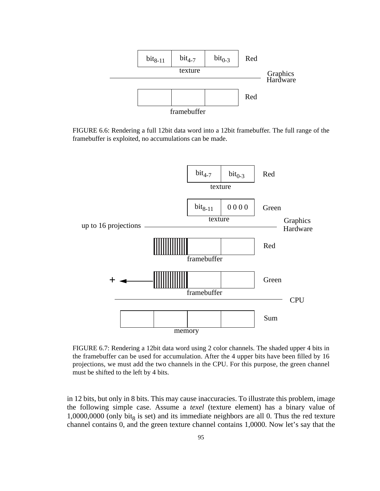

FIGURE 6.6: Rendering a full 12bit data word into a 12bit framebuffer. The full range of the framebuffer is exploited, no accumulations can be made.



FIGURE 6.7: Rendering a 12bit data word using 2 color channels. The shaded upper 4 bits in the framebuffer can be used for accumulation. After the 4 upper bits have been filled by 16 projections, we must add the two channels in the CPU. For this purpose, the green channel must be shifted to the left by 4 bits.

in 12 bits, but only in 8 bits. This may cause inaccuracies. To illustrate this problem, image the following simple case. Assume a *texel* (texture element) has a binary value of 1,0000,0000 (only bit<sub>8</sub> is set) and its immediate neighbors are all 0. Thus the red texture channel contains 0, and the green texture channel contains 1,0000. Now let's say that the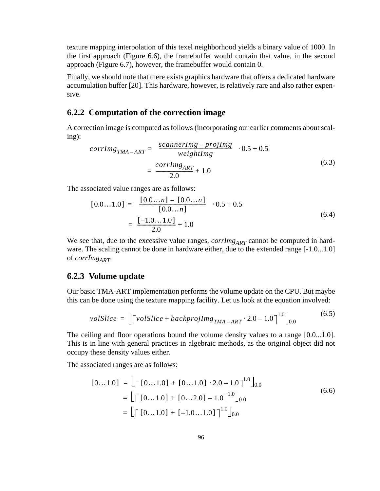texture mapping interpolation of this texel neighborhood yields a binary value of 1000. In the first approach (Figure 6.6), the framebuffer would contain that value, in the second approach (Figure 6.7), however, the framebuffer would contain 0.

Finally, we should note that there exists graphics hardware that offers a dedicated hardware accumulation buffer [20]. This hardware, however, is relatively rare and also rather expensive.

#### **6.2.2 Computation of the correction image**

A correction image is computed as follows (incorporating our earlier comments about scaling):

$$
corrlmg_{TMA-ART} = \left(\frac{scannerImg - projImg}{weightImg}\right) \cdot 0.5 + 0.5
$$

$$
= \frac{corrlmg_{ART}}{2.0} + 1.0
$$
(6.3)

The associated value ranges are as follows:

$$
[0.0...1.0] = \left(\frac{[0.0...n] - [0.0...n]}{[0.0...n]}\right) \cdot 0.5 + 0.5
$$

$$
= \frac{[-1.0...1.0]}{2.0} + 1.0
$$
(6.4)

We see that, due to the excessive value ranges,  $corrIm g_{ART}$  cannot be computed in hardware. The scaling cannot be done in hardware either, due to the extended range [-1.0...1.0] of *corrImg<sub>ART</sub>*.

#### **6.2.3 Volume update**

Our basic TMA-ART implementation performs the volume update on the CPU. But maybe this can be done using the texture mapping facility. Let us look at the equation involved:

$$
volSlice = \left[ \left\lceil volSlice + backprojImg_{TMA - ART} \cdot 2.0 - 1.0 \right\rceil^{1.0} \right]_{0.0}
$$
 (6.5)

The ceiling and floor operations bound the volume density values to a range [0.0...1.0]. This is in line with general practices in algebraic methods, as the original object did not occupy these density values either.

The associated ranges are as follows:

$$
[0...1.0] = \lfloor \Gamma [0...1.0] + [0...1.0] \cdot 2.0 - 1.0 \rceil^{1.0} \rfloor_{0.0}
$$
  
=  $\lfloor \Gamma [0...1.0] + [0...2.0] - 1.0 \rceil^{1.0} \rfloor_{0.0}$   
=  $\lfloor \Gamma [0...1.0] + [-1.0...1.0] \rceil^{1.0} \rfloor_{0.0}$  (6.6)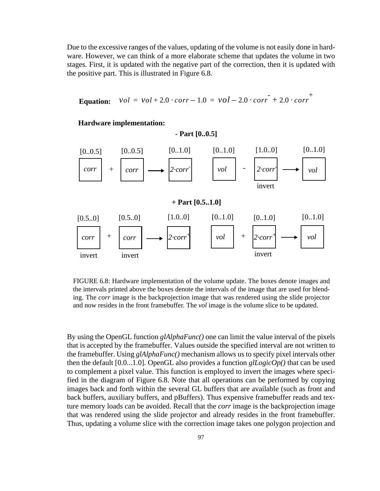Due to the excessive ranges of the values, updating of the volume is not easily done in hardware. However, we can think of a more elaborate scheme that updates the volume in two stages. First, it is updated with the negative part of the correction, then it is updated with the positive part. This is illustrated in Figure 6.8.

**Equation:** 
$$
vol = vol + 2.0 \cdot corr - 1.0 = vol - 2.0 \cdot corr + 2.0 \cdot corr^{+}
$$

**- Part [0..0.5]**

#### **Hardware implementation:**



FIGURE 6.8: Hardware implementation of the volume update. The boxes denote images and the intervals printed above the boxes denote the intervals of the image that are used for blending. The *corr* image is the backprojection image that was rendered using the slide projector and now resides in the front framebuffer. The *vol* image is the volume slice to be updated.

By using the OpenGL function *glAlphaFunc()* one can limit the value interval of the pixels that is accepted by the framebuffer. Values outside the specified interval are not written to the framebuffer. Using *glAlphaFunc()* mechanism allows us to specify pixel intervals other then the default [0.0...1.0]. OpenGL also provides a function *glLogicOp()* that can be used to complement a pixel value. This function is employed to invert the images where specified in the diagram of Figure 6.8. Note that all operations can be performed by copying images back and forth within the several GL buffers that are available (such as front and back buffers, auxiliary buffers, and pBuffers). Thus expensive framebuffer reads and texture memory loads can be avoided. Recall that the *corr* image is the backprojection image that was rendered using the slide projector and already resides in the front framebuffer. Thus, updating a volume slice with the correction image takes one polygon projection and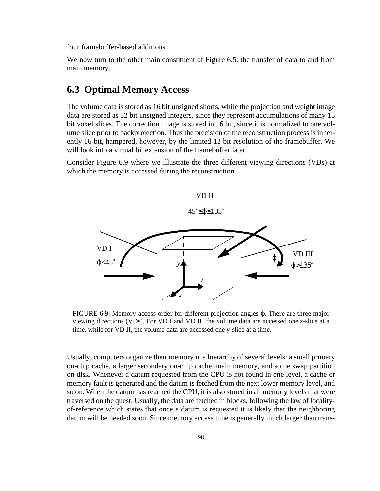four framebuffer-based additions.

We now turn to the other main constituent of Figure 6.5: the transfer of data to and from main memory.

# **6.3 Optimal Memory Access**

The volume data is stored as 16 bit unsigned shorts, while the projection and weight image data are stored as 32 bit unsigned integers, since they represent accumulations of many 16 bit voxel slices. The correction image is stored in 16 bit, since it is normalized to one volume slice prior to backprojection. Thus the precision of the reconstruction process is inherently 16 bit, hampered, however, by the limited 12 bit resolution of the framebuffer. We will look into a virtual bit extension of the framebuffer later.

Consider Figure 6.9 where we illustrate the three different viewing directions (VDs) at which the memory is accessed during the reconstruction.



FIGURE 6.9: Memory access order for different projection angles ϕ. There are three major viewing directions (VDs). For VD I and VD III the volume data are accessed one *z*-slice at a time, while for VD II, the volume data are accessed one *y*-slice at a time.

Usually, computers organize their memory in a hierarchy of several levels: a small primary on-chip cache, a larger secondary on-chip cache, main memory, and some swap partition on disk. Whenever a datum requested from the CPU is not found in one level, a cache or memory fault is generated and the datum is fetched from the next lower memory level, and so on. When the datum has reached the CPU, it is also stored in all memory levels that were traversed on the quest. Usually, the data are fetched in blocks, following the law of localityof-reference which states that once a datum is requested it is likely that the neighboring datum will be needed soon. Since memory access time is generally much larger than trans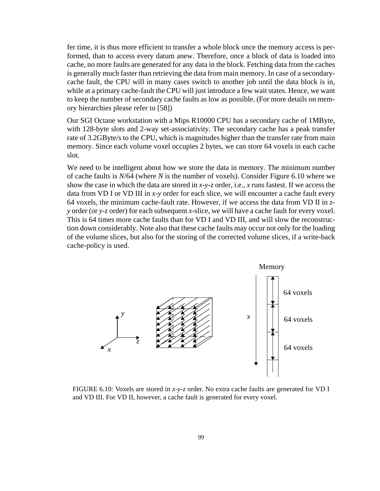fer time, it is thus more efficient to transfer a whole block once the memory access is performed, than to access every datum anew. Therefore, once a block of data is loaded into cache, no more faults are generated for any data in the block. Fetching data from the caches is generally much faster than retrieving the data from main memory. In case of a secondarycache fault, the CPU will in many cases switch to another job until the data block is in, while at a primary cache-fault the CPU will just introduce a few wait states. Hence, we want to keep the number of secondary cache faults as low as possible. (For more details on memory hierarchies please refer to [58])

Our SGI Octane workstation with a Mips R10000 CPU has a secondary cache of 1MByte, with 128-byte slots and 2-way set-associativity. The secondary cache has a peak transfer rate of 3.2GByte/s to the CPU, which is magnitudes higher than the transfer rate from main memory. Since each volume voxel occupies 2 bytes, we can store 64 voxels in each cache slot.

We need to be intelligent about how we store the data in memory. The minimum number of cache faults is *N*/64 (where *N* is the number of voxels). Consider Figure 6.10 where we show the case in which the data are stored in *x-y-z* order, i.e., *x* runs fastest. If we access the data from VD I or VD III in *x-y* order for each slice, we will encounter a cache fault every 64 voxels, the minimum cache-fault rate. However, if we access the data from VD II in *zy* order (or *y-z* order) for each subsequent *x-*slice, we will have a cache fault for every voxel. This is 64 times more cache faults than for VD I and VD III, and will slow the reconstruction down considerably. Note also that these cache faults may occur not only for the loading of the volume slices, but also for the storing of the corrected volume slices, if a write-back cache-policy is used.



FIGURE 6.10: Voxels are stored in *x-y-z* order. No extra cache faults are generated for VD I and VD III. For VD II, however, a cache fault is generated for every voxel.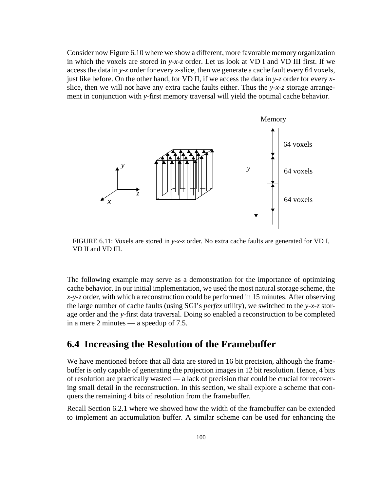Consider now Figure 6.10 where we show a different, more favorable memory organization in which the voxels are stored in *y-x-z* order. Let us look at VD I and VD III first. If we access the data in *y-x* order for every *z*-slice, then we generate a cache fault every 64 voxels, just like before. On the other hand, for VD II, if we access the data in *y-z* order for every *x*slice, then we will not have any extra cache faults either. Thus the *y-x-z* storage arrangement in conjunction with *y*-first memory traversal will yield the optimal cache behavior.



FIGURE 6.11: Voxels are stored in *y-x-z* order. No extra cache faults are generated for VD I, VD II and VD III.

The following example may serve as a demonstration for the importance of optimizing cache behavior. In our initial implementation, we used the most natural storage scheme, the *x-y-z* order, with which a reconstruction could be performed in 15 minutes. After observing the large number of cache faults (using SGI's *perfex* utility), we switched to the *y-x-z* storage order and the *y*-first data traversal. Doing so enabled a reconstruction to be completed in a mere 2 minutes — a speedup of 7.5.

### **6.4 Increasing the Resolution of the Framebuffer**

We have mentioned before that all data are stored in 16 bit precision, although the framebuffer is only capable of generating the projection images in 12 bit resolution. Hence, 4 bits of resolution are practically wasted — a lack of precision that could be crucial for recovering small detail in the reconstruction. In this section, we shall explore a scheme that conquers the remaining 4 bits of resolution from the framebuffer.

Recall Section 6.2.1 where we showed how the width of the framebuffer can be extended to implement an accumulation buffer. A similar scheme can be used for enhancing the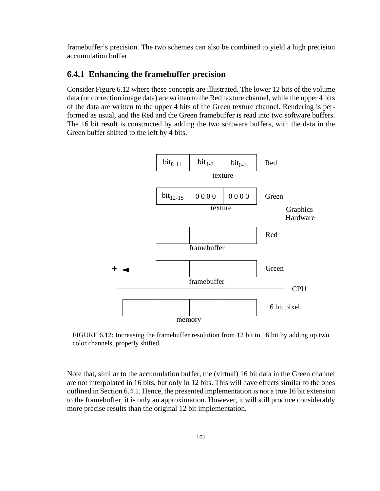framebuffer's precision. The two schemes can also be combined to yield a high precision accumulation buffer.

#### **6.4.1 Enhancing the framebuffer precision**

Consider Figure 6.12 where these concepts are illustrated. The lower 12 bits of the volume data (or correction image data) are written to the Red texture channel, while the upper 4 bits of the data are written to the upper 4 bits of the Green texture channel. Rendering is performed as usual, and the Red and the Green framebuffer is read into two software buffers. The 16 bit result is constructed by adding the two software buffers, with the data in the Green buffer shifted to the left by 4 bits.



FIGURE 6.12: Increasing the framebuffer resolution from 12 bit to 16 bit by adding up two color channels, properly shifted.

Note that, similar to the accumulation buffer, the (virtual) 16 bit data in the Green channel are not interpolated in 16 bits, but only in 12 bits. This will have effects similar to the ones outlined in Section 6.4.1. Hence, the presented implementation is not a true 16 bit extension to the framebuffer, it is only an approximation. However, it will still produce considerably more precise results than the original 12 bit implementation.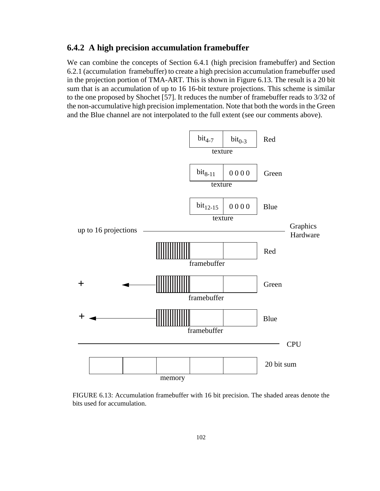#### **6.4.2 A high precision accumulation framebuffer**

We can combine the concepts of Section 6.4.1 (high precision framebuffer) and Section 6.2.1 (accumulation framebuffer) to create a high precision accumulation framebuffer used in the projection portion of TMA-ART. This is shown in Figure 6.13. The result is a 20 bit sum that is an accumulation of up to 16 16-bit texture projections. This scheme is similar to the one proposed by Shochet [57]. It reduces the number of framebuffer reads to 3/32 of the non-accumulative high precision implementation. Note that both the words in the Green and the Blue channel are not interpolated to the full extent (see our comments above).



FIGURE 6.13: Accumulation framebuffer with 16 bit precision. The shaded areas denote the bits used for accumulation.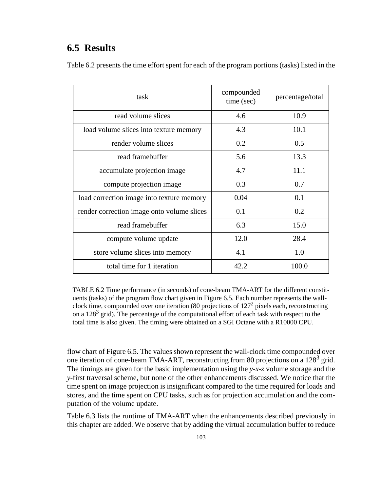# **6.5 Results**

| Table 6.2 presents the time effort spent for each of the program portions (tasks) listed in the |  |  |  |  |  |  |  |  |
|-------------------------------------------------------------------------------------------------|--|--|--|--|--|--|--|--|
|                                                                                                 |  |  |  |  |  |  |  |  |
|                                                                                                 |  |  |  |  |  |  |  |  |

| task                                       | compounded<br>time (sec) | percentage/total |
|--------------------------------------------|--------------------------|------------------|
| read volume slices                         | 4.6                      | 10.9             |
| load volume slices into texture memory     | 4.3                      | 10.1             |
| render volume slices                       | 0.2                      | 0.5              |
| read framebuffer                           | 5.6                      | 13.3             |
| accumulate projection image                | 4.7                      | 11.1             |
| compute projection image                   | 0.3                      | 0.7              |
| load correction image into texture memory  | 0.04                     | 0.1              |
| render correction image onto volume slices | 0.1                      | 0.2              |
| read framebuffer                           | 6.3                      | 15.0             |
| compute volume update                      | 12.0                     | 28.4             |
| store volume slices into memory            | 4.1                      | 1.0              |
| total time for 1 iteration                 | 42.2                     | 100.0            |

TABLE 6.2 Time performance (in seconds) of cone-beam TMA-ART for the different constituents (tasks) of the program flow chart given in Figure 6.5. Each number represents the wallclock time, compounded over one iteration (80 projections of  $127<sup>2</sup>$  pixels each, reconstructing on a  $128<sup>3</sup>$  grid). The percentage of the computational effort of each task with respect to the total time is also given. The timing were obtained on a SGI Octane with a R10000 CPU.

flow chart of Figure 6.5. The values shown represent the wall-clock time compounded over one iteration of cone-beam TMA-ART, reconstructing from 80 projections on a 128<sup>3</sup> grid. The timings are given for the basic implementation using the *y-x-z* volume storage and the *y*-first traversal scheme, but none of the other enhancements discussed. We notice that the time spent on image projection is insignificant compared to the time required for loads and stores, and the time spent on CPU tasks, such as for projection accumulation and the computation of the volume update.

Table 6.3 lists the runtime of TMA-ART when the enhancements described previously in this chapter are added. We observe that by adding the virtual accumulation buffer to reduce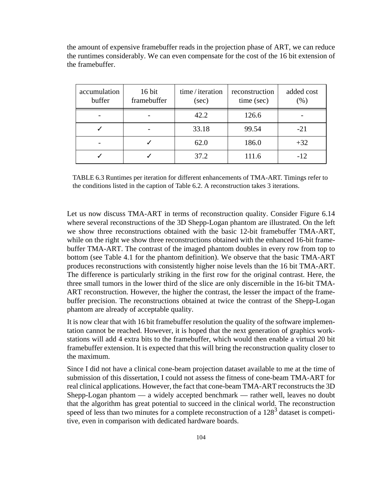the amount of expensive framebuffer reads in the projection phase of ART, we can reduce the runtimes considerably. We can even compensate for the cost of the 16 bit extension of the framebuffer.

| accumulation<br>buffer | $16$ bit<br>framebuffer | time/iteration<br>(sec) | reconstruction<br>time (sec) | added cost<br>$(\%)$ |
|------------------------|-------------------------|-------------------------|------------------------------|----------------------|
|                        |                         | 42.2                    | 126.6                        |                      |
|                        |                         | 33.18                   | 99.54                        | $-21$                |
|                        |                         | 62.0                    | 186.0                        | $+32$                |
|                        |                         | 37.2                    | 111.6                        | $-12$                |

TABLE 6.3 Runtimes per iteration for different enhancements of TMA-ART. Timings refer to the conditions listed in the caption of Table 6.2. A reconstruction takes 3 iterations.

Let us now discuss TMA-ART in terms of reconstruction quality. Consider Figure 6.14 where several reconstructions of the 3D Shepp-Logan phantom are illustrated. On the left we show three reconstructions obtained with the basic 12-bit framebuffer TMA-ART, while on the right we show three reconstructions obtained with the enhanced 16-bit framebuffer TMA-ART. The contrast of the imaged phantom doubles in every row from top to bottom (see Table 4.1 for the phantom definition). We observe that the basic TMA-ART produces reconstructions with consistently higher noise levels than the 16 bit TMA-ART. The difference is particularly striking in the first row for the original contrast. Here, the three small tumors in the lower third of the slice are only discernible in the 16-bit TMA-ART reconstruction. However, the higher the contrast, the lesser the impact of the framebuffer precision. The reconstructions obtained at twice the contrast of the Shepp-Logan phantom are already of acceptable quality.

It is now clear that with 16 bit framebuffer resolution the quality of the software implementation cannot be reached. However, it is hoped that the next generation of graphics workstations will add 4 extra bits to the framebuffer, which would then enable a virtual 20 bit framebuffer extension. It is expected that this will bring the reconstruction quality closer to the maximum.

Since I did not have a clinical cone-beam projection dataset available to me at the time of submission of this dissertation, I could not assess the fitness of cone-beam TMA-ART for real clinical applications. However, the fact that cone-beam TMA-ART reconstructs the 3D Shepp-Logan phantom — a widely accepted benchmark — rather well, leaves no doubt that the algorithm has great potential to succeed in the clinical world. The reconstruction speed of less than two minutes for a complete reconstruction of a 128<sup>3</sup> dataset is competitive, even in comparison with dedicated hardware boards.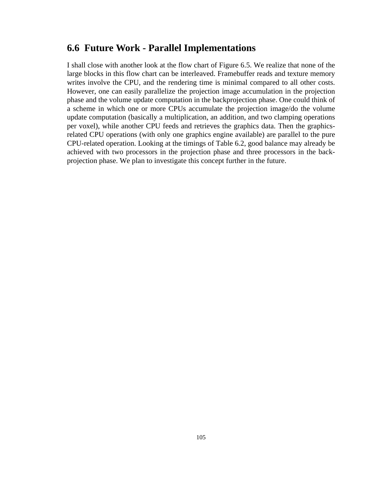## **6.6 Future Work - Parallel Implementations**

I shall close with another look at the flow chart of Figure 6.5. We realize that none of the large blocks in this flow chart can be interleaved. Framebuffer reads and texture memory writes involve the CPU, and the rendering time is minimal compared to all other costs. However, one can easily parallelize the projection image accumulation in the projection phase and the volume update computation in the backprojection phase. One could think of a scheme in which one or more CPUs accumulate the projection image/do the volume update computation (basically a multiplication, an addition, and two clamping operations per voxel), while another CPU feeds and retrieves the graphics data. Then the graphicsrelated CPU operations (with only one graphics engine available) are parallel to the pure CPU-related operation. Looking at the timings of Table 6.2, good balance may already be achieved with two processors in the projection phase and three processors in the backprojection phase. We plan to investigate this concept further in the future.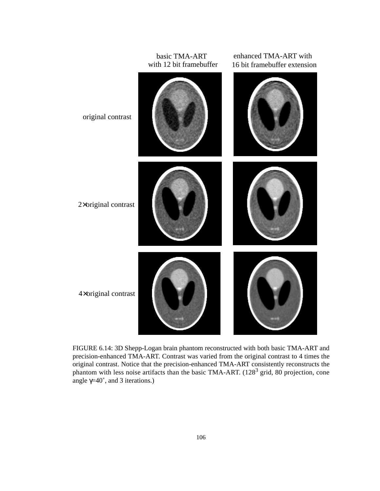

FIGURE 6.14: 3D Shepp-Logan brain phantom reconstructed with both basic TMA-ART and precision-enhanced TMA-ART. Contrast was varied from the original contrast to 4 times the original contrast. Notice that the precision-enhanced TMA-ART consistently reconstructs the phantom with less noise artifacts than the basic TMA-ART. (128<sup>3</sup> grid, 80 projection, cone angle  $\gamma$ =40°, and 3 iterations.)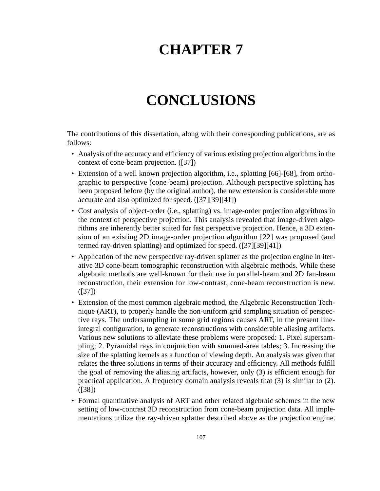# **CHAPTER 7**

# **CONCLUSIONS**

The contributions of this dissertation, along with their corresponding publications, are as follows:

- Analysis of the accuracy and efficiency of various existing projection algorithms in the context of cone-beam projection. ([37])
- Extension of a well known projection algorithm, i.e., splatting [66]-[68], from orthographic to perspective (cone-beam) projection. Although perspective splatting has been proposed before (by the original author), the new extension is considerable more accurate and also optimized for speed. ([37][39][41])
- Cost analysis of object-order (i.e., splatting) vs. image-order projection algorithms in the context of perspective projection. This analysis revealed that image-driven algorithms are inherently better suited for fast perspective projection. Hence, a 3D extension of an existing 2D image-order projection algorithm [22] was proposed (and termed ray-driven splatting) and optimized for speed. ([37][39][41])
- Application of the new perspective ray-driven splatter as the projection engine in iterative 3D cone-beam tomographic reconstruction with algebraic methods. While these algebraic methods are well-known for their use in parallel-beam and 2D fan-beam reconstruction, their extension for low-contrast, cone-beam reconstruction is new. ([37])
- Extension of the most common algebraic method, the Algebraic Reconstruction Technique (ART), to properly handle the non-uniform grid sampling situation of perspective rays. The undersampling in some grid regions causes ART, in the present lineintegral configuration, to generate reconstructions with considerable aliasing artifacts. Various new solutions to alleviate these problems were proposed: 1. Pixel supersampling; 2. Pyramidal rays in conjunction with summed-area tables; 3. Increasing the size of the splatting kernels as a function of viewing depth. An analysis was given that relates the three solutions in terms of their accuracy and efficiency. All methods fulfill the goal of removing the aliasing artifacts, however, only (3) is efficient enough for practical application. A frequency domain analysis reveals that (3) is similar to (2). ([38])
- Formal quantitative analysis of ART and other related algebraic schemes in the new setting of low-contrast 3D reconstruction from cone-beam projection data. All implementations utilize the ray-driven splatter described above as the projection engine.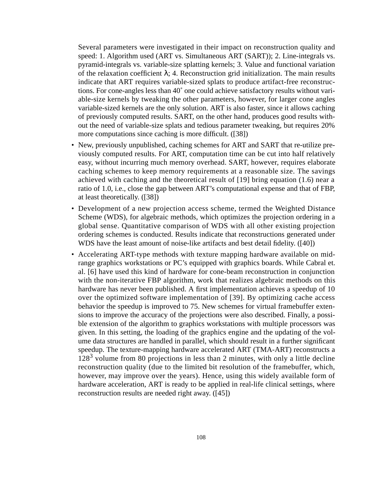Several parameters were investigated in their impact on reconstruction quality and speed: 1. Algorithm used (ART vs. Simultaneous ART (SART)); 2. Line-integrals vs. pyramid-integrals vs. variable-size splatting kernels; 3. Value and functional variation of the relaxation coefficient  $\lambda$ ; 4. Reconstruction grid initialization. The main results indicate that ART requires variable-sized splats to produce artifact-free reconstructions. For cone-angles less than 40˚ one could achieve satisfactory results without variable-size kernels by tweaking the other parameters, however, for larger cone angles variable-sized kernels are the only solution. ART is also faster, since it allows caching of previously computed results. SART, on the other hand, produces good results without the need of variable-size splats and tedious parameter tweaking, but requires 20% more computations since caching is more difficult. ([38])

- New, previously unpublished, caching schemes for ART and SART that re-utilize previously computed results. For ART, computation time can be cut into half relatively easy, without incurring much memory overhead. SART, however, requires elaborate caching schemes to keep memory requirements at a reasonable size. The savings achieved with caching and the theoretical result of [19] bring equation (1.6) near a ratio of 1.0, i.e., close the gap between ART's computational expense and that of FBP, at least theoretically. ([38])
- Development of a new projection access scheme, termed the Weighted Distance Scheme (WDS), for algebraic methods, which optimizes the projection ordering in a global sense. Quantitative comparison of WDS with all other existing projection ordering schemes is conducted. Results indicate that reconstructions generated under WDS have the least amount of noise-like artifacts and best detail fidelity. ([40])
- Accelerating ART-type methods with texture mapping hardware available on midrange graphics workstations or PC's equipped with graphics boards. While Cabral et. al. [6] have used this kind of hardware for cone-beam reconstruction in conjunction with the non-iterative FBP algorithm, work that realizes algebraic methods on this hardware has never been published. A first implementation achieves a speedup of 10 over the optimized software implementation of [39]. By optimizing cache access behavior the speedup is improved to 75. New schemes for virtual framebuffer extensions to improve the accuracy of the projections were also described. Finally, a possible extension of the algorithm to graphics workstations with multiple processors was given. In this setting, the loading of the graphics engine and the updating of the volume data structures are handled in parallel, which should result in a further significant speedup. The texture-mapping hardware accelerated ART (TMA-ART) reconstructs a  $128<sup>3</sup>$  volume from 80 projections in less than 2 minutes, with only a little decline reconstruction quality (due to the limited bit resolution of the framebuffer, which, however, may improve over the years). Hence, using this widely available form of hardware acceleration, ART is ready to be applied in real-life clinical settings, where reconstruction results are needed right away. ([45])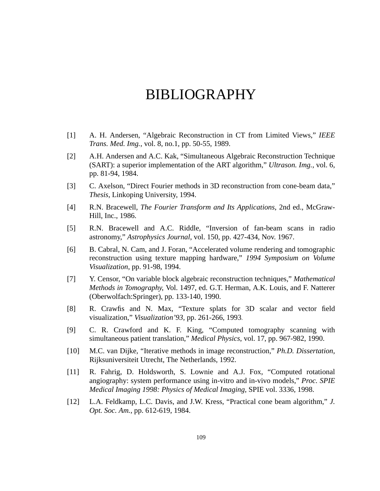# BIBLIOGRAPHY

- [1] A. H. Andersen, "Algebraic Reconstruction in CT from Limited Views," *IEEE Trans. Med. Img.*, vol. 8, no.1, pp. 50-55, 1989.
- [2] A.H. Andersen and A.C. Kak, "Simultaneous Algebraic Reconstruction Technique (SART): a superior implementation of the ART algorithm," *Ultrason. Img.*, vol. 6, pp. 81-94, 1984.
- [3] C. Axelson, "Direct Fourier methods in 3D reconstruction from cone-beam data," *Thesis*, Linkoping University, 1994.
- [4] R.N. Bracewell, *The Fourier Transform and Its Applications*, 2nd ed., McGraw-Hill, Inc., 1986.
- [5] R.N. Bracewell and A.C. Riddle, "Inversion of fan-beam scans in radio astronomy," *Astrophysics Journal*, vol. 150, pp. 427-434, Nov. 1967.
- [6] B. Cabral, N. Cam, and J. Foran, "Accelerated volume rendering and tomographic reconstruction using texture mapping hardware," *1994 Symposium on Volume Visualization*, pp. 91-98, 1994.
- [7] Y. Censor, "On variable block algebraic reconstruction techniques," *Mathematical Methods in Tomography*, Vol. 1497, ed. G.T. Herman, A.K. Louis, and F. Natterer (Oberwolfach:Springer), pp. 133-140, 1990.
- [8] R. Crawfis and N. Max, "Texture splats for 3D scalar and vector field visualization," *Visualization'93,* pp. 261-266, 1993.
- [9] C. R. Crawford and K. F. King, "Computed tomography scanning with simultaneous patient translation," *Medical Physics*, vol. 17, pp. 967-982, 1990.
- [10] M.C. van Dijke, "Iterative methods in image reconstruction," *Ph.D. Dissertation*, Rijksuniversiteit Utrecht, The Netherlands, 1992.
- [11] R. Fahrig, D. Holdsworth, S. Lownie and A.J. Fox, "Computed rotational angiography: system performance using in-vitro and in-vivo models," *Proc. SPIE Medical Imaging 1998: Physics of Medical Imaging*, SPIE vol. 3336, 1998.
- [12] L.A. Feldkamp, L.C. Davis, and J.W. Kress, "Practical cone beam algorithm," *J. Opt. Soc. Am.*, pp. 612-619, 1984.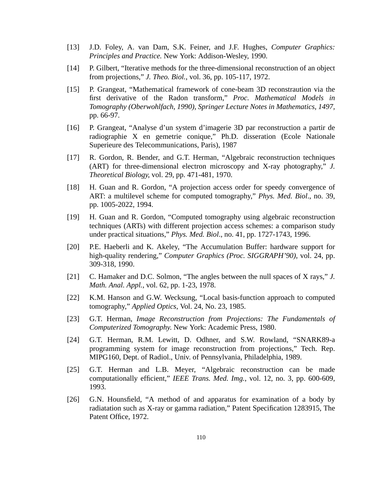- [13] J.D. Foley, A. van Dam, S.K. Feiner, and J.F. Hughes, *Computer Graphics: Principles and Practice.* New York: Addison-Wesley, 1990.
- [14] P. Gilbert, "Iterative methods for the three-dimensional reconstruction of an object from projections," *J. Theo. Biol.*, vol. 36, pp. 105-117, 1972.
- [15] P. Grangeat, "Mathematical framework of cone-beam 3D reconstraution via the first derivative of the Radon transform," *Proc. Mathematical Models in Tomography (Oberwohlfach, 1990), Springer Lecture Notes in Mathematics, 1497,* pp. 66-97.
- [16] P. Grangeat, "Analyse d'un system d'imagerie 3D par reconstruction a partir de radiographie X en gemetrie conique," Ph.D. disseration (Ecole Nationale Superieure des Telecommunications, Paris), 1987
- [17] R. Gordon, R. Bender, and G.T. Herman, "Algebraic reconstruction techniques (ART) for three-dimensional electron microscopy and X-ray photography," *J. Theoretical Biology*, vol. 29, pp. 471-481, 1970.
- [18] H. Guan and R. Gordon, "A projection access order for speedy convergence of ART: a multilevel scheme for computed tomography," *Phys. Med. Biol*., no. 39, pp. 1005-2022, 1994.
- [19] H. Guan and R. Gordon, "Computed tomography using algebraic reconstruction techniques (ARTs) with different projection access schemes: a comparison study under practical situations," *Phys. Med. Biol*., no. 41, pp. 1727-1743, 1996.
- [20] P.E. Haeberli and K. Akeley, "The Accumulation Buffer: hardware support for high-quality rendering," *Computer Graphics (Proc. SIGGRAPH'90)*, vol. 24, pp. 309-318, 1990.
- [21] C. Hamaker and D.C. Solmon, "The angles between the null spaces of X rays," *J. Math. Anal. Appl.*, vol. 62, pp. 1-23, 1978.
- [22] K.M. Hanson and G.W. Wecksung, "Local basis-function approach to computed tomography," *Applied Optics*, Vol. 24, No. 23, 1985.
- [23] G.T. Herman, *Image Reconstruction from Projections: The Fundamentals of Computerized Tomography*. New York: Academic Press, 1980.
- [24] G.T. Herman, R.M. Lewitt, D. Odhner, and S.W. Rowland, "SNARK89-a programming system for image reconstruction from projections," Tech. Rep. MIPG160, Dept. of Radiol., Univ. of Pennsylvania, Philadelphia, 1989.
- [25] G.T. Herman and L.B. Meyer, "Algebraic reconstruction can be made computationally efficient," *IEEE Trans. Med. Img.*, vol. 12, no. 3, pp. 600-609, 1993.
- [26] G.N. Hounsfield, "A method of and apparatus for examination of a body by radiatation such as X-ray or gamma radiation," Patent Specification 1283915, The Patent Office, 1972.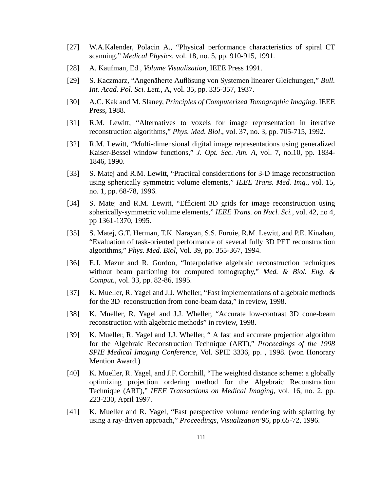- [27] W.A.Kalender, Polacin A., "Physical performance characteristics of spiral CT scanning," *Medical Physics*, vol. 18, no. 5, pp. 910-915, 1991.
- [28] A. Kaufman, Ed.*, Volume Visualization*, IEEE Press 1991.
- [29] S. Kaczmarz, "Angenäherte Auflösung von Systemen linearer Gleichungen," *Bull. Int. Acad. Pol. Sci. Lett*., A, vol. 35, pp. 335-357, 1937.
- [30] A.C. Kak and M. Slaney, *Principles of Computerized Tomographic Imaging*. IEEE Press, 1988.
- [31] R.M. Lewitt, "Alternatives to voxels for image representation in iterative reconstruction algorithms," *Phys. Med. Biol*., vol. 37, no. 3, pp. 705-715, 1992.
- [32] R.M. Lewitt, "Multi-dimensional digital image representations using generalized Kaiser-Bessel window functions," *J. Opt. Sec. Am. A,* vol. 7, no.10, pp. 1834- 1846, 1990.
- [33] S. Matej and R.M. Lewitt, "Practical considerations for 3-D image reconstruction using spherically symmetric volume elements," *IEEE Trans. Med. Img.*, vol. 15, no. 1, pp. 68-78, 1996.
- [34] S. Matej and R.M. Lewitt, "Efficient 3D grids for image reconstruction using spherically-symmetric volume elements," *IEEE Trans. on Nucl. Sci.*, vol. 42, no 4, pp 1361-1370, 1995.
- [35] S. Matej, G.T. Herman, T.K. Narayan, S.S. Furuie, R.M. Lewitt, and P.E. Kinahan, "Evaluation of task-oriented performance of several fully 3D PET reconstruction algorithms," *Phys. Med. Biol*, Vol. 39, pp. 355-367, 1994.
- [36] E.J. Mazur and R. Gordon, "Interpolative algebraic reconstruction techniques without beam partioning for computed tomography," *Med. & Biol. Eng. & Comput.*, vol. 33, pp. 82-86, 1995.
- [37] K. Mueller, R. Yagel and J.J. Wheller, "Fast implementations of algebraic methods for the 3D reconstruction from cone-beam data," in review, 1998.
- [38] K. Mueller, R. Yagel and J.J. Wheller, "Accurate low-contrast 3D cone-beam reconstruction with algebraic methods" in review, 1998.
- [39] K. Mueller, R. Yagel and J.J. Wheller, "A fast and accurate projection algorithm for the Algebraic Reconstruction Technique (ART)," *Proceedings of the 1998 SPIE Medical Imaging Conference*, Vol. SPIE 3336, pp. , 1998. (won Honorary Mention Award.)
- [40] K. Mueller, R. Yagel, and J.F. Cornhill, "The weighted distance scheme: a globally optimizing projection ordering method for the Algebraic Reconstruction Technique (ART)," *IEEE Transactions on Medical Imaging*, vol. 16, no. 2, pp. 223-230, April 1997.
- [41] K. Mueller and R. Yagel, "Fast perspective volume rendering with splatting by using a ray-driven approach," *Proceedings, Visualization'96*, pp.65-72, 1996.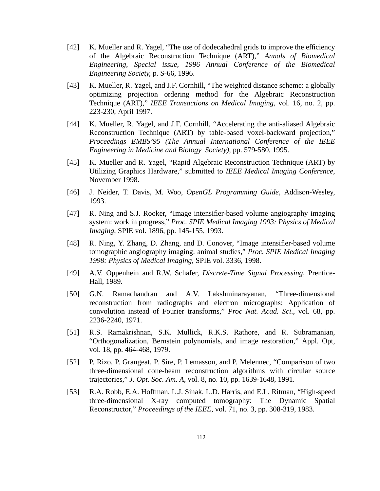- [42] K. Mueller and R. Yagel, "The use of dodecahedral grids to improve the efficiency of the Algebraic Reconstruction Technique (ART)," *Annals of Biomedical Engineering, Special issue, 1996 Annual Conference of the Biomedical Engineering Society*, p. S-66, 1996.
- [43] K. Mueller, R. Yagel, and J.F. Cornhill, "The weighted distance scheme: a globally optimizing projection ordering method for the Algebraic Reconstruction Technique (ART)," *IEEE Transactions on Medical Imaging*, vol. 16, no. 2, pp. 223-230, April 1997.
- [44] K. Mueller, R. Yagel, and J.F. Cornhill, "Accelerating the anti-aliased Algebraic Reconstruction Technique (ART) by table-based voxel-backward projection," *Proceedings EMBS'95 (The Annual International Conference of the IEEE Engineering in Medicine and Biology Society)*, pp. 579-580, 1995.
- [45] K. Mueller and R. Yagel, "Rapid Algebraic Reconstruction Technique (ART) by Utilizing Graphics Hardware," submitted to *IEEE Medical Imaging Conference*, November 1998.
- [46] J. Neider, T. Davis, M. Woo, *OpenGL Programming Guide*, Addison-Wesley, 1993.
- [47] R. Ning and S.J. Rooker, "Image intensifier-based volume angiography imaging system: work in progress," *Proc. SPIE Medical Imaging 1993: Physics of Medical Imaging*, SPIE vol. 1896, pp. 145-155, 1993.
- [48] R. Ning, Y. Zhang, D. Zhang, and D. Conover, "Image intensifier-based volume tomographic angiography imaging: animal studies," *Proc. SPIE Medical Imaging 1998: Physics of Medical Imaging*, SPIE vol. 3336, 1998.
- [49] A.V. Oppenhein and R.W. Schafer, *Discrete-Time Signal Processing*, Prentice-Hall, 1989.
- [50] G.N. Ramachandran and A.V. Lakshminarayanan, "Three-dimensional reconstruction from radiographs and electron micrographs: Application of convolution instead of Fourier transforms," *Proc Nat. Acad. Sci*., vol. 68, pp. 2236-2240, 1971.
- [51] R.S. Ramakrishnan, S.K. Mullick, R.K.S. Rathore, and R. Subramanian, "Orthogonalization, Bernstein polynomials, and image restoration," Appl. Opt, vol. 18, pp. 464-468, 1979.
- [52] P. Rizo, P. Grangeat, P. Sire, P. Lemasson, and P. Melennec, "Comparison of two three-dimensional cone-beam reconstruction algorithms with circular source trajectories," *J. Opt. Soc. Am. A*, vol. 8, no. 10, pp. 1639-1648, 1991.
- [53] R.A. Robb, E.A. Hoffman, L.J. Sinak, L.D. Harris, and E.L. Ritman, "High-speed three-dimensional X-ray computed tomography: The Dynamic Spatial Reconstructor," *Proceedings of the IEEE*, vol. 71, no. 3, pp. 308-319, 1983.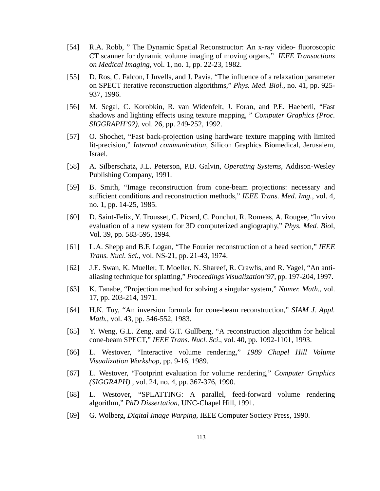- [54] R.A. Robb, " The Dynamic Spatial Reconstructor: An x-ray video- fluoroscopic CT scanner for dynamic volume imaging of moving organs," *IEEE Transactions on Medical Imaging,* vol. 1, no. 1, pp. 22-23, 1982.
- [55] D. Ros, C. Falcon, I Juvells, and J. Pavia, "The influence of a relaxation parameter on SPECT iterative reconstruction algorithms," *Phys. Med. Biol.*, no. 41, pp. 925- 937, 1996.
- [56] M. Segal, C. Korobkin, R. van Widenfelt, J. Foran, and P.E. Haeberli, "Fast shadows and lighting effects using texture mapping, " *Computer Graphics (Proc. SIGGRAPH'92)*, vol. 26, pp. 249-252, 1992.
- [57] O. Shochet, "Fast back-projection using hardware texture mapping with limited lit-precision," *Internal communication*, Silicon Graphics Biomedical, Jerusalem, Israel.
- [58] A. Silberschatz, J.L. Peterson, P.B. Galvin, *Operating Systems*, Addison-Wesley Publishing Company, 1991.
- [59] B. Smith, "Image reconstruction from cone-beam projections: necessary and sufficient conditions and reconstruction methods," *IEEE Trans. Med. Img.*, vol. 4, no. 1, pp. 14-25, 1985.
- [60] D. Saint-Felix, Y. Trousset, C. Picard, C. Ponchut, R. Romeas, A. Rougee, "In vivo evaluation of a new system for 3D computerized angiography," *Phys. Med. Bio*l, Vol. 39, pp. 583-595, 1994.
- [61] L.A. Shepp and B.F. Logan, "The Fourier reconstruction of a head section," *IEEE Trans. Nucl. Sci.*, vol. NS-21, pp. 21-43, 1974.
- [62] J.E. Swan, K. Mueller, T. Moeller, N. Shareef, R. Crawfis, and R. Yagel, "An antialiasing technique for splatting," *Proceedings Visualization'97*, pp. 197-204, 1997.
- [63] K. Tanabe, "Projection method for solving a singular system," *Numer. Math.*, vol. 17, pp. 203-214, 1971.
- [64] H.K. Tuy, "An inversion formula for cone-beam reconstruction," *SIAM J. Appl. Math.*, vol. 43, pp. 546-552, 1983.
- [65] Y. Weng, G.L. Zeng, and G.T. Gullberg, "A reconstruction algorithm for helical cone-beam SPECT," *IEEE Trans. Nucl. Sci*., vol. 40, pp. 1092-1101, 1993.
- [66] L. Westover, "Interactive volume rendering," *1989 Chapel Hill Volume Visualization Workshop*, pp. 9-16, 1989.
- [67] L. Westover, "Footprint evaluation for volume rendering," *Computer Graphics (SIGGRAPH)* , vol. 24, no. 4, pp. 367-376, 1990.
- [68] L. Westover, "SPLATTING: A parallel, feed-forward volume rendering algorithm," *PhD Dissertation*, UNC-Chapel Hill, 1991.
- [69] G. Wolberg, *Digital Image Warping*, IEEE Computer Society Press, 1990.